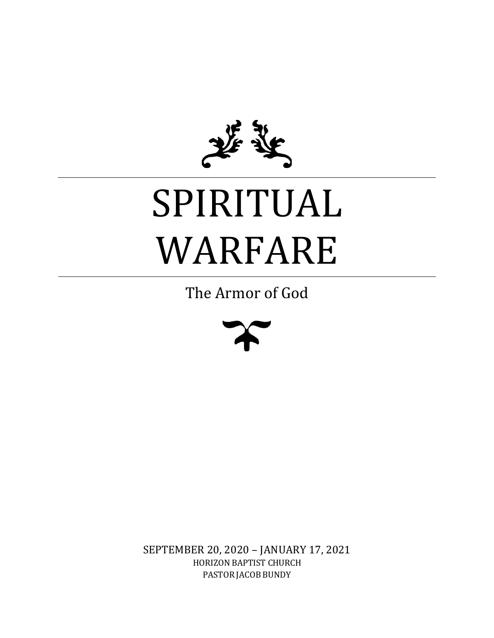

# SPIRITUAL WARFARE

The Armor of God



SEPTEMBER 20, 2020 – JANUARY 17, 2021 HORIZON BAPTIST CHURCH PASTOR JACOB BUNDY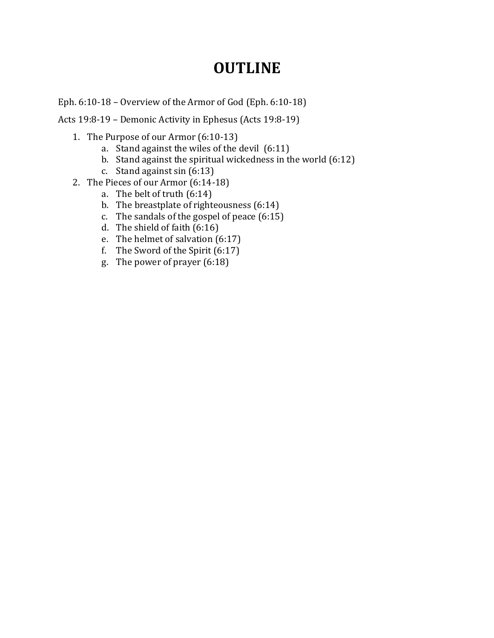## **OUTLINE**

Eph. 6:10-18 – Overview of the Armor of God (Eph. 6:10-18)

Acts 19:8-19 – Demonic Activity in Ephesus (Acts 19:8-19)

- 1. The Purpose of our Armor (6:10-13)
	- a. Stand against the wiles of the devil (6:11)
	- b. Stand against the spiritual wickedness in the world (6:12)
	- c. Stand against sin  $(6.13)$
- 2. The Pieces of our Armor (6:14-18)
	- a. The belt of truth (6:14)
	- b. The breastplate of righteousness (6:14)
	- c. The sandals of the gospel of peace (6:15)
	- d. The shield of faith  $(6:16)$
	- e. The helmet of salvation (6:17)
	- f. The Sword of the Spirit (6:17)
	- g. The power of prayer (6:18)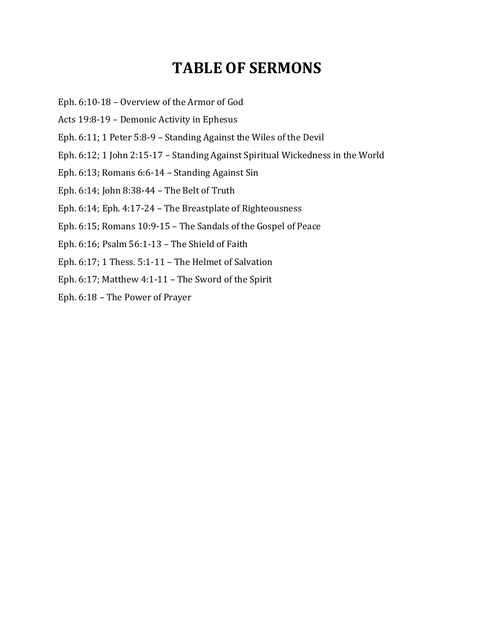## **TABLE OF SERMONS**

- Eph. 6:10-18 Overview of the Armor of God
- Acts 19:8-19 Demonic Activity in Ephesus
- Eph. 6:11; 1 Peter 5:8-9 Standing Against the Wiles of the Devil
- Eph. 6:12; 1 John 2:15-17 Standing Against Spiritual Wickedness in the World
- Eph. 6:13; Romans 6:6-14 Standing Against Sin
- Eph. 6:14; John 8:38-44 The Belt of Truth
- Eph. 6:14; Eph. 4:17-24 The Breastplate of Righteousness
- Eph. 6:15; Romans 10:9-15 The Sandals of the Gospel of Peace
- Eph. 6:16; Psalm 56:1-13 The Shield of Faith
- Eph. 6:17; 1 Thess. 5:1-11 The Helmet of Salvation
- Eph. 6:17; Matthew 4:1-11 The Sword of the Spirit
- Eph. 6:18 The Power of Prayer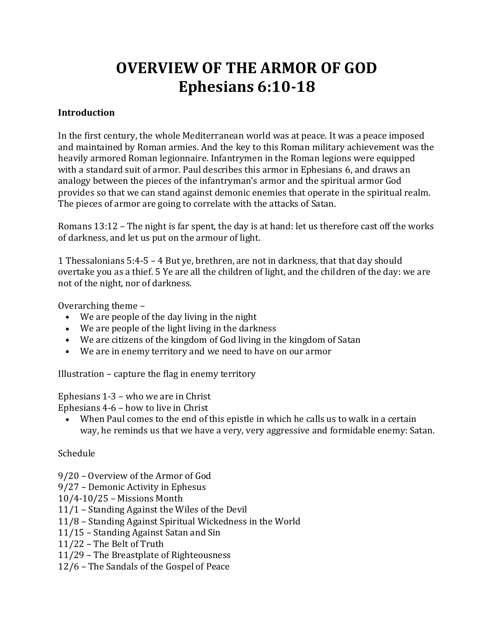# **OVERVIEW OF THE ARMOR OF GOD Ephesians 6:10-18**

#### **Introduction**

In the first century, the whole Mediterranean world was at peace. It was a peace imposed and maintained by Roman armies. And the key to this Roman military achievement was the heavily armored Roman legionnaire. Infantrymen in the Roman legions were equipped with a standard suit of armor. Paul describes this armor in Ephesians 6, and draws an analogy between the pieces of the infantryman's armor and the spiritual armor God provides so that we can stand against demonic enemies that operate in the spiritual realm. The pieces of armor are going to correlate with the attacks of Satan.

Romans 13:12 – The night is far spent, the day is at hand: let us therefore cast off the works of darkness, and let us put on the armour of light.

1 Thessalonians 5:4-5 – 4 But ye, brethren, are not in darkness, that that day should overtake you as a thief. 5 Ye are all the children of light, and the children of the day: we are not of the night, nor of darkness.

Overarching theme –

- We are people of the day living in the night
- We are people of the light living in the darkness
- We are citizens of the kingdom of God living in the kingdom of Satan
- We are in enemy territory and we need to have on our armor

Illustration – capture the flag in enemy territory

Ephesians 1-3 – who we are in Christ

Ephesians 4-6 – how to live in Christ

• When Paul comes to the end of this epistle in which he calls us to walk in a certain way, he reminds us that we have a very, very aggressive and formidable enemy: Satan.

#### Schedule

- 9/20 Overview of the Armor of God
- 9/27 Demonic Activity in Ephesus
- 10/4-10/25 Missions Month
- 11/1 Standing Against the Wiles of the Devil
- 11/8 Standing Against Spiritual Wickedness in the World
- 11/15 Standing Against Satan and Sin
- 11/22 The Belt of Truth
- 11/29 The Breastplate of Righteousness
- 12/6 The Sandals of the Gospel of Peace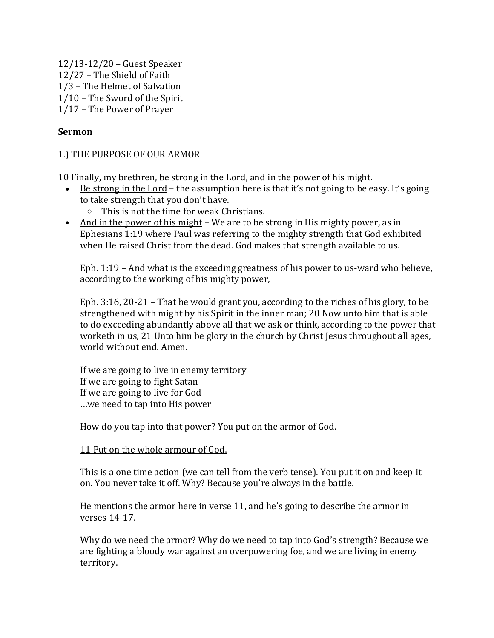12/13-12/20 – Guest Speaker 12/27 – The Shield of Faith 1/3 – The Helmet of Salvation 1/10 – The Sword of the Spirit 1/17 – The Power of Prayer

#### **Sermon**

#### 1.) THE PURPOSE OF OUR ARMOR

10 Finally, my brethren, be strong in the Lord, and in the power of his might.

- Be strong in the Lord the assumption here is that it's not going to be easy. It's going to take strength that you don't have.
	- o This is not the time for weak Christians.
- And in the power of his might We are to be strong in His mighty power, as in Ephesians 1:19 where Paul was referring to the mighty strength that God exhibited when He raised Christ from the dead. God makes that strength available to us.

Eph. 1:19 – And what is the exceeding greatness of his power to us-ward who believe, according to the working of his mighty power,

Eph. 3:16, 20-21 – That he would grant you, according to the riches of his glory, to be strengthened with might by his Spirit in the inner man; 20 Now unto him that is able to do exceeding abundantly above all that we ask or think, according to the power that worketh in us, 21 Unto him be glory in the church by Christ Jesus throughout all ages, world without end. Amen.

If we are going to live in enemy territory If we are going to fight Satan If we are going to live for God …we need to tap into His power

How do you tap into that power? You put on the armor of God.

#### 11 Put on the whole armour of God,

This is a one time action (we can tell from the verb tense). You put it on and keep it on. You never take it off. Why? Because you're always in the battle.

He mentions the armor here in verse 11, and he's going to describe the armor in verses 14-17.

Why do we need the armor? Why do we need to tap into God's strength? Because we are fighting a bloody war against an overpowering foe, and we are living in enemy territory.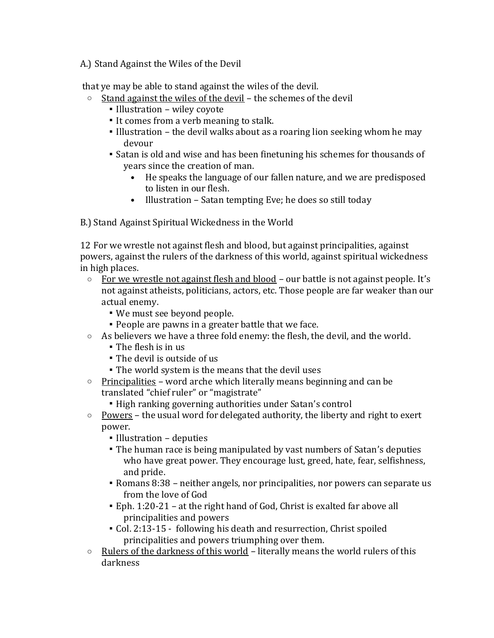A.) Stand Against the Wiles of the Devil

that ye may be able to stand against the wiles of the devil.

- $\circ$  Stand against the wiles of the devil the schemes of the devil
	- Illustration wiley coyote
	- It comes from a verb meaning to stalk.
	- Illustration the devil walks about as a roaring lion seeking whom he may devour
	- Satan is old and wise and has been finetuning his schemes for thousands of years since the creation of man.
		- He speaks the language of our fallen nature, and we are predisposed to listen in our flesh.
		- Illustration Satan tempting Eve; he does so still today

B.) Stand Against Spiritual Wickedness in the World

12 For we wrestle not against flesh and blood, but against principalities, against powers, against the rulers of the darkness of this world, against spiritual wickedness in high places.

- $\circ$  For we wrestle not against flesh and blood our battle is not against people. It's not against atheists, politicians, actors, etc. Those people are far weaker than our actual enemy.
	- We must see beyond people.
	- People are pawns in a greater battle that we face.
- $\circ$  As believers we have a three fold enemy: the flesh, the devil, and the world.
	- The flesh is in us
	- The devil is outside of us
	- **The world system is the means that the devil uses**
- $\circ$  Principalities word arche which literally means beginning and can be translated "chief ruler" or "magistrate"
	- High ranking governing authorities under Satan's control
- $\circ$  Powers the usual word for delegated authority, the liberty and right to exert power.
	- Illustration deputies
	- The human race is being manipulated by vast numbers of Satan's deputies who have great power. They encourage lust, greed, hate, fear, selfishness, and pride.
	- Romans 8:38 neither angels, nor principalities, nor powers can separate us from the love of God
	- Eph. 1:20-21 at the right hand of God, Christ is exalted far above all principalities and powers
	- Col. 2:13-15 following his death and resurrection, Christ spoiled principalities and powers triumphing over them.
- $\circ$  Rulers of the darkness of this world literally means the world rulers of this darkness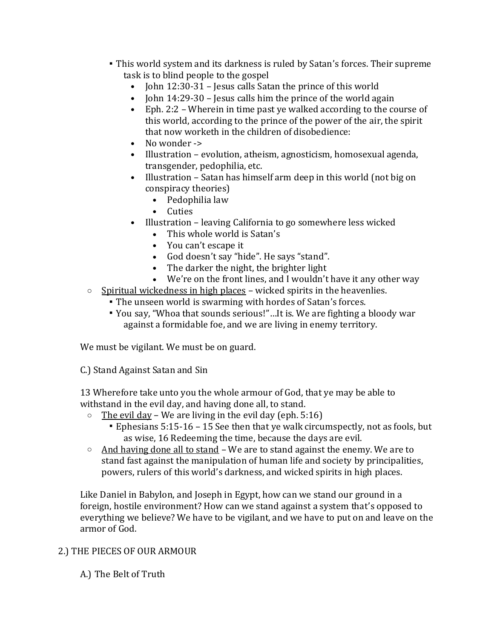- This world system and its darkness is ruled by Satan's forces. Their supreme task is to blind people to the gospel
	- John 12:30-31 Jesus calls Satan the prince of this world
	- John 14:29-30 Jesus calls him the prince of the world again
	- Eph. 2:2 Wherein in time past ye walked according to the course of this world, according to the prince of the power of the air, the spirit that now worketh in the children of disobedience:
	- No wonder ->
	- Illustration evolution, atheism, agnosticism, homosexual agenda, transgender, pedophilia, etc.
	- Illustration Satan has himself arm deep in this world (not big on conspiracy theories)
		- Pedophilia law
		- Cuties
	- Illustration leaving California to go somewhere less wicked
		- This whole world is Satan's
		- You can't escape it
		- God doesn't say "hide". He says "stand".
		- The darker the night, the brighter light
		- We're on the front lines, and I wouldn't have it any other way
- $\circ$  Spiritual wickedness in high places wicked spirits in the heavenlies.
	- The unseen world is swarming with hordes of Satan's forces.
	- You say, "Whoa that sounds serious!"…It is. We are fighting a bloody war against a formidable foe, and we are living in enemy territory.

We must be vigilant. We must be on guard.

C.) Stand Against Satan and Sin

13 Wherefore take unto you the whole armour of God, that ye may be able to withstand in the evil day, and having done all, to stand.

- $\circ$  The evil day We are living in the evil day (eph. 5:16)
	- Ephesians 5:15-16 15 See then that ye walk circumspectly, not as fools, but as wise, 16 Redeeming the time, because the days are evil.
- $\circ$  And having done all to stand We are to stand against the enemy. We are to stand fast against the manipulation of human life and society by principalities, powers, rulers of this world's darkness, and wicked spirits in high places.

Like Daniel in Babylon, and Joseph in Egypt, how can we stand our ground in a foreign, hostile environment? How can we stand against a system that's opposed to everything we believe? We have to be vigilant, and we have to put on and leave on the armor of God.

#### 2.) THE PIECES OF OUR ARMOUR

A.) The Belt of Truth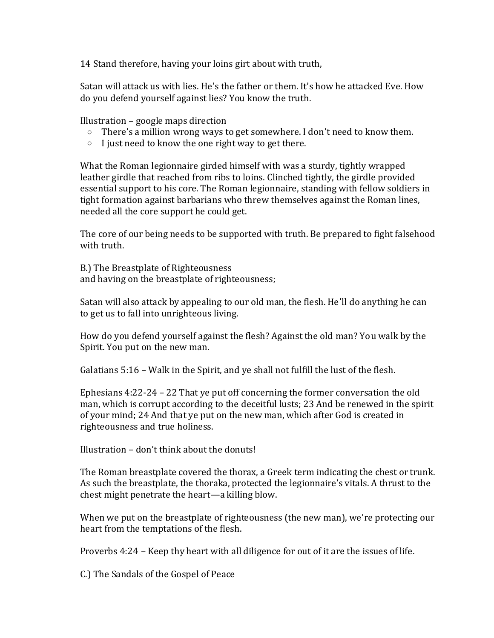14 Stand therefore, having your loins girt about with truth,

Satan will attack us with lies. He's the father or them. It's how he attacked Eve. How do you defend yourself against lies? You know the truth.

Illustration – google maps direction

- o There's a million wrong ways to get somewhere. I don't need to know them.
- $\circ$  I just need to know the one right way to get there.

What the Roman legionnaire girded himself with was a sturdy, tightly wrapped leather girdle that reached from ribs to loins. Clinched tightly, the girdle provided essential support to his core. The Roman legionnaire, standing with fellow soldiers in tight formation against barbarians who threw themselves against the Roman lines, needed all the core support he could get.

The core of our being needs to be supported with truth. Be prepared to fight falsehood with truth.

B.) The Breastplate of Righteousness and having on the breastplate of righteousness;

Satan will also attack by appealing to our old man, the flesh. He'll do anything he can to get us to fall into unrighteous living.

How do you defend yourself against the flesh? Against the old man? You walk by the Spirit. You put on the new man.

Galatians 5:16 – Walk in the Spirit, and ye shall not fulfill the lust of the flesh.

Ephesians 4:22-24 – 22 That ye put off concerning the former conversation the old man, which is corrupt according to the deceitful lusts; 23 And be renewed in the spirit of your mind; 24 And that ye put on the new man, which after God is created in righteousness and true holiness.

Illustration – don't think about the donuts!

The Roman breastplate covered the thorax, a Greek term indicating the chest or trunk. As such the breastplate, the thoraka, protected the legionnaire's vitals. A thrust to the chest might penetrate the heart—a killing blow.

When we put on the breastplate of righteousness (the new man), we're protecting our heart from the temptations of the flesh.

Proverbs 4:24 – Keep thy heart with all diligence for out of it are the issues of life.

C.) The Sandals of the Gospel of Peace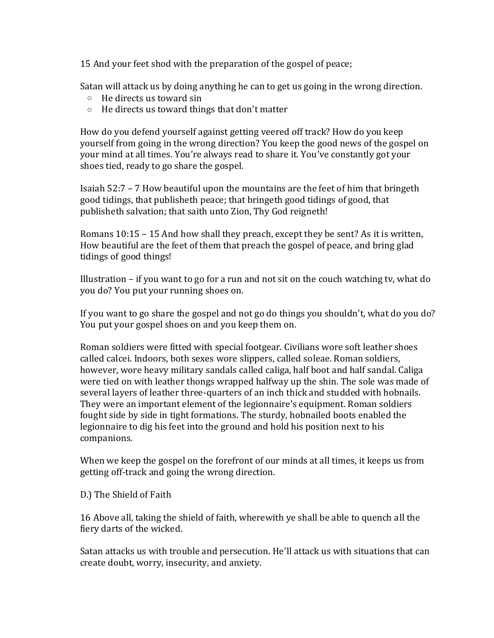15 And your feet shod with the preparation of the gospel of peace;

Satan will attack us by doing anything he can to get us going in the wrong direction.

- o He directs us toward sin
- o He directs us toward things that don't matter

How do you defend yourself against getting veered off track? How do you keep yourself from going in the wrong direction? You keep the good news of the gospel on your mind at all times. You're always read to share it. You've constantly got your shoes tied, ready to go share the gospel.

Isaiah 52:7 – 7 How beautiful upon the mountains are the feet of him that bringeth good tidings, that publisheth peace; that bringeth good tidings of good, that publisheth salvation; that saith unto Zion, Thy God reigneth!

Romans 10:15 – 15 And how shall they preach, except they be sent? As it is written, How beautiful are the feet of them that preach the gospel of peace, and bring glad tidings of good things!

Illustration – if you want to go for a run and not sit on the couch watching tv, what do you do? You put your running shoes on.

If you want to go share the gospel and not go do things you shouldn't, what do you do? You put your gospel shoes on and you keep them on.

Roman soldiers were fitted with special footgear. Civilians wore soft leather shoes called calcei. Indoors, both sexes wore slippers, called soleae. Roman soldiers, however, wore heavy military sandals called caliga, half boot and half sandal. Caliga were tied on with leather thongs wrapped halfway up the shin. The sole was made of several layers of leather three-quarters of an inch thick and studded with hobnails. They were an important element of the legionnaire's equipment. Roman soldiers fought side by side in tight formations. The sturdy, hobnailed boots enabled the legionnaire to dig his feet into the ground and hold his position next to his companions.

When we keep the gospel on the forefront of our minds at all times, it keeps us from getting off-track and going the wrong direction.

D.) The Shield of Faith

16 Above all, taking the shield of faith, wherewith ye shall be able to quench all the fiery darts of the wicked.

Satan attacks us with trouble and persecution. He'll attack us with situations that can create doubt, worry, insecurity, and anxiety.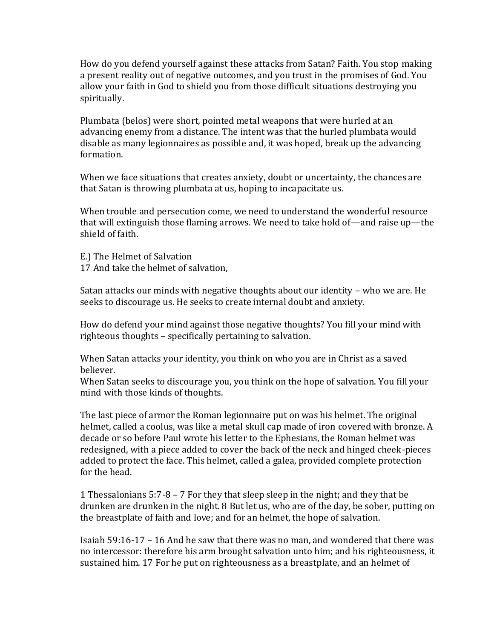How do you defend yourself against these attacks from Satan? Faith. You stop making a present reality out of negative outcomes, and you trust in the promises of God. You allow your faith in God to shield you from those difficult situations destroying you spiritually.

Plumbata (belos) were short, pointed metal weapons that were hurled at an advancing enemy from a distance. The intent was that the hurled plumbata would disable as many legionnaires as possible and, it was hoped, break up the advancing formation.

When we face situations that creates anxiety, doubt or uncertainty, the chances are that Satan is throwing plumbata at us, hoping to incapacitate us.

When trouble and persecution come, we need to understand the wonderful resource that will extinguish those flaming arrows. We need to take hold of—and raise up—the shield of faith.

E.) The Helmet of Salvation 17 And take the helmet of salvation,

Satan attacks our minds with negative thoughts about our identity – who we are. He seeks to discourage us. He seeks to create internal doubt and anxiety.

How do defend your mind against those negative thoughts? You fill your mind with righteous thoughts – specifically pertaining to salvation.

When Satan attacks your identity, you think on who you are in Christ as a saved believer.

When Satan seeks to discourage you, you think on the hope of salvation. You fill your mind with those kinds of thoughts.

The last piece of armor the Roman legionnaire put on was his helmet. The original helmet, called a coolus, was like a metal skull cap made of iron covered with bronze. A decade or so before Paul wrote his letter to the Ephesians, the Roman helmet was redesigned, with a piece added to cover the back of the neck and hinged cheek-pieces added to protect the face. This helmet, called a galea, provided complete protection for the head.

1 Thessalonians 5:7-8 – 7 For they that sleep sleep in the night; and they that be drunken are drunken in the night. 8 But let us, who are of the day, be sober, putting on the breastplate of faith and love; and for an helmet, the hope of salvation.

Isaiah 59:16-17 – 16 And he saw that there was no man, and wondered that there was no intercessor: therefore his arm brought salvation unto him; and his righteousness, it sustained him. 17 For he put on righteousness as a breastplate, and an helmet of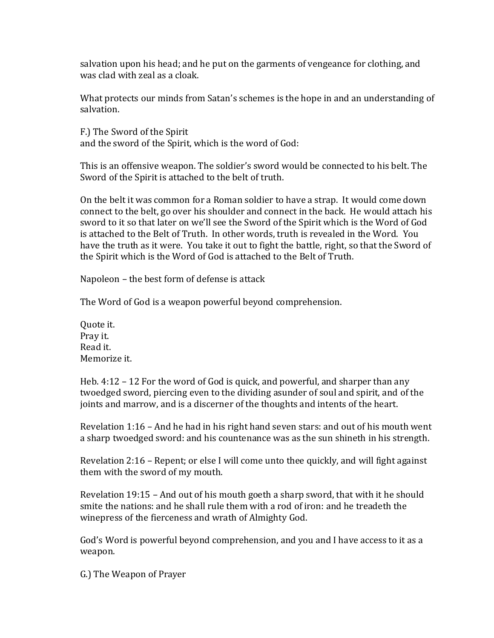salvation upon his head; and he put on the garments of vengeance for clothing, and was clad with zeal as a cloak.

What protects our minds from Satan's schemes is the hope in and an understanding of salvation.

F.) The Sword of the Spirit and the sword of the Spirit, which is the word of God:

This is an offensive weapon. The soldier's sword would be connected to his belt. The Sword of the Spirit is attached to the belt of truth.

On the belt it was common for a Roman soldier to have a strap. It would come down connect to the belt, go over his shoulder and connect in the back. He would attach his sword to it so that later on we'll see the Sword of the Spirit which is the Word of God is attached to the Belt of Truth. In other words, truth is revealed in the Word. You have the truth as it were. You take it out to fight the battle, right, so that the Sword of the Spirit which is the Word of God is attached to the Belt of Truth.

Napoleon – the best form of defense is attack

The Word of God is a weapon powerful beyond comprehension.

Quote it. Pray it. Read it. Memorize it.

Heb. 4:12 – 12 For the word of God is quick, and powerful, and sharper than any twoedged sword, piercing even to the dividing asunder of soul and spirit, and of the joints and marrow, and is a discerner of the thoughts and intents of the heart.

Revelation 1:16 – And he had in his right hand seven stars: and out of his mouth went a sharp twoedged sword: and his countenance was as the sun shineth in his strength.

Revelation 2:16 – Repent; or else I will come unto thee quickly, and will fight against them with the sword of my mouth.

Revelation 19:15 – And out of his mouth goeth a sharp sword, that with it he should smite the nations: and he shall rule them with a rod of iron: and he treadeth the winepress of the fierceness and wrath of Almighty God.

God's Word is powerful beyond comprehension, and you and I have access to it as a weapon.

G.) The Weapon of Prayer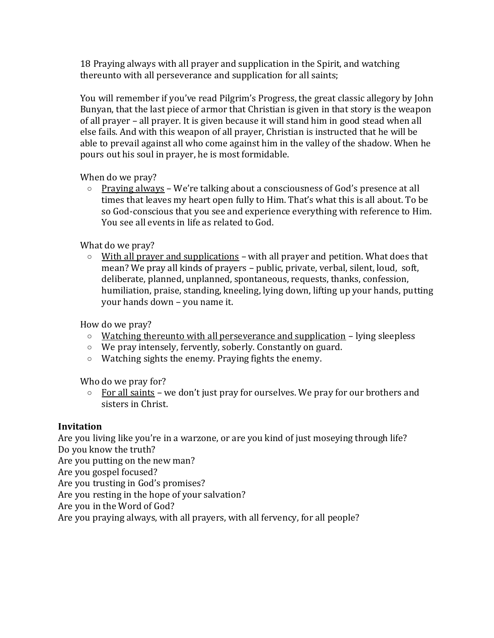18 Praying always with all prayer and supplication in the Spirit, and watching thereunto with all perseverance and supplication for all saints;

You will remember if you've read Pilgrim's Progress, the great classic allegory by John Bunyan, that the last piece of armor that Christian is given in that story is the weapon of all prayer – all prayer. It is given because it will stand him in good stead when all else fails. And with this weapon of all prayer, Christian is instructed that he will be able to prevail against all who come against him in the valley of the shadow. When he pours out his soul in prayer, he is most formidable.

When do we pray?

o Praying always – We're talking about a consciousness of God's presence at all times that leaves my heart open fully to Him. That's what this is all about. To be so God-conscious that you see and experience everything with reference to Him. You see all events in life as related to God.

What do we pray?

 $\circ$  With all prayer and supplications – with all prayer and petition. What does that mean? We pray all kinds of prayers – public, private, verbal, silent, loud, soft, deliberate, planned, unplanned, spontaneous, requests, thanks, confession, humiliation, praise, standing, kneeling, lying down, lifting up your hands, putting your hands down – you name it.

How do we pray?

- $\circ$  Watching thereunto with all perseverance and supplication lying sleepless
- o We pray intensely, fervently, soberly. Constantly on guard.
- o Watching sights the enemy. Praying fights the enemy.

Who do we pray for?

 $\circ$  For all saints – we don't just pray for ourselves. We pray for our brothers and sisters in Christ.

#### **Invitation**

Are you living like you're in a warzone, or are you kind of just moseying through life? Do you know the truth?

Are you putting on the new man?

Are you gospel focused?

Are you trusting in God's promises?

Are you resting in the hope of your salvation?

Are you in the Word of God?

Are you praying always, with all prayers, with all fervency, for all people?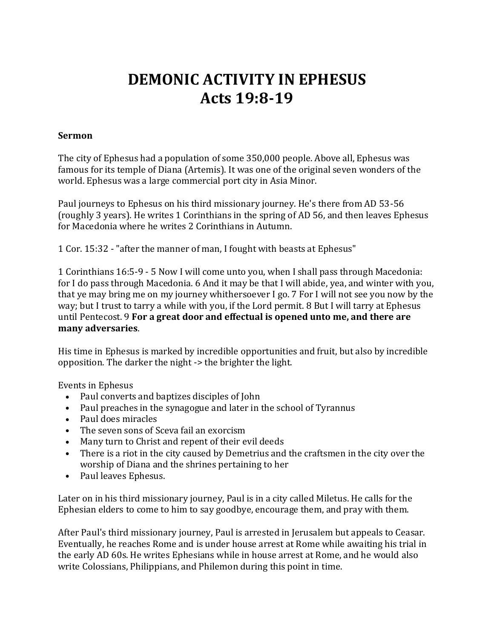## **DEMONIC ACTIVITY IN EPHESUS Acts 19:8-19**

#### **Sermon**

The city of Ephesus had a population of some 350,000 people. Above all, Ephesus was famous for its temple of Diana (Artemis). It was one of the original seven wonders of the world. Ephesus was a large commercial port city in Asia Minor.

Paul journeys to Ephesus on his third missionary journey. He's there from AD 53-56 (roughly 3 years). He writes 1 Corinthians in the spring of AD 56, and then leaves Ephesus for Macedonia where he writes 2 Corinthians in Autumn.

1 Cor. 15:32 - "after the manner of man, I fought with beasts at Ephesus"

1 Corinthians 16:5-9 - 5 Now I will come unto you, when I shall pass through Macedonia: for I do pass through Macedonia. 6 And it may be that I will abide, yea, and winter with you, that ye may bring me on my journey whithersoever I go. 7 For I will not see you now by the way; but I trust to tarry a while with you, if the Lord permit. 8 But I will tarry at Ephesus until Pentecost. 9 **For a great door and effectual is opened unto me, and there are many adversaries**.

His time in Ephesus is marked by incredible opportunities and fruit, but also by incredible opposition. The darker the night -> the brighter the light.

Events in Ephesus

- Paul converts and baptizes disciples of John
- Paul preaches in the synagogue and later in the school of Tyrannus
- Paul does miracles
- The seven sons of Sceva fail an exorcism
- Many turn to Christ and repent of their evil deeds
- There is a riot in the city caused by Demetrius and the craftsmen in the city over the worship of Diana and the shrines pertaining to her
- Paul leaves Ephesus.

Later on in his third missionary journey, Paul is in a city called Miletus. He calls for the Ephesian elders to come to him to say goodbye, encourage them, and pray with them.

After Paul's third missionary journey, Paul is arrested in Jerusalem but appeals to Ceasar. Eventually, he reaches Rome and is under house arrest at Rome while awaiting his trial in the early AD 60s. He writes Ephesians while in house arrest at Rome, and he would also write Colossians, Philippians, and Philemon during this point in time.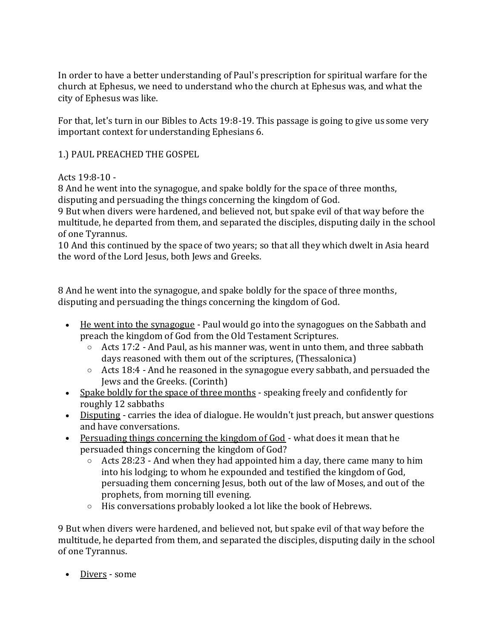In order to have a better understanding of Paul's prescription for spiritual warfare for the church at Ephesus, we need to understand who the church at Ephesus was, and what the city of Ephesus was like.

For that, let's turn in our Bibles to Acts 19:8-19. This passage is going to give us some very important context for understanding Ephesians 6.

1.) PAUL PREACHED THE GOSPEL

### Acts 19:8-10 -

8 And he went into the synagogue, and spake boldly for the space of three months, disputing and persuading the things concerning the kingdom of God.

9 But when divers were hardened, and believed not, but spake evil of that way before the multitude, he departed from them, and separated the disciples, disputing daily in the school of one Tyrannus.

10 And this continued by the space of two years; so that all they which dwelt in Asia heard the word of the Lord Jesus, both Jews and Greeks.

8 And he went into the synagogue, and spake boldly for the space of three months, disputing and persuading the things concerning the kingdom of God.

- He went into the synagogue Paul would go into the synagogues on the Sabbath and preach the kingdom of God from the Old Testament Scriptures.
	- $\circ$  Acts 17:2 And Paul, as his manner was, went in unto them, and three sabbath days reasoned with them out of the scriptures, (Thessalonica)
	- $\circ$  Acts 18:4 And he reasoned in the synagogue every sabbath, and persuaded the Jews and the Greeks. (Corinth)
- Spake boldly for the space of three months speaking freely and confidently for roughly 12 sabbaths
- Disputing carries the idea of dialogue. He wouldn't just preach, but answer questions and have conversations.
- Persuading things concerning the kingdom of God what does it mean that he persuaded things concerning the kingdom of God?
	- $\circ$  Acts 28:23 And when they had appointed him a day, there came many to him into his lodging; to whom he expounded and testified the kingdom of God, persuading them concerning Jesus, both out of the law of Moses, and out of the prophets, from morning till evening.
	- o His conversations probably looked a lot like the book of Hebrews.

9 But when divers were hardened, and believed not, but spake evil of that way before the multitude, he departed from them, and separated the disciples, disputing daily in the school of one Tyrannus.

• Divers - some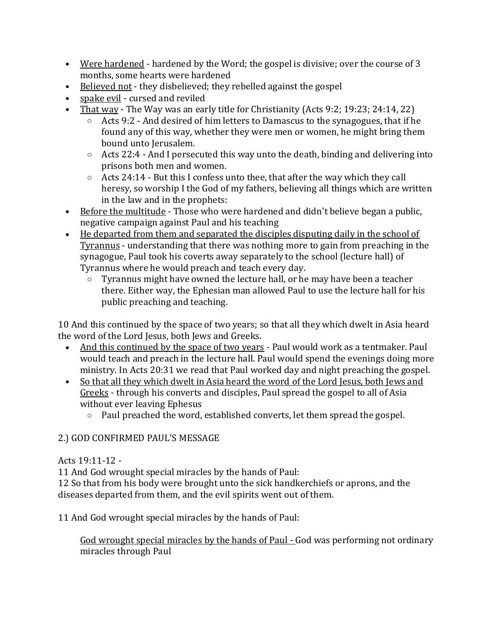- Were hardened hardened by the Word; the gospel is divisive; over the course of 3 months, some hearts were hardened
- Believed not they disbelieved; they rebelled against the gospel
- spake evil cursed and reviled
- That way The Way was an early title for Christianity (Acts 9:2; 19:23; 24:14, 22)
	- $\circ$  Acts 9:2 And desired of him letters to Damascus to the synagogues, that if he found any of this way, whether they were men or women, he might bring them bound unto Jerusalem.
	- $\circ$  Acts 22:4 And I persecuted this way unto the death, binding and delivering into prisons both men and women.
	- $\circ$  Acts 24:14 But this I confess unto thee, that after the way which they call heresy, so worship I the God of my fathers, believing all things which are written in the law and in the prophets:
- Before the multitude Those who were hardened and didn't believe began a public, negative campaign against Paul and his teaching
- He departed from them and separated the disciples disputing daily in the school of Tyrannus - understanding that there was nothing more to gain from preaching in the synagogue, Paul took his coverts away separately to the school (lecture hall) of Tyrannus where he would preach and teach every day.
	- o Tyrannus might have owned the lecture hall, or he may have been a teacher there. Either way, the Ephesian man allowed Paul to use the lecture hall for his public preaching and teaching.

10 And this continued by the space of two years; so that all they which dwelt in Asia heard the word of the Lord Jesus, both Jews and Greeks.

- And this continued by the space of two years Paul would work as a tentmaker. Paul would teach and preach in the lecture hall. Paul would spend the evenings doing more ministry. In Acts 20:31 we read that Paul worked day and night preaching the gospel.
- So that all they which dwelt in Asia heard the word of the Lord Jesus, both Jews and Greeks - through his converts and disciples, Paul spread the gospel to all of Asia without ever leaving Ephesus
	- o Paul preached the word, established converts, let them spread the gospel.

## 2.) GOD CONFIRMED PAUL'S MESSAGE

## Acts 19:11-12 -

11 And God wrought special miracles by the hands of Paul:

12 So that from his body were brought unto the sick handkerchiefs or aprons, and the diseases departed from them, and the evil spirits went out of them.

11 And God wrought special miracles by the hands of Paul:

God wrought special miracles by the hands of Paul - God was performing not ordinary miracles through Paul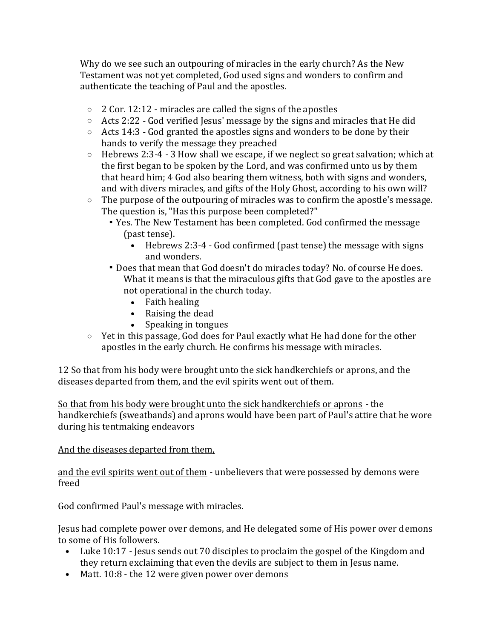Why do we see such an outpouring of miracles in the early church? As the New Testament was not yet completed, God used signs and wonders to confirm and authenticate the teaching of Paul and the apostles.

- $\circ$  2 Cor. 12:12 miracles are called the signs of the apostles
- $\circ$  Acts 2:22 God verified Jesus' message by the signs and miracles that He did
- $\circ$  Acts 14:3 God granted the apostles signs and wonders to be done by their hands to verify the message they preached
- $\circ$  Hebrews 2:3-4 3 How shall we escape, if we neglect so great salvation; which at the first began to be spoken by the Lord, and was confirmed unto us by them that heard him; 4 God also bearing them witness, both with signs and wonders, and with divers miracles, and gifts of the Holy Ghost, according to his own will?
- $\circ$  The purpose of the outpouring of miracles was to confirm the apostle's message. The question is, "Has this purpose been completed?"
	- Yes. The New Testament has been completed. God confirmed the message (past tense).
		- Hebrews 2:3-4 God confirmed (past tense) the message with signs and wonders.
	- Does that mean that God doesn't do miracles today? No. of course He does. What it means is that the miraculous gifts that God gave to the apostles are not operational in the church today.
		- Faith healing
		- Raising the dead
		- Speaking in tongues
- $\circ$  Yet in this passage, God does for Paul exactly what He had done for the other apostles in the early church. He confirms his message with miracles.

12 So that from his body were brought unto the sick handkerchiefs or aprons, and the diseases departed from them, and the evil spirits went out of them.

So that from his body were brought unto the sick handkerchiefs or aprons - the handkerchiefs (sweatbands) and aprons would have been part of Paul's attire that he wore during his tentmaking endeavors

#### And the diseases departed from them,

and the evil spirits went out of them - unbelievers that were possessed by demons were freed

God confirmed Paul's message with miracles.

Jesus had complete power over demons, and He delegated some of His power over demons to some of His followers.

- Luke 10:17 Jesus sends out 70 disciples to proclaim the gospel of the Kingdom and they return exclaiming that even the devils are subject to them in Jesus name.
- Matt. 10:8 the 12 were given power over demons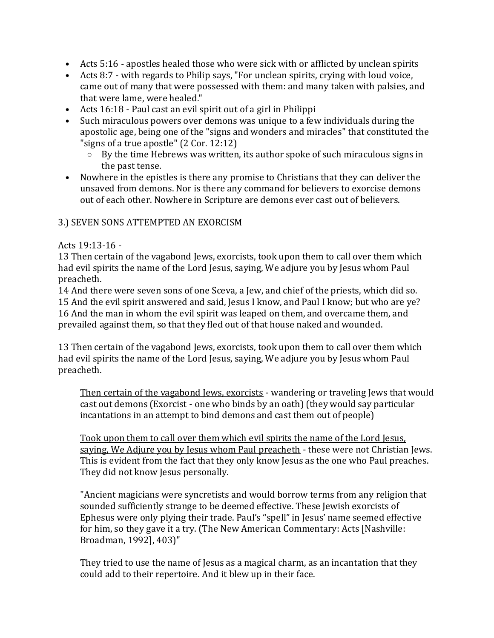- Acts 5:16 apostles healed those who were sick with or afflicted by unclean spirits
- Acts 8:7 with regards to Philip says, "For unclean spirits, crying with loud voice, came out of many that were possessed with them: and many taken with palsies, and that were lame, were healed."
- Acts 16:18 Paul cast an evil spirit out of a girl in Philippi
- Such miraculous powers over demons was unique to a few individuals during the apostolic age, being one of the "signs and wonders and miracles" that constituted the "signs of a true apostle" (2 Cor. 12:12)
	- o By the time Hebrews was written, its author spoke of such miraculous signs in the past tense.
- Nowhere in the epistles is there any promise to Christians that they can deliver the unsaved from demons. Nor is there any command for believers to exorcise demons out of each other. Nowhere in Scripture are demons ever cast out of believers.

#### 3.) SEVEN SONS ATTEMPTED AN EXORCISM

#### Acts 19:13-16 -

13 Then certain of the vagabond Jews, exorcists, took upon them to call over them which had evil spirits the name of the Lord Jesus, saying, We adjure you by Jesus whom Paul preacheth.

14 And there were seven sons of one Sceva, a Jew, and chief of the priests, which did so. 15 And the evil spirit answered and said, Jesus I know, and Paul I know; but who are ye? 16 And the man in whom the evil spirit was leaped on them, and overcame them, and prevailed against them, so that they fled out of that house naked and wounded.

13 Then certain of the vagabond Jews, exorcists, took upon them to call over them which had evil spirits the name of the Lord Jesus, saying, We adjure you by Jesus whom Paul preacheth.

Then certain of the vagabond Jews, exorcists - wandering or traveling Jews that would cast out demons (Exorcist - one who binds by an oath) (they would say particular incantations in an attempt to bind demons and cast them out of people)

Took upon them to call over them which evil spirits the name of the Lord Jesus, saying, We Adjure you by Jesus whom Paul preacheth - these were not Christian Jews. This is evident from the fact that they only know Jesus as the one who Paul preaches. They did not know Jesus personally.

"Ancient magicians were syncretists and would borrow terms from any religion that sounded sufficiently strange to be deemed effective. These Jewish exorcists of Ephesus were only plying their trade. Paul's "spell" in Jesus' name seemed effective for him, so they gave it a try. (The New American Commentary: Acts [Nashville: Broadman, 1992], 403)"

They tried to use the name of Jesus as a magical charm, as an incantation that they could add to their repertoire. And it blew up in their face.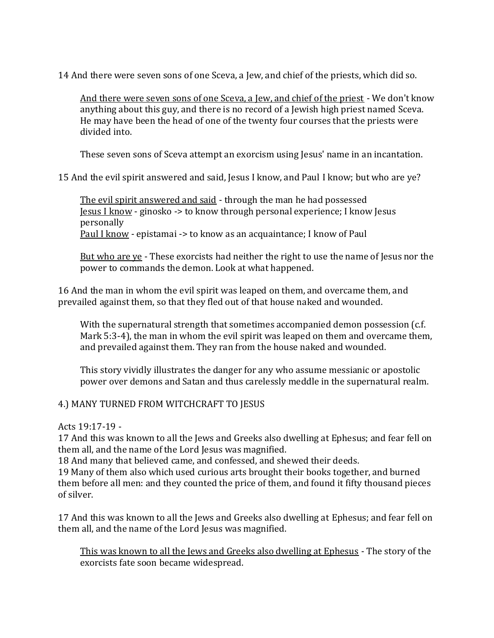14 And there were seven sons of one Sceva, a Jew, and chief of the priests, which did so.

And there were seven sons of one Sceva, a Jew, and chief of the priest - We don't know anything about this guy, and there is no record of a Jewish high priest named Sceva. He may have been the head of one of the twenty four courses that the priests were divided into.

These seven sons of Sceva attempt an exorcism using Jesus' name in an incantation.

15 And the evil spirit answered and said, Jesus I know, and Paul I know; but who are ye?

The evil spirit answered and said - through the man he had possessed Jesus I know - ginosko -> to know through personal experience; I know Jesus personally

Paul I know - epistamai -> to know as an acquaintance; I know of Paul

But who are ye - These exorcists had neither the right to use the name of Jesus nor the power to commands the demon. Look at what happened.

16 And the man in whom the evil spirit was leaped on them, and overcame them, and prevailed against them, so that they fled out of that house naked and wounded.

With the supernatural strength that sometimes accompanied demon possession (c.f. Mark 5:3-4), the man in whom the evil spirit was leaped on them and overcame them, and prevailed against them. They ran from the house naked and wounded.

This story vividly illustrates the danger for any who assume messianic or apostolic power over demons and Satan and thus carelessly meddle in the supernatural realm.

#### 4.) MANY TURNED FROM WITCHCRAFT TO JESUS

Acts 19:17-19 -

17 And this was known to all the Jews and Greeks also dwelling at Ephesus; and fear fell on them all, and the name of the Lord Jesus was magnified.

18 And many that believed came, and confessed, and shewed their deeds.

19 Many of them also which used curious arts brought their books together, and burned them before all men: and they counted the price of them, and found it fifty thousand pieces of silver.

17 And this was known to all the Jews and Greeks also dwelling at Ephesus; and fear fell on them all, and the name of the Lord Jesus was magnified.

This was known to all the Jews and Greeks also dwelling at Ephesus - The story of the exorcists fate soon became widespread.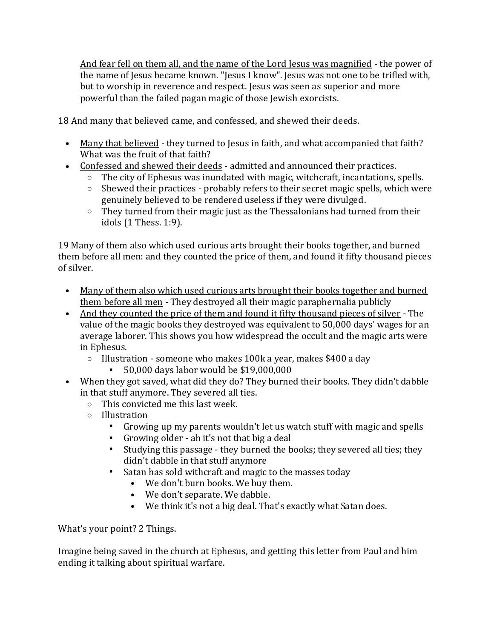And fear fell on them all, and the name of the Lord Jesus was magnified - the power of the name of Jesus became known. "Jesus I know". Jesus was not one to be trifled with, but to worship in reverence and respect. Jesus was seen as superior and more powerful than the failed pagan magic of those Jewish exorcists.

18 And many that believed came, and confessed, and shewed their deeds.

- Many that believed they turned to Jesus in faith, and what accompanied that faith? What was the fruit of that faith?
- Confessed and shewed their deeds admitted and announced their practices.
	- $\circ$  The city of Ephesus was inundated with magic, witchcraft, incantations, spells.
	- $\circ$  Shewed their practices probably refers to their secret magic spells, which were genuinely believed to be rendered useless if they were divulged.
	- $\circ$  They turned from their magic just as the Thessalonians had turned from their idols (1 Thess. 1:9).

19 Many of them also which used curious arts brought their books together, and burned them before all men: and they counted the price of them, and found it fifty thousand pieces of silver.

- Many of them also which used curious arts brought their books together and burned them before all men - They destroyed all their magic paraphernalia publicly
- And they counted the price of them and found it fifty thousand pieces of silver The value of the magic books they destroyed was equivalent to 50,000 days' wages for an average laborer. This shows you how widespread the occult and the magic arts were in Ephesus.
	- o Illustration someone who makes 100k a year, makes \$400 a day
		- 50,000 days labor would be \$19,000,000
- When they got saved, what did they do? They burned their books. They didn't dabble in that stuff anymore. They severed all ties.
	- o This convicted me this last week.
	- o Illustration
		- Growing up my parents wouldn't let us watch stuff with magic and spells
		- Growing older ah it's not that big a deal
		- Studying this passage they burned the books; they severed all ties; they didn't dabble in that stuff anymore
		- Satan has sold withcraft and magic to the masses today
			- We don't burn books. We buy them.
			- We don't separate. We dabble.
			- We think it's not a big deal. That's exactly what Satan does.

What's your point? 2 Things.

Imagine being saved in the church at Ephesus, and getting this letter from Paul and him ending it talking about spiritual warfare.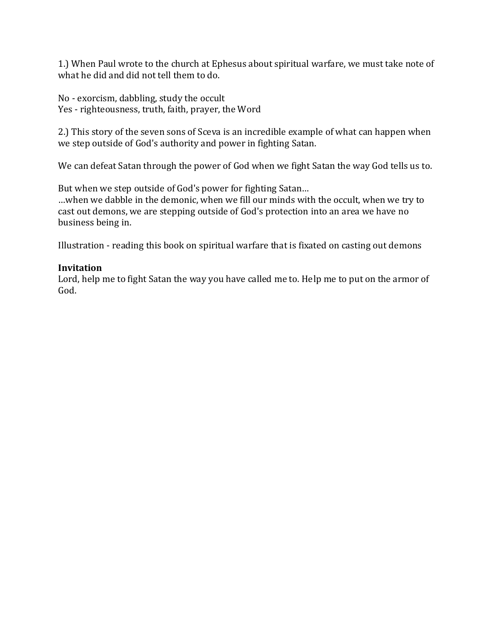1.) When Paul wrote to the church at Ephesus about spiritual warfare, we must take note of what he did and did not tell them to do.

No - exorcism, dabbling, study the occult Yes - righteousness, truth, faith, prayer, the Word

2.) This story of the seven sons of Sceva is an incredible example of what can happen when we step outside of God's authority and power in fighting Satan.

We can defeat Satan through the power of God when we fight Satan the way God tells us to.

But when we step outside of God's power for fighting Satan…

…when we dabble in the demonic, when we fill our minds with the occult, when we try to cast out demons, we are stepping outside of God's protection into an area we have no business being in.

Illustration - reading this book on spiritual warfare that is fixated on casting out demons

#### **Invitation**

Lord, help me to fight Satan the way you have called me to. Help me to put on the armor of God.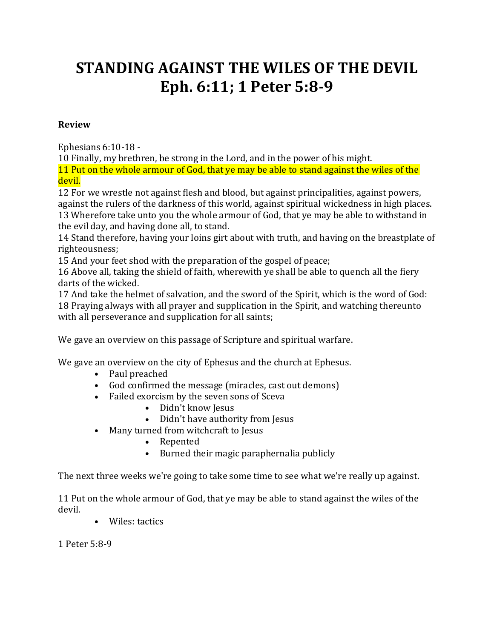# **STANDING AGAINST THE WILES OF THE DEVIL Eph. 6:11; 1 Peter 5:8-9**

#### **Review**

Ephesians 6:10-18 -

10 Finally, my brethren, be strong in the Lord, and in the power of his might.

11 Put on the whole armour of God, that ye may be able to stand against the wiles of the devil.

12 For we wrestle not against flesh and blood, but against principalities, against powers, against the rulers of the darkness of this world, against spiritual wickedness in high places. 13 Wherefore take unto you the whole armour of God, that ye may be able to withstand in the evil day, and having done all, to stand.

14 Stand therefore, having your loins girt about with truth, and having on the breastplate of righteousness;

15 And your feet shod with the preparation of the gospel of peace;

16 Above all, taking the shield of faith, wherewith ye shall be able to quench all the fiery darts of the wicked.

17 And take the helmet of salvation, and the sword of the Spirit, which is the word of God: 18 Praying always with all prayer and supplication in the Spirit, and watching thereunto with all perseverance and supplication for all saints;

We gave an overview on this passage of Scripture and spiritual warfare.

We gave an overview on the city of Ephesus and the church at Ephesus.

- Paul preached
- God confirmed the message (miracles, cast out demons)
- Failed exorcism by the seven sons of Sceva
	- Didn't know Jesus
	- Didn't have authority from Jesus
- Many turned from witchcraft to Jesus
	- Repented
	- Burned their magic paraphernalia publicly

The next three weeks we're going to take some time to see what we're really up against.

11 Put on the whole armour of God, that ye may be able to stand against the wiles of the devil.

• Wiles: tactics

1 Peter 5:8-9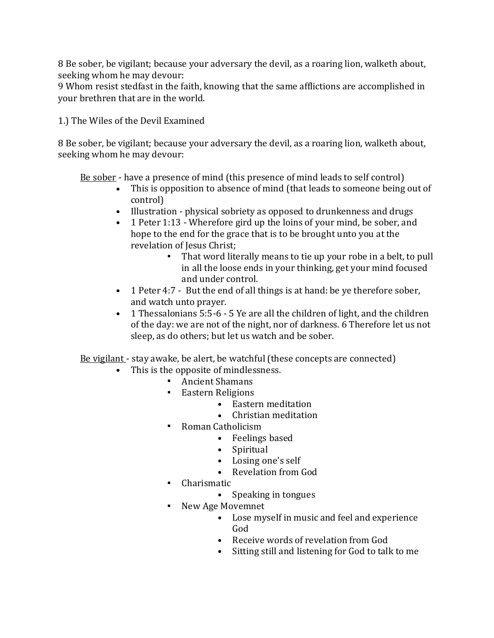8 Be sober, be vigilant; because your adversary the devil, as a roaring lion, walketh about, seeking whom he may devour:

9 Whom resist stedfast in the faith, knowing that the same afflictions are accomplished in your brethren that are in the world.

1.) The Wiles of the Devil Examined

8 Be sober, be vigilant; because your adversary the devil, as a roaring lion, walketh about, seeking whom he may devour:

Be sober - have a presence of mind (this presence of mind leads to self control)

- This is opposition to absence of mind (that leads to someone being out of control)
- Illustration physical sobriety as opposed to drunkenness and drugs
- 1 Peter 1:13 Wherefore gird up the loins of your mind, be sober, and hope to the end for the grace that is to be brought unto you at the revelation of Jesus Christ;
	- That word literally means to tie up your robe in a belt, to pull in all the loose ends in your thinking, get your mind focused and under control.
- 1 Peter 4:7 But the end of all things is at hand: be ye therefore sober, and watch unto prayer.
- 1 Thessalonians 5:5-6 5 Ye are all the children of light, and the children of the day: we are not of the night, nor of darkness. 6 Therefore let us not sleep, as do others; but let us watch and be sober.

Be vigilant - stay awake, be alert, be watchful (these concepts are connected)

- This is the opposite of mindlessness.
	- **•** Ancient Shamans
	- Eastern Religions
		- Eastern meditation
		- Christian meditation
	- Roman Catholicism
		- Feelings based
		- Spiritual
		- Losing one's self
		- Revelation from God
	- Charismatic
		- Speaking in tongues
	- New Age Movemnet
		- Lose myself in music and feel and experience God
		- Receive words of revelation from God
		- Sitting still and listening for God to talk to me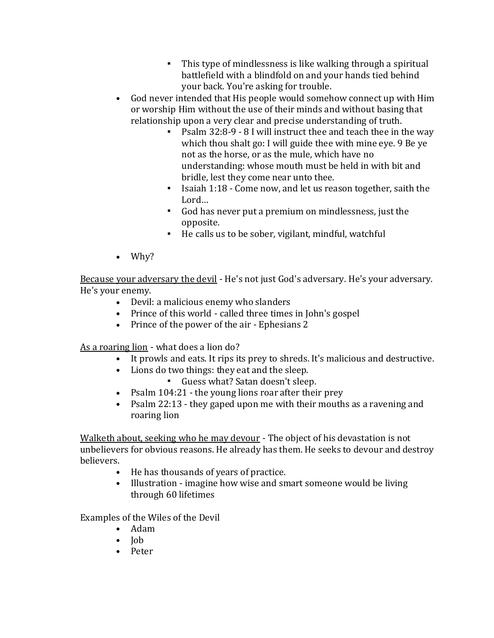- This type of mindlessness is like walking through a spiritual battlefield with a blindfold on and your hands tied behind your back. You're asking for trouble.
- God never intended that His people would somehow connect up with Him or worship Him without the use of their minds and without basing that relationship upon a very clear and precise understanding of truth.
	- Psalm 32:8-9 8 I will instruct thee and teach thee in the way which thou shalt go: I will guide thee with mine eye. 9 Be ye not as the horse, or as the mule, which have no understanding: whose mouth must be held in with bit and bridle, lest they come near unto thee.
	- Isaiah 1:18 Come now, and let us reason together, saith the Lord…
	- God has never put a premium on mindlessness, just the opposite.
	- He calls us to be sober, vigilant, mindful, watchful
- Why?

Because your adversary the devil - He's not just God's adversary. He's your adversary. He's your enemy.

- Devil: a malicious enemy who slanders
- Prince of this world called three times in John's gospel
- Prince of the power of the air Ephesians 2

As a roaring lion - what does a lion do?

- It prowls and eats. It rips its prey to shreds. It's malicious and destructive.
- Lions do two things: they eat and the sleep.
	- Guess what? Satan doesn't sleep.
- Psalm 104:21 the young lions roar after their prey
- Psalm 22:13 they gaped upon me with their mouths as a ravening and roaring lion

Walketh about, seeking who he may devour - The object of his devastation is not unbelievers for obvious reasons. He already has them. He seeks to devour and destroy believers.

- He has thousands of years of practice.
- Illustration imagine how wise and smart someone would be living through 60 lifetimes

Examples of the Wiles of the Devil

- Adam
- Job
- Peter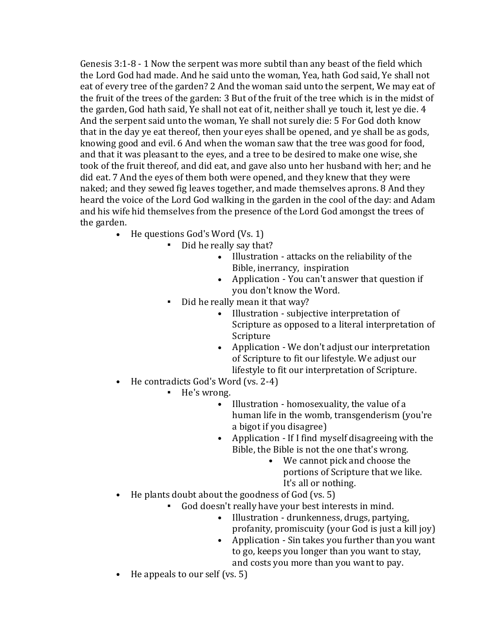Genesis 3:1-8 - 1 Now the serpent was more subtil than any beast of the field which the Lord God had made. And he said unto the woman, Yea, hath God said, Ye shall not eat of every tree of the garden? 2 And the woman said unto the serpent, We may eat of the fruit of the trees of the garden: 3 But of the fruit of the tree which is in the midst of the garden, God hath said, Ye shall not eat of it, neither shall ye touch it, lest ye die. 4 And the serpent said unto the woman, Ye shall not surely die: 5 For God doth know that in the day ye eat thereof, then your eyes shall be opened, and ye shall be as gods, knowing good and evil. 6 And when the woman saw that the tree was good for food, and that it was pleasant to the eyes, and a tree to be desired to make one wise, she took of the fruit thereof, and did eat, and gave also unto her husband with her; and he did eat. 7 And the eyes of them both were opened, and they knew that they were naked; and they sewed fig leaves together, and made themselves aprons. 8 And they heard the voice of the Lord God walking in the garden in the cool of the day: and Adam and his wife hid themselves from the presence of the Lord God amongst the trees of the garden.

- He questions God's Word (Vs. 1)
	- Did he really say that?
		- Illustration attacks on the reliability of the Bible, inerrancy, inspiration
		- Application You can't answer that question if you don't know the Word.
	- Did he really mean it that way?
		- Illustration subjective interpretation of Scripture as opposed to a literal interpretation of Scripture
		- Application We don't adjust our interpretation of Scripture to fit our lifestyle. We adjust our lifestyle to fit our interpretation of Scripture.
- He contradicts God's Word (vs. 2-4)
	- He's wrong.
		- Illustration homosexuality, the value of a human life in the womb, transgenderism (you're a bigot if you disagree)
		- Application If I find myself disagreeing with the Bible, the Bible is not the one that's wrong.
			- We cannot pick and choose the portions of Scripture that we like. It's all or nothing.
- He plants doubt about the goodness of God (vs. 5)
	- God doesn't really have your best interests in mind.
		- Illustration drunkenness, drugs, partying, profanity, promiscuity (your God is just a kill joy)
		- Application Sin takes you further than you want to go, keeps you longer than you want to stay, and costs you more than you want to pay.
- He appeals to our self (vs. 5)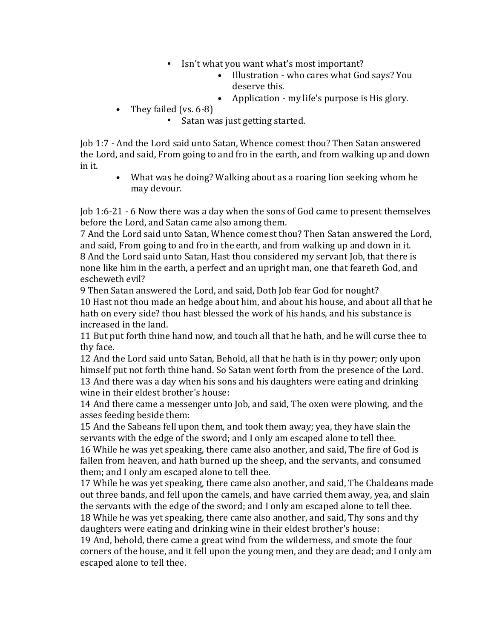- Isn't what you want what's most important?
	- Illustration who cares what God says? You deserve this.
	- Application my life's purpose is His glory.
- They failed (vs. 6-8)
	- Satan was just getting started.

Job 1:7 - And the Lord said unto Satan, Whence comest thou? Then Satan answered the Lord, and said, From going to and fro in the earth, and from walking up and down in it.

• What was he doing? Walking about as a roaring lion seeking whom he may devour.

Job 1:6-21 - 6 Now there was a day when the sons of God came to present themselves before the Lord, and Satan came also among them.

7 And the Lord said unto Satan, Whence comest thou? Then Satan answered the Lord, and said, From going to and fro in the earth, and from walking up and down in it. 8 And the Lord said unto Satan, Hast thou considered my servant Job, that there is none like him in the earth, a perfect and an upright man, one that feareth God, and escheweth evil?

9 Then Satan answered the Lord, and said, Doth Job fear God for nought? 10 Hast not thou made an hedge about him, and about his house, and about all that he hath on every side? thou hast blessed the work of his hands, and his substance is

increased in the land.

11 But put forth thine hand now, and touch all that he hath, and he will curse thee to thy face.

12 And the Lord said unto Satan, Behold, all that he hath is in thy power; only upon himself put not forth thine hand. So Satan went forth from the presence of the Lord. 13 And there was a day when his sons and his daughters were eating and drinking wine in their eldest brother's house:

14 And there came a messenger unto Job, and said, The oxen were plowing, and the asses feeding beside them:

15 And the Sabeans fell upon them, and took them away; yea, they have slain the servants with the edge of the sword; and I only am escaped alone to tell thee. 16 While he was yet speaking, there came also another, and said, The fire of God is fallen from heaven, and hath burned up the sheep, and the servants, and consumed them; and I only am escaped alone to tell thee.

17 While he was yet speaking, there came also another, and said, The Chaldeans made out three bands, and fell upon the camels, and have carried them away, yea, and slain the servants with the edge of the sword; and I only am escaped alone to tell thee. 18 While he was yet speaking, there came also another, and said, Thy sons and thy daughters were eating and drinking wine in their eldest brother's house:

19 And, behold, there came a great wind from the wilderness, and smote the four corners of the house, and it fell upon the young men, and they are dead; and I only am escaped alone to tell thee.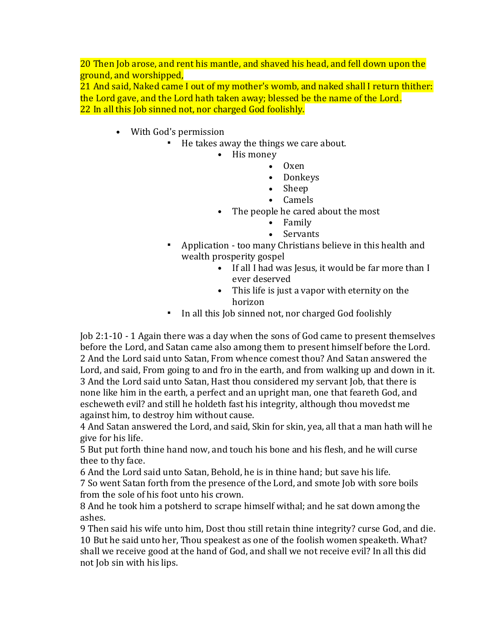20 Then Job arose, and rent his mantle, and shaved his head, and fell down upon the ground, and worshipped,

21 And said, Naked came I out of my mother's womb, and naked shall I return thither: the Lord gave, and the Lord hath taken away; blessed be the name of the Lord. 22 In all this Job sinned not, nor charged God foolishly.

- With God's permission
	- He takes away the things we care about.
		- His money
			- Oxen
			- Donkeys
			- Sheep
			- Camels
		- The people he cared about the most
			- Family
			- Servants
		- Application too many Christians believe in this health and wealth prosperity gospel
			- If all I had was Jesus, it would be far more than I ever deserved
			- This life is just a vapor with eternity on the horizon
		- In all this Job sinned not, nor charged God foolishly

Job 2:1-10 - 1 Again there was a day when the sons of God came to present themselves before the Lord, and Satan came also among them to present himself before the Lord. 2 And the Lord said unto Satan, From whence comest thou? And Satan answered the Lord, and said, From going to and fro in the earth, and from walking up and down in it. 3 And the Lord said unto Satan, Hast thou considered my servant Job, that there is none like him in the earth, a perfect and an upright man, one that feareth God, and escheweth evil? and still he holdeth fast his integrity, although thou movedst me against him, to destroy him without cause.

4 And Satan answered the Lord, and said, Skin for skin, yea, all that a man hath will he give for his life.

5 But put forth thine hand now, and touch his bone and his flesh, and he will curse thee to thy face.

6 And the Lord said unto Satan, Behold, he is in thine hand; but save his life.

7 So went Satan forth from the presence of the Lord, and smote Job with sore boils from the sole of his foot unto his crown.

8 And he took him a potsherd to scrape himself withal; and he sat down among the ashes.

9 Then said his wife unto him, Dost thou still retain thine integrity? curse God, and die. 10 But he said unto her, Thou speakest as one of the foolish women speaketh. What? shall we receive good at the hand of God, and shall we not receive evil? In all this did not Job sin with his lips.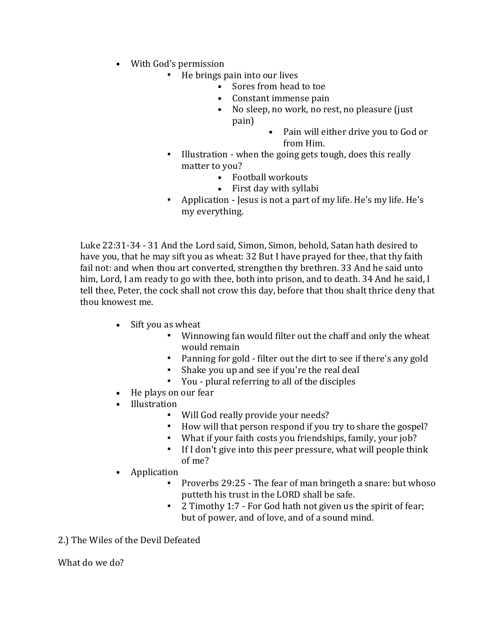- With God's permission
	- He brings pain into our lives
		- Sores from head to toe
			- Constant immense pain
			- No sleep, no work, no rest, no pleasure (just pain)
				- Pain will either drive you to God or from Him.
	- Illustration when the going gets tough, does this really matter to you?
		- Football workouts
		- First day with syllabi
	- Application Jesus is not a part of my life. He's my life. He's my everything.

Luke 22:31-34 - 31 And the Lord said, Simon, Simon, behold, Satan hath desired to have you, that he may sift you as wheat: 32 But I have prayed for thee, that thy faith fail not: and when thou art converted, strengthen thy brethren. 33 And he said unto him, Lord, I am ready to go with thee, both into prison, and to death. 34 And he said, I tell thee, Peter, the cock shall not crow this day, before that thou shalt thrice deny that thou knowest me.

- Sift you as wheat
	- Winnowing fan would filter out the chaff and only the wheat would remain
	- Panning for gold filter out the dirt to see if there's any gold
	- Shake you up and see if you're the real deal
	- You plural referring to all of the disciples
- He plays on our fear
- Illustration
	- Will God really provide your needs?
	- How will that person respond if you try to share the gospel?
	- What if your faith costs you friendships, family, your job?
	- If I don't give into this peer pressure, what will people think of me?
- Application
	- Proverbs 29:25 The fear of man bringeth a snare: but whoso putteth his trust in the LORD shall be safe.
	- 2 Timothy 1:7 For God hath not given us the spirit of fear; but of power, and of love, and of a sound mind.

#### 2.) The Wiles of the Devil Defeated

What do we do?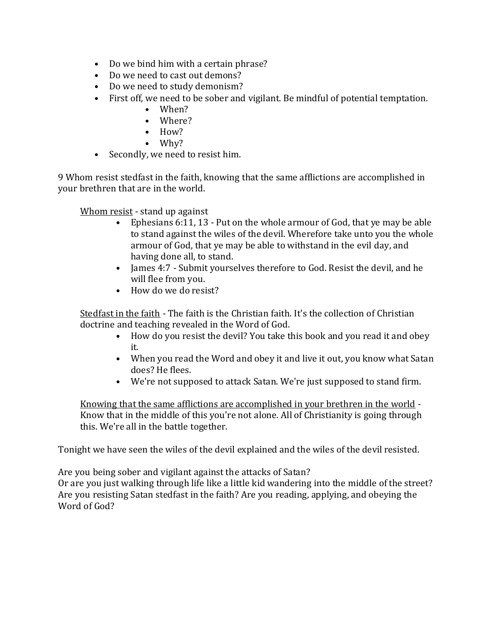- Do we bind him with a certain phrase?
- Do we need to cast out demons?
- Do we need to study demonism?
- First off, we need to be sober and vigilant. Be mindful of potential temptation.
	- When?
	- Where?
	- How?
	- Why?
- Secondly, we need to resist him.

9 Whom resist stedfast in the faith, knowing that the same afflictions are accomplished in your brethren that are in the world.

Whom resist - stand up against

- Ephesians 6:11, 13 Put on the whole armour of God, that ye may be able to stand against the wiles of the devil. Wherefore take unto you the whole armour of God, that ye may be able to withstand in the evil day, and having done all, to stand.
- James 4:7 Submit yourselves therefore to God. Resist the devil, and he will flee from you.
- How do we do resist?

Stedfast in the faith - The faith is the Christian faith. It's the collection of Christian doctrine and teaching revealed in the Word of God.

- How do you resist the devil? You take this book and you read it and obey it.
- When you read the Word and obey it and live it out, you know what Satan does? He flees.
- We're not supposed to attack Satan. We're just supposed to stand firm.

Knowing that the same afflictions are accomplished in your brethren in the world - Know that in the middle of this you're not alone. All of Christianity is going through this. We're all in the battle together.

Tonight we have seen the wiles of the devil explained and the wiles of the devil resisted.

Are you being sober and vigilant against the attacks of Satan?

Or are you just walking through life like a little kid wandering into the middle of the street? Are you resisting Satan stedfast in the faith? Are you reading, applying, and obeying the Word of God?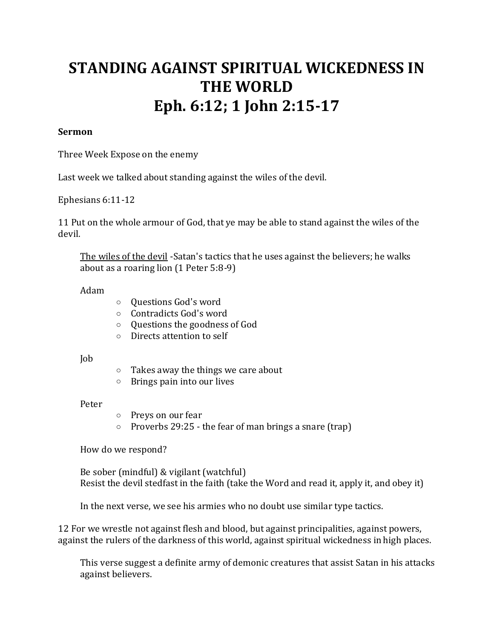# **STANDING AGAINST SPIRITUAL WICKEDNESS IN THE WORLD Eph. 6:12; 1 John 2:15-17**

#### **Sermon**

Three Week Expose on the enemy

Last week we talked about standing against the wiles of the devil.

Ephesians 6:11-12

11 Put on the whole armour of God, that ye may be able to stand against the wiles of the devil.

The wiles of the devil -Satan's tactics that he uses against the believers; he walks about as a roaring lion (1 Peter 5:8-9)

Adam

- o Questions God's word
- o Contradicts God's word
- o Questions the goodness of God
- o Directs attention to self

Job

- o Takes away the things we care about
- o Brings pain into our lives

Peter

- o Preys on our fear
- $\circ$  Proverbs 29:25 the fear of man brings a snare (trap)

How do we respond?

Be sober (mindful) & vigilant (watchful) Resist the devil stedfast in the faith (take the Word and read it, apply it, and obey it)

In the next verse, we see his armies who no doubt use similar type tactics.

12 For we wrestle not against flesh and blood, but against principalities, against powers, against the rulers of the darkness of this world, against spiritual wickedness in high places.

This verse suggest a definite army of demonic creatures that assist Satan in his attacks against believers.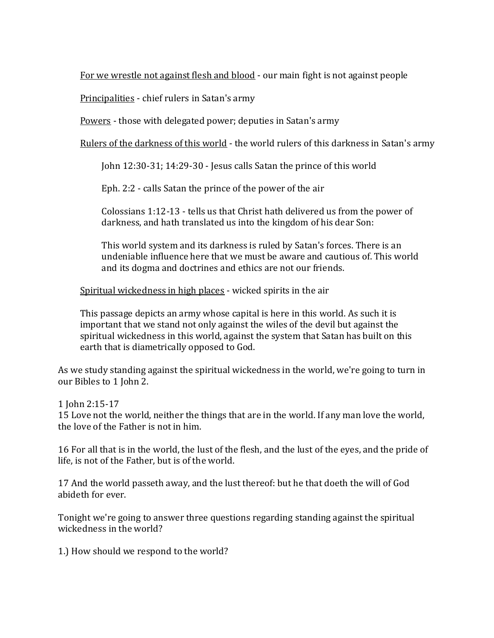For we wrestle not against flesh and blood - our main fight is not against people

Principalities - chief rulers in Satan's army

Powers - those with delegated power; deputies in Satan's army

Rulers of the darkness of this world - the world rulers of this darkness in Satan's army

John 12:30-31; 14:29-30 - Jesus calls Satan the prince of this world

Eph. 2:2 - calls Satan the prince of the power of the air

Colossians 1:12-13 - tells us that Christ hath delivered us from the power of darkness, and hath translated us into the kingdom of his dear Son:

This world system and its darkness is ruled by Satan's forces. There is an undeniable influence here that we must be aware and cautious of. This world and its dogma and doctrines and ethics are not our friends.

Spiritual wickedness in high places - wicked spirits in the air

This passage depicts an army whose capital is here in this world. As such it is important that we stand not only against the wiles of the devil but against the spiritual wickedness in this world, against the system that Satan has built on this earth that is diametrically opposed to God.

As we study standing against the spiritual wickedness in the world, we're going to turn in our Bibles to 1 John 2.

1 John 2:15-17

15 Love not the world, neither the things that are in the world. If any man love the world, the love of the Father is not in him.

16 For all that is in the world, the lust of the flesh, and the lust of the eyes, and the pride of life, is not of the Father, but is of the world.

17 And the world passeth away, and the lust thereof: but he that doeth the will of God abideth for ever.

Tonight we're going to answer three questions regarding standing against the spiritual wickedness in the world?

1.) How should we respond to the world?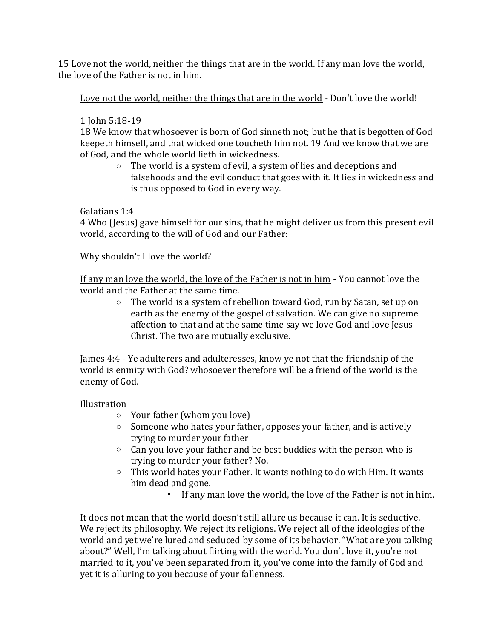15 Love not the world, neither the things that are in the world. If any man love the world, the love of the Father is not in him.

Love not the world, neither the things that are in the world - Don't love the world!

## 1 John 5:18-19

18 We know that whosoever is born of God sinneth not; but he that is begotten of God keepeth himself, and that wicked one toucheth him not. 19 And we know that we are of God, and the whole world lieth in wickedness.

o The world is a system of evil, a system of lies and deceptions and falsehoods and the evil conduct that goes with it. It lies in wickedness and is thus opposed to God in every way.

Galatians 1:4

4 Who (Jesus) gave himself for our sins, that he might deliver us from this present evil world, according to the will of God and our Father:

Why shouldn't I love the world?

If any man love the world, the love of the Father is not in him - You cannot love the world and the Father at the same time.

o The world is a system of rebellion toward God, run by Satan, set up on earth as the enemy of the gospel of salvation. We can give no supreme affection to that and at the same time say we love God and love Jesus Christ. The two are mutually exclusive.

James 4:4 - Ye adulterers and adulteresses, know ye not that the friendship of the world is enmity with God? whosoever therefore will be a friend of the world is the enemy of God.

## Illustration

- o Your father (whom you love)
- o Someone who hates your father, opposes your father, and is actively trying to murder your father
- o Can you love your father and be best buddies with the person who is trying to murder your father? No.
- $\circ$  This world hates your Father. It wants nothing to do with Him. It wants him dead and gone.
	- If any man love the world, the love of the Father is not in him.

It does not mean that the world doesn't still allure us because it can. It is seductive. We reject its philosophy. We reject its religions. We reject all of the ideologies of the world and yet we're lured and seduced by some of its behavior. "What are you talking about?" Well, I'm talking about flirting with the world. You don't love it, you're not married to it, you've been separated from it, you've come into the family of God and yet it is alluring to you because of your fallenness.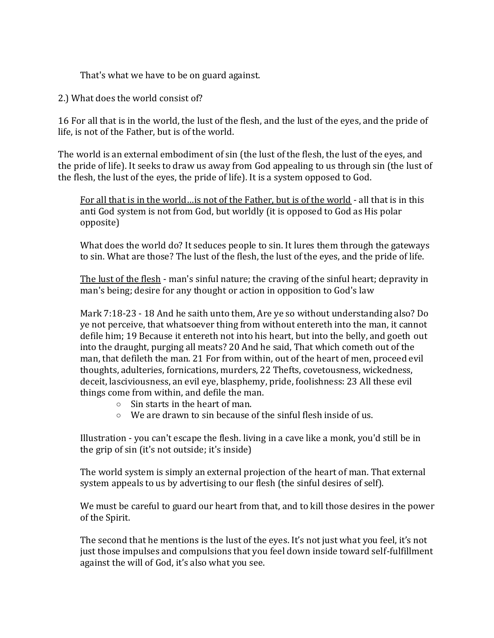That's what we have to be on guard against.

2.) What does the world consist of?

16 For all that is in the world, the lust of the flesh, and the lust of the eyes, and the pride of life, is not of the Father, but is of the world.

The world is an external embodiment of sin (the lust of the flesh, the lust of the eyes, and the pride of life). It seeks to draw us away from God appealing to us through sin (the lust of the flesh, the lust of the eyes, the pride of life). It is a system opposed to God.

For all that is in the world…is not of the Father, but is of the world - all that is in this anti God system is not from God, but worldly (it is opposed to God as His polar opposite)

What does the world do? It seduces people to sin. It lures them through the gateways to sin. What are those? The lust of the flesh, the lust of the eyes, and the pride of life.

The lust of the flesh - man's sinful nature; the craving of the sinful heart; depravity in man's being; desire for any thought or action in opposition to God's law

Mark 7:18-23 - 18 And he saith unto them, Are ye so without understanding also? Do ye not perceive, that whatsoever thing from without entereth into the man, it cannot defile him; 19 Because it entereth not into his heart, but into the belly, and goeth out into the draught, purging all meats? 20 And he said, That which cometh out of the man, that defileth the man. 21 For from within, out of the heart of men, proceed evil thoughts, adulteries, fornications, murders, 22 Thefts, covetousness, wickedness, deceit, lasciviousness, an evil eye, blasphemy, pride, foolishness: 23 All these evil things come from within, and defile the man.

- o Sin starts in the heart of man.
- o We are drawn to sin because of the sinful flesh inside of us.

Illustration - you can't escape the flesh. living in a cave like a monk, you'd still be in the grip of sin (it's not outside; it's inside)

The world system is simply an external projection of the heart of man. That external system appeals to us by advertising to our flesh (the sinful desires of self).

We must be careful to guard our heart from that, and to kill those desires in the power of the Spirit.

The second that he mentions is the lust of the eyes. It's not just what you feel, it's not just those impulses and compulsions that you feel down inside toward self-fulfillment against the will of God, it's also what you see.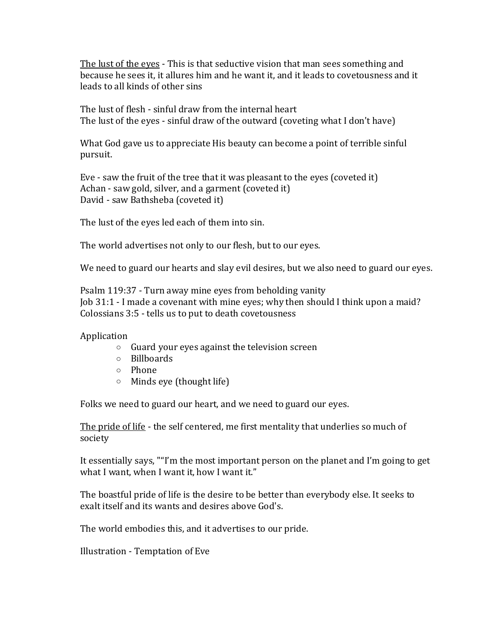The lust of the eyes - This is that seductive vision that man sees something and because he sees it, it allures him and he want it, and it leads to covetousness and it leads to all kinds of other sins

The lust of flesh - sinful draw from the internal heart The lust of the eyes - sinful draw of the outward (coveting what I don't have)

What God gave us to appreciate His beauty can become a point of terrible sinful pursuit.

Eve - saw the fruit of the tree that it was pleasant to the eyes (coveted it) Achan - saw gold, silver, and a garment (coveted it) David - saw Bathsheba (coveted it)

The lust of the eyes led each of them into sin.

The world advertises not only to our flesh, but to our eyes.

We need to guard our hearts and slay evil desires, but we also need to guard our eyes.

Psalm 119:37 - Turn away mine eyes from beholding vanity Job 31:1 - I made a covenant with mine eyes; why then should I think upon a maid? Colossians 3:5 - tells us to put to death covetousness

Application

- o Guard your eyes against the television screen
- o Billboards
- o Phone
- o Minds eye (thought life)

Folks we need to guard our heart, and we need to guard our eyes.

The pride of life - the self centered, me first mentality that underlies so much of society

It essentially says, ""I'm the most important person on the planet and I'm going to get what I want, when I want it, how I want it."

The boastful pride of life is the desire to be better than everybody else. It seeks to exalt itself and its wants and desires above God's.

The world embodies this, and it advertises to our pride.

Illustration - Temptation of Eve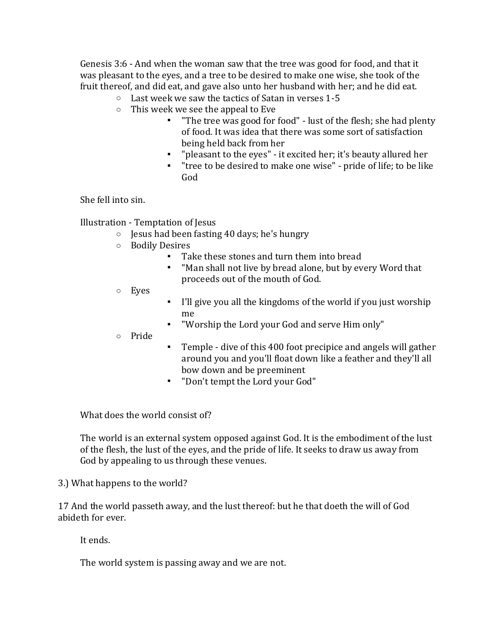Genesis 3:6 - And when the woman saw that the tree was good for food, and that it was pleasant to the eyes, and a tree to be desired to make one wise, she took of the fruit thereof, and did eat, and gave also unto her husband with her; and he did eat.

- o Last week we saw the tactics of Satan in verses 1-5
- o This week we see the appeal to Eve
	- "The tree was good for food" lust of the flesh; she had plenty of food. It was idea that there was some sort of satisfaction being held back from her
	- "pleasant to the eyes" it excited her; it's beauty allured her
	- "tree to be desired to make one wise" pride of life; to be like God

She fell into sin.

Illustration - Temptation of Jesus

- o Jesus had been fasting 40 days; he's hungry
- o Bodily Desires
	- Take these stones and turn them into bread
	- "Man shall not live by bread alone, but by every Word that proceeds out of the mouth of God.
- o Eyes
- I'll give you all the kingdoms of the world if you just worship me
- "Worship the Lord your God and serve Him only"
- o Pride
- Temple dive of this 400 foot precipice and angels will gather around you and you'll float down like a feather and they'll all bow down and be preeminent
- "Don't tempt the Lord your God"

What does the world consist of?

The world is an external system opposed against God. It is the embodiment of the lust of the flesh, the lust of the eyes, and the pride of life. It seeks to draw us away from God by appealing to us through these venues.

3.) What happens to the world?

17 And the world passeth away, and the lust thereof: but he that doeth the will of God abideth for ever.

It ends.

The world system is passing away and we are not.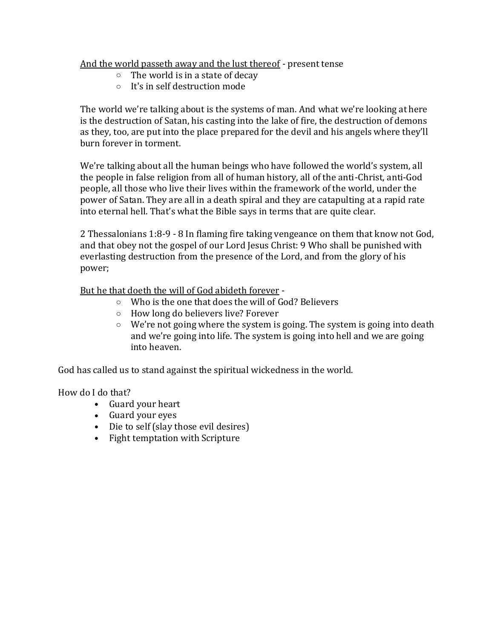#### And the world passeth away and the lust thereof - present tense

- o The world is in a state of decay
- o It's in self destruction mode

The world we're talking about is the systems of man. And what we're looking at here is the destruction of Satan, his casting into the lake of fire, the destruction of demons as they, too, are put into the place prepared for the devil and his angels where they'll burn forever in torment.

We're talking about all the human beings who have followed the world's system, all the people in false religion from all of human history, all of the anti-Christ, anti-God people, all those who live their lives within the framework of the world, under the power of Satan. They are all in a death spiral and they are catapulting at a rapid rate into eternal hell. That's what the Bible says in terms that are quite clear.

2 Thessalonians 1:8-9 - 8 In flaming fire taking vengeance on them that know not God, and that obey not the gospel of our Lord Jesus Christ: 9 Who shall be punished with everlasting destruction from the presence of the Lord, and from the glory of his power;

But he that doeth the will of God abideth forever -

- o Who is the one that does the will of God? Believers
- o How long do believers live? Forever
- $\circ$  We're not going where the system is going. The system is going into death and we're going into life. The system is going into hell and we are going into heaven.

God has called us to stand against the spiritual wickedness in the world.

How do I do that?

- Guard your heart
- Guard your eyes
- Die to self (slay those evil desires)
- Fight temptation with Scripture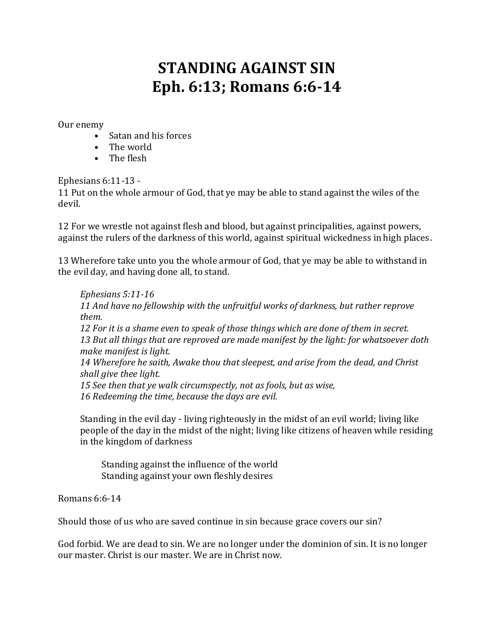# **STANDING AGAINST SIN Eph. 6:13; Romans 6:6-14**

Our enemy

- Satan and his forces
- The world
- The flesh

Ephesians 6:11-13 -

11 Put on the whole armour of God, that ye may be able to stand against the wiles of the devil.

12 For we wrestle not against flesh and blood, but against principalities, against powers, against the rulers of the darkness of this world, against spiritual wickedness in high places.

13 Wherefore take unto you the whole armour of God, that ye may be able to withstand in the evil day, and having done all, to stand.

*Ephesians 5:11-16 11 And have no fellowship with the unfruitful works of darkness, but rather reprove them. 12 For it is a shame even to speak of those things which are done of them in secret. 13 But all things that are reproved are made manifest by the light: for whatsoever doth make manifest is light. 14 Wherefore he saith, Awake thou that sleepest, and arise from the dead, and Christ shall give thee light. 15 See then that ye walk circumspectly, not as fools, but as wise, 16 Redeeming the time, because the days are evil.*

Standing in the evil day - living righteously in the midst of an evil world; living like people of the day in the midst of the night; living like citizens of heaven while residing in the kingdom of darkness

Standing against the influence of the world Standing against your own fleshly desires

Romans 6:6-14

Should those of us who are saved continue in sin because grace covers our sin?

God forbid. We are dead to sin. We are no longer under the dominion of sin. It is no longer our master. Christ is our master. We are in Christ now.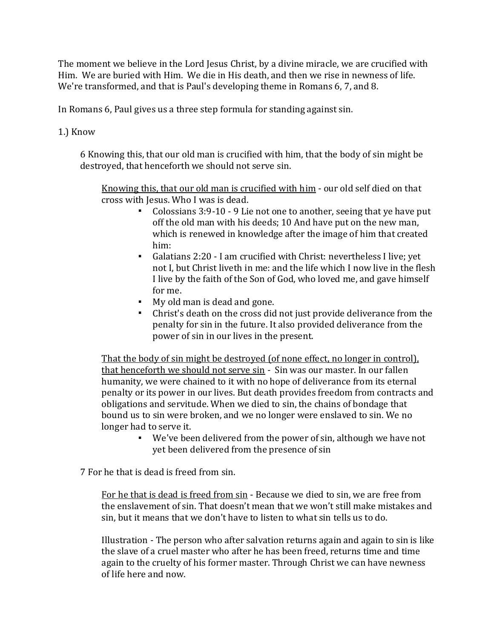The moment we believe in the Lord Jesus Christ, by a divine miracle, we are crucified with Him. We are buried with Him. We die in His death, and then we rise in newness of life. We're transformed, and that is Paul's developing theme in Romans 6, 7, and 8.

In Romans 6, Paul gives us a three step formula for standing against sin.

1.) Know

6 Knowing this, that our old man is crucified with him, that the body of sin might be destroyed, that henceforth we should not serve sin.

Knowing this, that our old man is crucified with him - our old self died on that cross with Jesus. Who I was is dead.

- Colossians 3:9-10 9 Lie not one to another, seeing that ye have put off the old man with his deeds; 10 And have put on the new man, which is renewed in knowledge after the image of him that created him:
- Galatians 2:20 I am crucified with Christ: nevertheless I live; yet not I, but Christ liveth in me: and the life which I now live in the flesh I live by the faith of the Son of God, who loved me, and gave himself for me.
- My old man is dead and gone.
- Christ's death on the cross did not just provide deliverance from the penalty for sin in the future. It also provided deliverance from the power of sin in our lives in the present.

That the body of sin might be destroyed (of none effect, no longer in control), that henceforth we should not serve sin - Sin was our master. In our fallen humanity, we were chained to it with no hope of deliverance from its eternal penalty or its power in our lives. But death provides freedom from contracts and obligations and servitude. When we died to sin, the chains of bondage that bound us to sin were broken, and we no longer were enslaved to sin. We no longer had to serve it.

▪ We've been delivered from the power of sin, although we have not yet been delivered from the presence of sin

7 For he that is dead is freed from sin.

For he that is dead is freed from sin - Because we died to sin, we are free from the enslavement of sin. That doesn't mean that we won't still make mistakes and sin, but it means that we don't have to listen to what sin tells us to do.

Illustration - The person who after salvation returns again and again to sin is like the slave of a cruel master who after he has been freed, returns time and time again to the cruelty of his former master. Through Christ we can have newness of life here and now.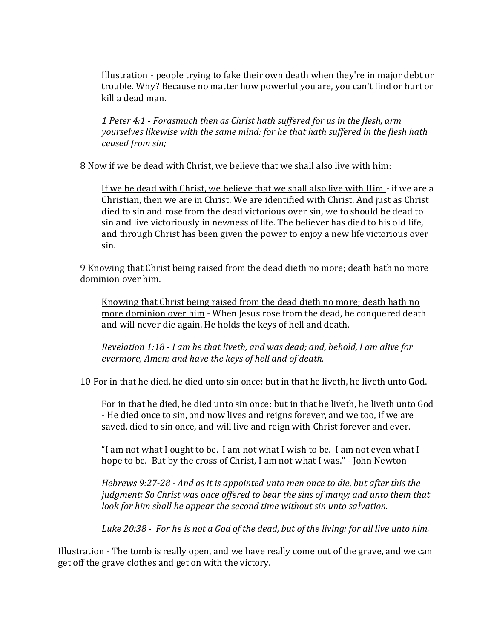Illustration - people trying to fake their own death when they're in major debt or trouble. Why? Because no matter how powerful you are, you can't find or hurt or kill a dead man.

*1 Peter 4:1 - Forasmuch then as Christ hath suffered for us in the flesh, arm yourselves likewise with the same mind: for he that hath suffered in the flesh hath ceased from sin;*

8 Now if we be dead with Christ, we believe that we shall also live with him:

If we be dead with Christ, we believe that we shall also live with Him - if we are a Christian, then we are in Christ. We are identified with Christ. And just as Christ died to sin and rose from the dead victorious over sin, we to should be dead to sin and live victoriously in newness of life. The believer has died to his old life, and through Christ has been given the power to enjoy a new life victorious over sin.

9 Knowing that Christ being raised from the dead dieth no more; death hath no more dominion over him.

Knowing that Christ being raised from the dead dieth no more; death hath no more dominion over him - When Jesus rose from the dead, he conquered death and will never die again. He holds the keys of hell and death.

*Revelation 1:18 - I am he that liveth, and was dead; and, behold, I am alive for evermore, Amen; and have the keys of hell and of death.*

10 For in that he died, he died unto sin once: but in that he liveth, he liveth unto God.

For in that he died, he died unto sin once: but in that he liveth, he liveth unto God - He died once to sin, and now lives and reigns forever, and we too, if we are saved, died to sin once, and will live and reign with Christ forever and ever.

"I am not what I ought to be. I am not what I wish to be. I am not even what I hope to be. But by the cross of Christ, I am not what I was." - John Newton

*Hebrews 9:27-28 - And as it is appointed unto men once to die, but after this the judgment: So Christ was once offered to bear the sins of many; and unto them that look for him shall he appear the second time without sin unto salvation.*

*Luke 20:38 - For he is not a God of the dead, but of the living: for all live unto him.*

Illustration - The tomb is really open, and we have really come out of the grave, and we can get off the grave clothes and get on with the victory.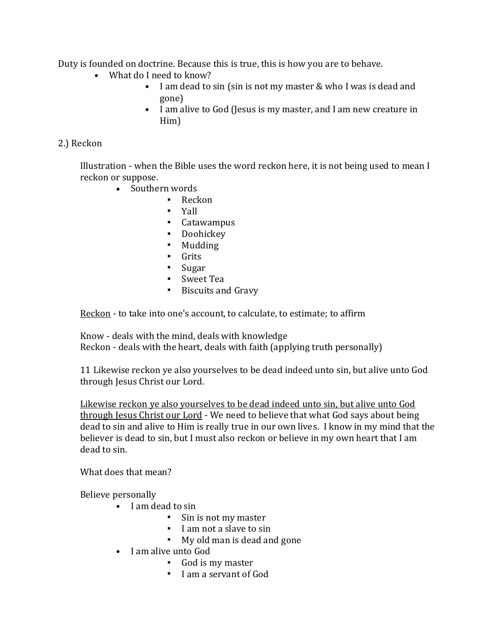Duty is founded on doctrine. Because this is true, this is how you are to behave.

- What do I need to know?
	- I am dead to sin (sin is not my master & who I was is dead and gone)
	- I am alive to God (Jesus is my master, and I am new creature in Him)

## 2.) Reckon

Illustration - when the Bible uses the word reckon here, it is not being used to mean I reckon or suppose.

- Southern words
	- Reckon
	- Yall
	- Catawampus
	- Doohickey
	- Mudding
	- Grits
	- Sugar
	- Sweet Tea
	- Biscuits and Gravy

Reckon - to take into one's account, to calculate, to estimate; to affirm

Know - deals with the mind, deals with knowledge Reckon - deals with the heart, deals with faith (applying truth personally)

11 Likewise reckon ye also yourselves to be dead indeed unto sin, but alive unto God through Jesus Christ our Lord.

Likewise reckon ye also yourselves to be dead indeed unto sin, but alive unto God through Jesus Christ our Lord - We need to believe that what God says about being dead to sin and alive to Him is really true in our own lives. I know in my mind that the believer is dead to sin, but I must also reckon or believe in my own heart that I am dead to sin.

What does that mean?

Believe personally

- I am dead to sin
	- Sin is not my master
	- I am not a slave to sin
	- My old man is dead and gone
- I am alive unto God
	- God is my master
	- I am a servant of God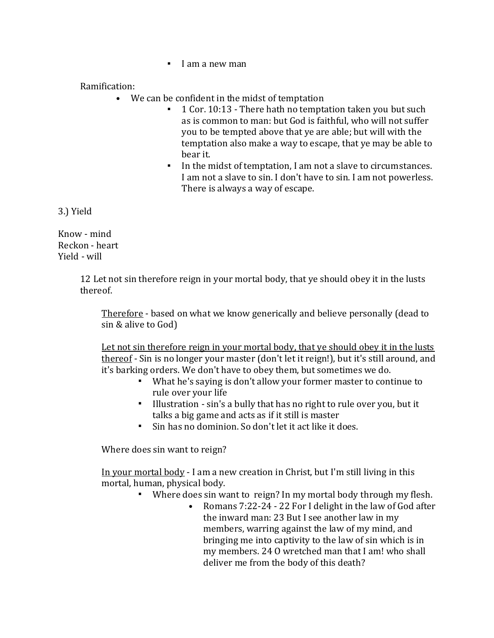▪ I am a new man

#### Ramification:

- We can be confident in the midst of temptation
	- 1 Cor. 10:13 There hath no temptation taken you but such as is common to man: but God is faithful, who will not suffer you to be tempted above that ye are able; but will with the temptation also make a way to escape, that ye may be able to bear it.
	- In the midst of temptation, I am not a slave to circumstances. I am not a slave to sin. I don't have to sin. I am not powerless. There is always a way of escape.

3.) Yield

Know - mind Reckon - heart Yield - will

> 12 Let not sin therefore reign in your mortal body, that ye should obey it in the lusts thereof.

Therefore - based on what we know generically and believe personally (dead to sin & alive to God)

Let not sin therefore reign in your mortal body, that ye should obey it in the lusts thereof - Sin is no longer your master (don't let it reign!), but it's still around, and it's barking orders. We don't have to obey them, but sometimes we do.

- What he's saying is don't allow your former master to continue to rule over your life
- Illustration sin's a bully that has no right to rule over you, but it talks a big game and acts as if it still is master
- Sin has no dominion. So don't let it act like it does.

Where does sin want to reign?

In your mortal body - I am a new creation in Christ, but I'm still living in this mortal, human, physical body.

- Where does sin want to reign? In my mortal body through my flesh.
	- Romans 7:22-24 22 For I delight in the law of God after the inward man: 23 But I see another law in my members, warring against the law of my mind, and bringing me into captivity to the law of sin which is in my members. 24 O wretched man that I am! who shall deliver me from the body of this death?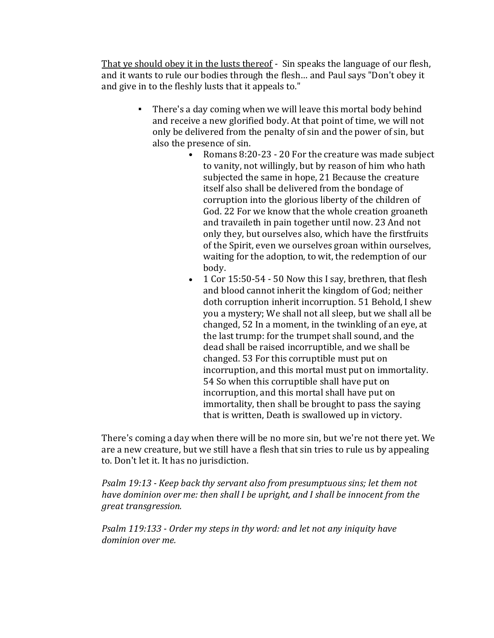That ye should obey it in the lusts thereof - Sin speaks the language of our flesh, and it wants to rule our bodies through the flesh… and Paul says "Don't obey it and give in to the fleshly lusts that it appeals to."

- There's a day coming when we will leave this mortal body behind and receive a new glorified body. At that point of time, we will not only be delivered from the penalty of sin and the power of sin, but also the presence of sin.
	- Romans 8:20-23 20 For the creature was made subject to vanity, not willingly, but by reason of him who hath subjected the same in hope, 21 Because the creature itself also shall be delivered from the bondage of corruption into the glorious liberty of the children of God. 22 For we know that the whole creation groaneth and travaileth in pain together until now. 23 And not only they, but ourselves also, which have the firstfruits of the Spirit, even we ourselves groan within ourselves, waiting for the adoption, to wit, the redemption of our body.
	- 1 Cor 15:50-54 50 Now this I say, brethren, that flesh and blood cannot inherit the kingdom of God; neither doth corruption inherit incorruption. 51 Behold, I shew you a mystery; We shall not all sleep, but we shall all be changed, 52 In a moment, in the twinkling of an eye, at the last trump: for the trumpet shall sound, and the dead shall be raised incorruptible, and we shall be changed. 53 For this corruptible must put on incorruption, and this mortal must put on immortality. 54 So when this corruptible shall have put on incorruption, and this mortal shall have put on immortality, then shall be brought to pass the saying that is written, Death is swallowed up in victory.

There's coming a day when there will be no more sin, but we're not there yet. We are a new creature, but we still have a flesh that sin tries to rule us by appealing to. Don't let it. It has no jurisdiction.

*Psalm 19:13 - Keep back thy servant also from presumptuous sins; let them not have dominion over me: then shall I be upright, and I shall be innocent from the great transgression.*

*Psalm 119:133 - Order my steps in thy word: and let not any iniquity have dominion over me.*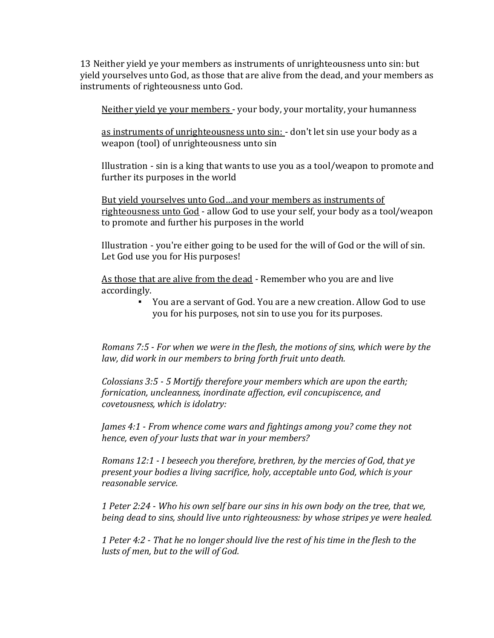13 Neither yield ye your members as instruments of unrighteousness unto sin: but yield yourselves unto God, as those that are alive from the dead, and your members as instruments of righteousness unto God.

Neither yield ye your members - your body, your mortality, your humanness

as instruments of unrighteousness unto sin: - don't let sin use your body as a weapon (tool) of unrighteousness unto sin

Illustration - sin is a king that wants to use you as a tool/weapon to promote and further its purposes in the world

But yield yourselves unto God…and your members as instruments of righteousness unto God - allow God to use your self, your body as a tool/weapon to promote and further his purposes in the world

Illustration - you're either going to be used for the will of God or the will of sin. Let God use you for His purposes!

As those that are alive from the dead - Remember who you are and live accordingly.

> ▪ You are a servant of God. You are a new creation. Allow God to use you for his purposes, not sin to use you for its purposes.

*Romans 7:5 - For when we were in the flesh, the motions of sins, which were by the law, did work in our members to bring forth fruit unto death.*

*Colossians 3:5 - 5 Mortify therefore your members which are upon the earth; fornication, uncleanness, inordinate affection, evil concupiscence, and covetousness, which is idolatry:*

*James 4:1 - From whence come wars and fightings among you? come they not hence, even of your lusts that war in your members?*

*Romans 12:1 - I beseech you therefore, brethren, by the mercies of God, that ye present your bodies a living sacrifice, holy, acceptable unto God, which is your reasonable service.*

*1 Peter 2:24 - Who his own self bare our sins in his own body on the tree, that we, being dead to sins, should live unto righteousness: by whose stripes ye were healed.*

*1 Peter 4:2 - That he no longer should live the rest of his time in the flesh to the lusts of men, but to the will of God.*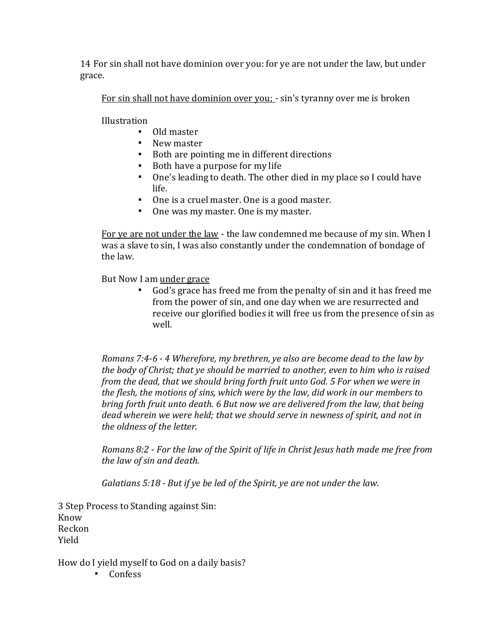14 For sin shall not have dominion over you: for ye are not under the law, but under grace.

For sin shall not have dominion over you; - sin's tyranny over me is broken

Illustration

- Old master
- New master
- Both are pointing me in different directions
- Both have a purpose for my life
- One's leading to death. The other died in my place so I could have life.
- One is a cruel master. One is a good master.
- One was my master. One is my master.

For ye are not under the law - the law condemned me because of my sin. When I was a slave to sin, I was also constantly under the condemnation of bondage of the law.

But Now I am under grace

▪ God's grace has freed me from the penalty of sin and it has freed me from the power of sin, and one day when we are resurrected and receive our glorified bodies it will free us from the presence of sin as well.

*Romans 7:4-6 - 4 Wherefore, my brethren, ye also are become dead to the law by the body of Christ; that ye should be married to another, even to him who is raised from the dead, that we should bring forth fruit unto God. 5 For when we were in the flesh, the motions of sins, which were by the law, did work in our members to bring forth fruit unto death. 6 But now we are delivered from the law, that being dead wherein we were held; that we should serve in newness of spirit, and not in the oldness of the letter.*

*Romans 8:2 - For the law of the Spirit of life in Christ Jesus hath made me free from the law of sin and death.*

*Galatians 5:18 - But if ye be led of the Spirit, ye are not under the law.*

3 Step Process to Standing against Sin: Know Reckon Yield

How do I yield myself to God on a daily basis?

▪ Confess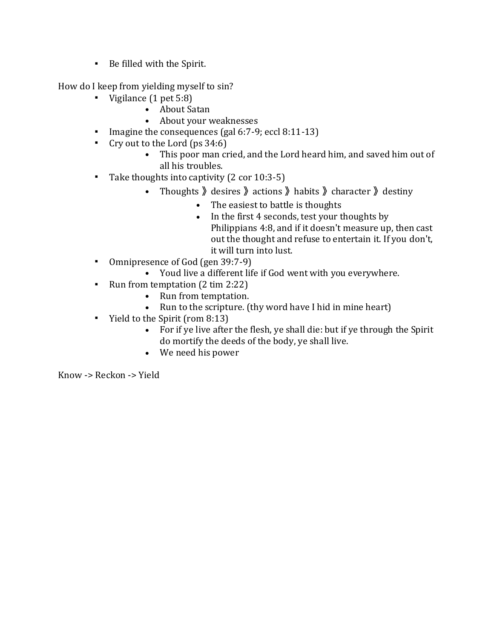▪ Be filled with the Spirit.

How do I keep from yielding myself to sin?

- Vigilance (1 pet 5:8)
	- About Satan
	- About your weaknesses
- Imagine the consequences (gal 6:7-9; eccl 8:11-13)
- Cry out to the Lord (ps  $34:6$ )
	- This poor man cried, and the Lord heard him, and saved him out of all his troubles.
- Take thoughts into captivity (2 cor 10:3-5)
	- Thoughts » desires » actions » habits » character » destiny
		- The easiest to battle is thoughts
		- In the first 4 seconds, test your thoughts by Philippians 4:8, and if it doesn't measure up, then cast out the thought and refuse to entertain it. If you don't, it will turn into lust.
- Omnipresence of God (gen 39:7-9)
	- Youd live a different life if God went with you everywhere.
- Run from temptation (2 tim 2:22)
	- Run from temptation.
	- Run to the scripture. (thy word have I hid in mine heart)
- Yield to the Spirit (rom 8:13)
	- For if ye live after the flesh, ye shall die: but if ye through the Spirit do mortify the deeds of the body, ye shall live.
	- We need his power

Know -> Reckon -> Yield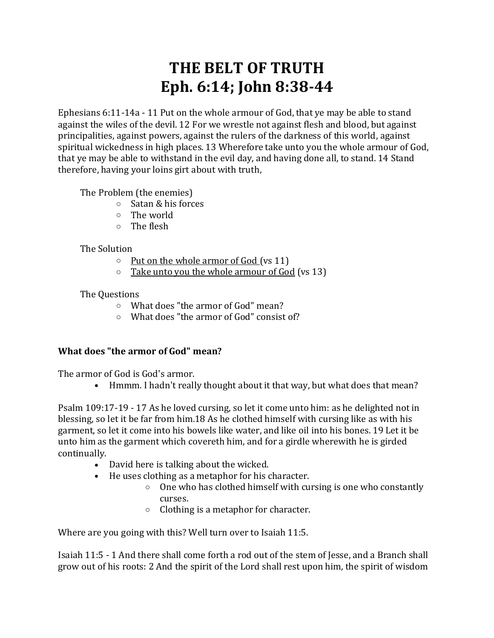# **THE BELT OF TRUTH Eph. 6:14; John 8:38-44**

Ephesians 6:11-14a - 11 Put on the whole armour of God, that ye may be able to stand against the wiles of the devil. 12 For we wrestle not against flesh and blood, but against principalities, against powers, against the rulers of the darkness of this world, against spiritual wickedness in high places. 13 Wherefore take unto you the whole armour of God, that ye may be able to withstand in the evil day, and having done all, to stand. 14 Stand therefore, having your loins girt about with truth,

The Problem (the enemies)

- o Satan & his forces
- o The world
- o The flesh

## The Solution

- $\circ$  Put on the whole armor of God (vs 11)
- $\circ$  Take unto you the whole armour of God (vs 13)

#### The Questions

- o What does "the armor of God" mean?
- o What does "the armor of God" consist of?

## **What does "the armor of God" mean?**

The armor of God is God's armor.

• Hmmm. I hadn't really thought about it that way, but what does that mean?

Psalm 109:17-19 - 17 As he loved cursing, so let it come unto him: as he delighted not in blessing, so let it be far from him.18 As he clothed himself with cursing like as with his garment, so let it come into his bowels like water, and like oil into his bones. 19 Let it be unto him as the garment which covereth him, and for a girdle wherewith he is girded continually.

- David here is talking about the wicked.
- He uses clothing as a metaphor for his character.
	- o One who has clothed himself with cursing is one who constantly curses.
	- o Clothing is a metaphor for character.

Where are you going with this? Well turn over to Isaiah 11:5.

Isaiah 11:5 - 1 And there shall come forth a rod out of the stem of Jesse, and a Branch shall grow out of his roots: 2 And the spirit of the Lord shall rest upon him, the spirit of wisdom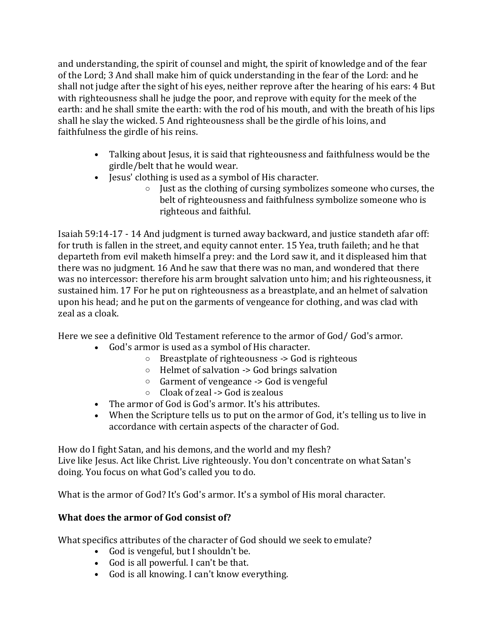and understanding, the spirit of counsel and might, the spirit of knowledge and of the fear of the Lord; 3 And shall make him of quick understanding in the fear of the Lord: and he shall not judge after the sight of his eyes, neither reprove after the hearing of his ears: 4 But with righteousness shall he judge the poor, and reprove with equity for the meek of the earth: and he shall smite the earth: with the rod of his mouth, and with the breath of his lips shall he slay the wicked. 5 And righteousness shall be the girdle of his loins, and faithfulness the girdle of his reins.

- Talking about Jesus, it is said that righteousness and faithfulness would be the girdle/belt that he would wear.
- Jesus' clothing is used as a symbol of His character.
	- $\circ$  Just as the clothing of cursing symbolizes someone who curses, the belt of righteousness and faithfulness symbolize someone who is righteous and faithful.

Isaiah 59:14-17 - 14 And judgment is turned away backward, and justice standeth afar off: for truth is fallen in the street, and equity cannot enter. 15 Yea, truth faileth; and he that departeth from evil maketh himself a prey: and the Lord saw it, and it displeased him that there was no judgment. 16 And he saw that there was no man, and wondered that there was no intercessor: therefore his arm brought salvation unto him; and his righteousness, it sustained him. 17 For he put on righteousness as a breastplate, and an helmet of salvation upon his head; and he put on the garments of vengeance for clothing, and was clad with zeal as a cloak.

Here we see a definitive Old Testament reference to the armor of God/ God's armor.

- God's armor is used as a symbol of His character.
	- o Breastplate of righteousness -> God is righteous
	- o Helmet of salvation -> God brings salvation
	- $\circ$  Garment of vengeance  $\sim$  God is vengeful
	- $\circ$  Cloak of zeal -> God is zealous
- The armor of God is God's armor. It's his attributes.
- When the Scripture tells us to put on the armor of God, it's telling us to live in accordance with certain aspects of the character of God.

How do I fight Satan, and his demons, and the world and my flesh? Live like Jesus. Act like Christ. Live righteously. You don't concentrate on what Satan's doing. You focus on what God's called you to do.

What is the armor of God? It's God's armor. It's a symbol of His moral character.

## **What does the armor of God consist of?**

What specifics attributes of the character of God should we seek to emulate?

- God is vengeful, but I shouldn't be.
- God is all powerful. I can't be that.
- God is all knowing. I can't know everything.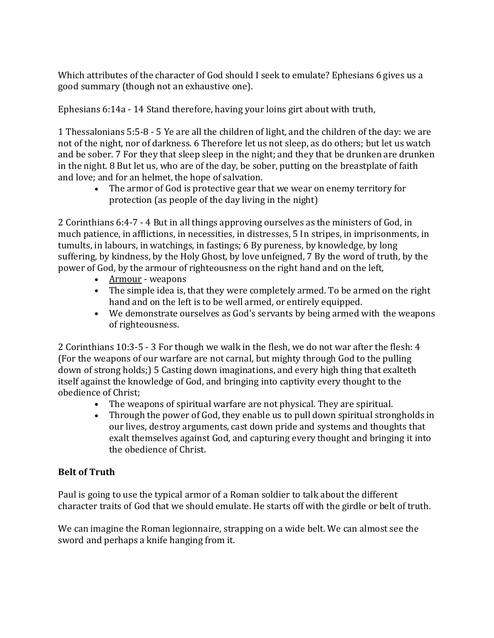Which attributes of the character of God should I seek to emulate? Ephesians 6 gives us a good summary (though not an exhaustive one).

Ephesians 6:14a - 14 Stand therefore, having your loins girt about with truth,

1 Thessalonians 5:5-8 - 5 Ye are all the children of light, and the children of the day: we are not of the night, nor of darkness. 6 Therefore let us not sleep, as do others; but let us watch and be sober. 7 For they that sleep sleep in the night; and they that be drunken are drunken in the night. 8 But let us, who are of the day, be sober, putting on the breastplate of faith and love; and for an helmet, the hope of salvation.

• The armor of God is protective gear that we wear on enemy territory for protection (as people of the day living in the night)

2 Corinthians 6:4-7 - 4 But in all things approving ourselves as the ministers of God, in much patience, in afflictions, in necessities, in distresses, 5 In stripes, in imprisonments, in tumults, in labours, in watchings, in fastings; 6 By pureness, by knowledge, by long suffering, by kindness, by the Holy Ghost, by love unfeigned, 7 By the word of truth, by the power of God, by the armour of righteousness on the right hand and on the left,

- Armour weapons
- The simple idea is, that they were completely armed. To be armed on the right hand and on the left is to be well armed, or entirely equipped.
- We demonstrate ourselves as God's servants by being armed with the weapons of righteousness.

2 Corinthians 10:3-5 - 3 For though we walk in the flesh, we do not war after the flesh: 4 (For the weapons of our warfare are not carnal, but mighty through God to the pulling down of strong holds;) 5 Casting down imaginations, and every high thing that exalteth itself against the knowledge of God, and bringing into captivity every thought to the obedience of Christ;

- The weapons of spiritual warfare are not physical. They are spiritual.
- Through the power of God, they enable us to pull down spiritual strongholds in our lives, destroy arguments, cast down pride and systems and thoughts that exalt themselves against God, and capturing every thought and bringing it into the obedience of Christ.

## **Belt of Truth**

Paul is going to use the typical armor of a Roman soldier to talk about the different character traits of God that we should emulate. He starts off with the girdle or belt of truth.

We can imagine the Roman legionnaire, strapping on a wide belt. We can almost see the sword and perhaps a knife hanging from it.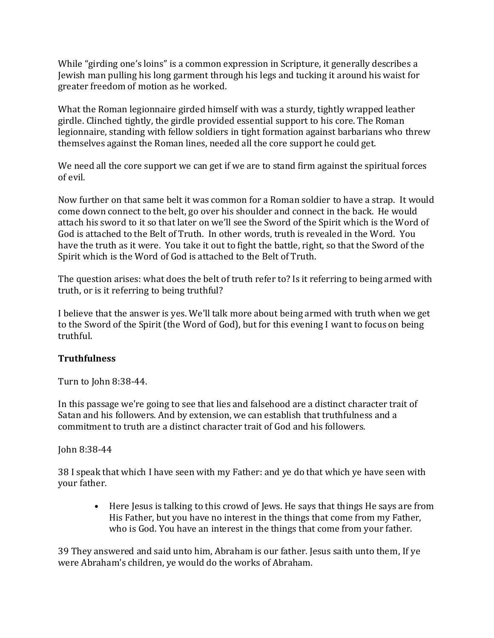While "girding one's loins" is a common expression in Scripture, it generally describes a Jewish man pulling his long garment through his legs and tucking it around his waist for greater freedom of motion as he worked.

What the Roman legionnaire girded himself with was a sturdy, tightly wrapped leather girdle. Clinched tightly, the girdle provided essential support to his core. The Roman legionnaire, standing with fellow soldiers in tight formation against barbarians who threw themselves against the Roman lines, needed all the core support he could get.

We need all the core support we can get if we are to stand firm against the spiritual forces of evil.

Now further on that same belt it was common for a Roman soldier to have a strap. It would come down connect to the belt, go over his shoulder and connect in the back. He would attach his sword to it so that later on we'll see the Sword of the Spirit which is the Word of God is attached to the Belt of Truth. In other words, truth is revealed in the Word. You have the truth as it were. You take it out to fight the battle, right, so that the Sword of the Spirit which is the Word of God is attached to the Belt of Truth.

The question arises: what does the belt of truth refer to? Is it referring to being armed with truth, or is it referring to being truthful?

I believe that the answer is yes. We'll talk more about being armed with truth when we get to the Sword of the Spirit (the Word of God), but for this evening I want to focus on being truthful.

## **Truthfulness**

Turn to John 8:38-44.

In this passage we're going to see that lies and falsehood are a distinct character trait of Satan and his followers. And by extension, we can establish that truthfulness and a commitment to truth are a distinct character trait of God and his followers.

#### John 8:38-44

38 I speak that which I have seen with my Father: and ye do that which ye have seen with your father.

• Here Jesus is talking to this crowd of Jews. He says that things He says are from His Father, but you have no interest in the things that come from my Father, who is God. You have an interest in the things that come from your father.

39 They answered and said unto him, Abraham is our father. Jesus saith unto them, If ye were Abraham's children, ye would do the works of Abraham.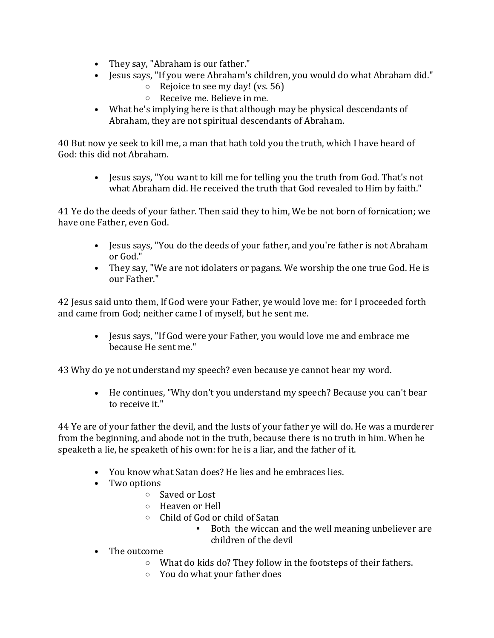- They say, "Abraham is our father."
- Jesus says, "If you were Abraham's children, you would do what Abraham did."
	- o Rejoice to see my day! (vs. 56)
	- o Receive me. Believe in me.
- What he's implying here is that although may be physical descendants of Abraham, they are not spiritual descendants of Abraham.

40 But now ye seek to kill me, a man that hath told you the truth, which I have heard of God: this did not Abraham.

• Jesus says, "You want to kill me for telling you the truth from God. That's not what Abraham did. He received the truth that God revealed to Him by faith."

41 Ye do the deeds of your father. Then said they to him, We be not born of fornication; we have one Father, even God.

- Jesus says, "You do the deeds of your father, and you're father is not Abraham or God."
- They say, "We are not idolaters or pagans. We worship the one true God. He is our Father."

42 Jesus said unto them, If God were your Father, ye would love me: for I proceeded forth and came from God; neither came I of myself, but he sent me.

• Jesus says, "If God were your Father, you would love me and embrace me because He sent me."

43 Why do ye not understand my speech? even because ye cannot hear my word.

• He continues, "Why don't you understand my speech? Because you can't bear to receive it."

44 Ye are of your father the devil, and the lusts of your father ye will do. He was a murderer from the beginning, and abode not in the truth, because there is no truth in him. When he speaketh a lie, he speaketh of his own: for he is a liar, and the father of it.

- You know what Satan does? He lies and he embraces lies.
- Two options
	- o Saved or Lost
	- o Heaven or Hell
	- o Child of God or child of Satan
		- Both the wiccan and the well meaning unbeliever are children of the devil
- The outcome
	- o What do kids do? They follow in the footsteps of their fathers.
	- o You do what your father does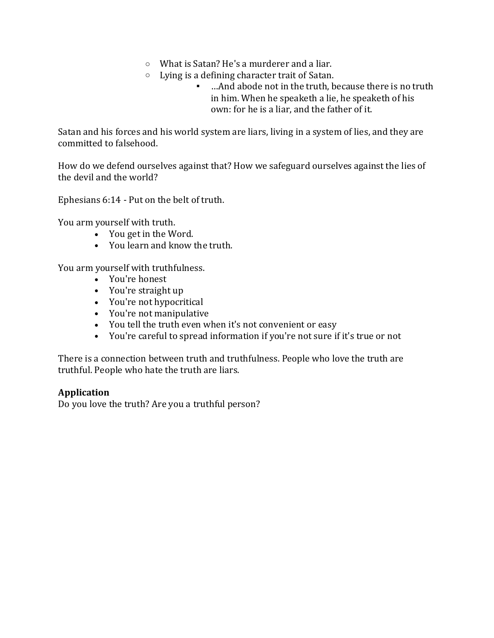- o What is Satan? He's a murderer and a liar.
- o Lying is a defining character trait of Satan.
	- …And abode not in the truth, because there is no truth in him. When he speaketh a lie, he speaketh of his own: for he is a liar, and the father of it.

Satan and his forces and his world system are liars, living in a system of lies, and they are committed to falsehood.

How do we defend ourselves against that? How we safeguard ourselves against the lies of the devil and the world?

Ephesians 6:14 - Put on the belt of truth.

You arm yourself with truth.

- You get in the Word.
- You learn and know the truth.

You arm yourself with truthfulness.

- You're honest
- You're straight up
- You're not hypocritical
- You're not manipulative
- You tell the truth even when it's not convenient or easy
- You're careful to spread information if you're not sure if it's true or not

There is a connection between truth and truthfulness. People who love the truth are truthful. People who hate the truth are liars.

## **Application**

Do you love the truth? Are you a truthful person?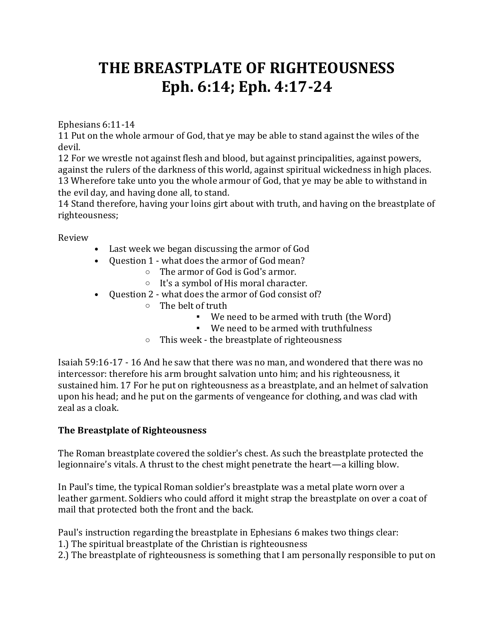# **THE BREASTPLATE OF RIGHTEOUSNESS Eph. 6:14; Eph. 4:17-24**

Ephesians 6:11-14

11 Put on the whole armour of God, that ye may be able to stand against the wiles of the devil.

12 For we wrestle not against flesh and blood, but against principalities, against powers, against the rulers of the darkness of this world, against spiritual wickedness in high places. 13 Wherefore take unto you the whole armour of God, that ye may be able to withstand in the evil day, and having done all, to stand.

14 Stand therefore, having your loins girt about with truth, and having on the breastplate of righteousness;

Review

- Last week we began discussing the armor of God
- Question 1 what does the armor of God mean?
	- o The armor of God is God's armor.
	- o It's a symbol of His moral character.
- Question 2 what does the armor of God consist of?
	- o The belt of truth
		- We need to be armed with truth (the Word)
		- We need to be armed with truthfulness
	- o This week the breastplate of righteousness

Isaiah 59:16-17 - 16 And he saw that there was no man, and wondered that there was no intercessor: therefore his arm brought salvation unto him; and his righteousness, it sustained him. 17 For he put on righteousness as a breastplate, and an helmet of salvation upon his head; and he put on the garments of vengeance for clothing, and was clad with zeal as a cloak.

#### **The Breastplate of Righteousness**

The Roman breastplate covered the soldier's chest. As such the breastplate protected the legionnaire's vitals. A thrust to the chest might penetrate the heart—a killing blow.

In Paul's time, the typical Roman soldier's breastplate was a metal plate worn over a leather garment. Soldiers who could afford it might strap the breastplate on over a coat of mail that protected both the front and the back.

Paul's instruction regarding the breastplate in Ephesians 6 makes two things clear:

- 1.) The spiritual breastplate of the Christian is righteousness
- 2.) The breastplate of righteousness is something that I am personally responsible to put on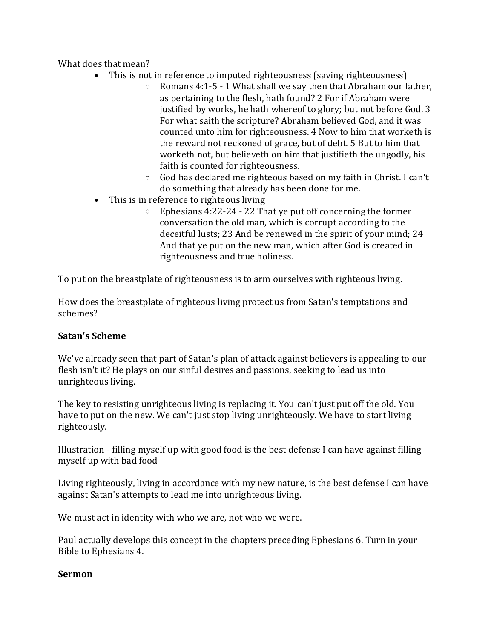What does that mean?

- This is not in reference to imputed righteousness (saving righteousness)
	- o Romans 4:1-5 1 What shall we say then that Abraham our father, as pertaining to the flesh, hath found? 2 For if Abraham were justified by works, he hath whereof to glory; but not before God. 3 For what saith the scripture? Abraham believed God, and it was counted unto him for righteousness. 4 Now to him that worketh is the reward not reckoned of grace, but of debt. 5 But to him that worketh not, but believeth on him that justifieth the ungodly, his faith is counted for righteousness.
	- o God has declared me righteous based on my faith in Christ. I can't do something that already has been done for me.
- This is in reference to righteous living
	- $\circ$  Ephesians 4:22-24 22 That ye put off concerning the former conversation the old man, which is corrupt according to the deceitful lusts; 23 And be renewed in the spirit of your mind; 24 And that ye put on the new man, which after God is created in righteousness and true holiness.

To put on the breastplate of righteousness is to arm ourselves with righteous living.

How does the breastplate of righteous living protect us from Satan's temptations and schemes?

## **Satan's Scheme**

We've already seen that part of Satan's plan of attack against believers is appealing to our flesh isn't it? He plays on our sinful desires and passions, seeking to lead us into unrighteous living.

The key to resisting unrighteous living is replacing it. You can't just put off the old. You have to put on the new. We can't just stop living unrighteously. We have to start living righteously.

Illustration - filling myself up with good food is the best defense I can have against filling myself up with bad food

Living righteously, living in accordance with my new nature, is the best defense I can have against Satan's attempts to lead me into unrighteous living.

We must act in identity with who we are, not who we were.

Paul actually develops this concept in the chapters preceding Ephesians 6. Turn in your Bible to Ephesians 4.

#### **Sermon**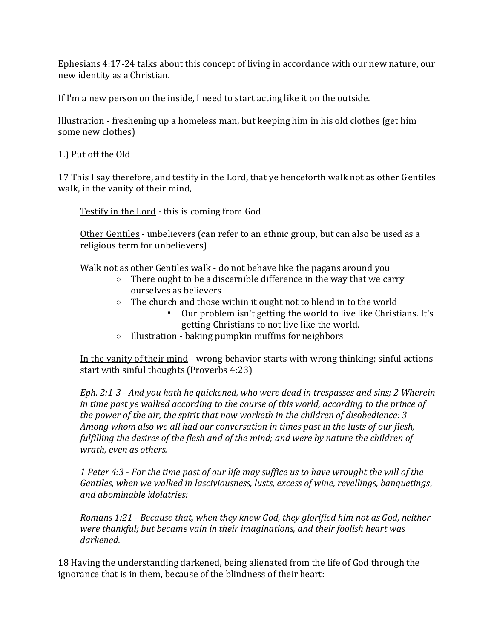Ephesians 4:17-24 talks about this concept of living in accordance with our new nature, our new identity as a Christian.

If I'm a new person on the inside, I need to start acting like it on the outside.

Illustration - freshening up a homeless man, but keeping him in his old clothes (get him some new clothes)

1.) Put off the Old

17 This I say therefore, and testify in the Lord, that ye henceforth walk not as other Gentiles walk, in the vanity of their mind,

Testify in the Lord - this is coming from God

Other Gentiles - unbelievers (can refer to an ethnic group, but can also be used as a religious term for unbelievers)

Walk not as other Gentiles walk - do not behave like the pagans around you

- $\circ$  There ought to be a discernible difference in the way that we carry ourselves as believers
- o The church and those within it ought not to blend in to the world
	- Our problem isn't getting the world to live like Christians. It's getting Christians to not live like the world.
- o Illustration baking pumpkin muffins for neighbors

In the vanity of their mind - wrong behavior starts with wrong thinking; sinful actions start with sinful thoughts (Proverbs 4:23)

*Eph. 2:1-3 - And you hath he quickened, who were dead in trespasses and sins; 2 Wherein in time past ye walked according to the course of this world, according to the prince of the power of the air, the spirit that now worketh in the children of disobedience: 3 Among whom also we all had our conversation in times past in the lusts of our flesh, fulfilling the desires of the flesh and of the mind; and were by nature the children of wrath, even as others.*

*1 Peter 4:3 - For the time past of our life may suffice us to have wrought the will of the Gentiles, when we walked in lasciviousness, lusts, excess of wine, revellings, banquetings, and abominable idolatries:*

*Romans 1:21 - Because that, when they knew God, they glorified him not as God, neither were thankful; but became vain in their imaginations, and their foolish heart was darkened.*

18 Having the understanding darkened, being alienated from the life of God through the ignorance that is in them, because of the blindness of their heart: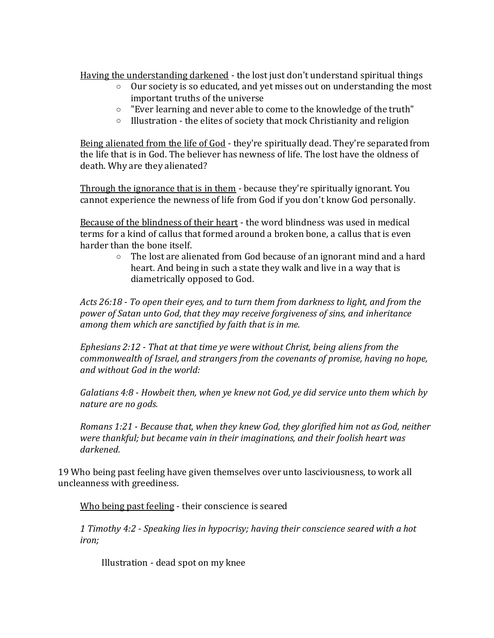Having the understanding darkened - the lost just don't understand spiritual things

- o Our society is so educated, and yet misses out on understanding the most important truths of the universe
- o "Ever learning and never able to come to the knowledge of the truth"
- o Illustration the elites of society that mock Christianity and religion

Being alienated from the life of God - they're spiritually dead. They're separated from the life that is in God. The believer has newness of life. The lost have the oldness of death. Why are they alienated?

Through the ignorance that is in them - because they're spiritually ignorant. You cannot experience the newness of life from God if you don't know God personally.

Because of the blindness of their heart - the word blindness was used in medical terms for a kind of callus that formed around a broken bone, a callus that is even harder than the bone itself.

> $\circ$  The lost are alienated from God because of an ignorant mind and a hard heart. And being in such a state they walk and live in a way that is diametrically opposed to God.

*Acts 26:18 - To open their eyes, and to turn them from darkness to light, and from the power of Satan unto God, that they may receive forgiveness of sins, and inheritance among them which are sanctified by faith that is in me.*

*Ephesians 2:12 - That at that time ye were without Christ, being aliens from the commonwealth of Israel, and strangers from the covenants of promise, having no hope, and without God in the world:*

*Galatians 4:8 - Howbeit then, when ye knew not God, ye did service unto them which by nature are no gods.*

*Romans 1:21 - Because that, when they knew God, they glorified him not as God, neither were thankful; but became vain in their imaginations, and their foolish heart was darkened.*

19 Who being past feeling have given themselves over unto lasciviousness, to work all uncleanness with greediness.

Who being past feeling - their conscience is seared

*1 Timothy 4:2 - Speaking lies in hypocrisy; having their conscience seared with a hot iron;*

Illustration - dead spot on my knee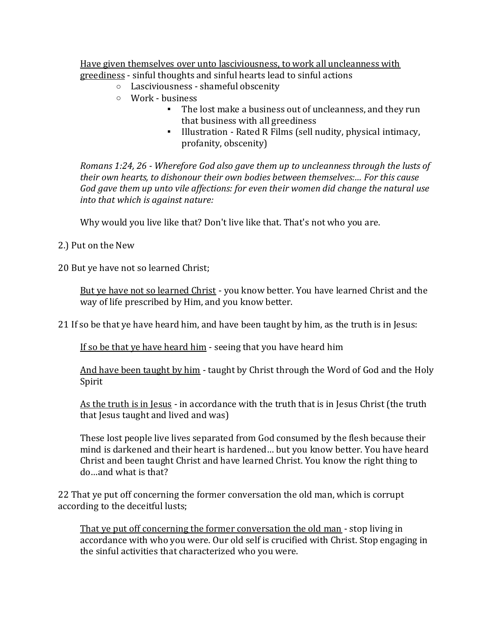Have given themselves over unto lasciviousness, to work all uncleanness with greediness - sinful thoughts and sinful hearts lead to sinful actions

- o Lasciviousness shameful obscenity
- o Work business
	- The lost make a business out of uncleanness, and they run that business with all greediness
	- Illustration Rated R Films (sell nudity, physical intimacy, profanity, obscenity)

*Romans 1:24, 26 - Wherefore God also gave them up to uncleanness through the lusts of their own hearts, to dishonour their own bodies between themselves:… For this cause God gave them up unto vile affections: for even their women did change the natural use into that which is against nature:*

Why would you live like that? Don't live like that. That's not who you are.

## 2.) Put on the New

20 But ye have not so learned Christ;

But ye have not so learned Christ - you know better. You have learned Christ and the way of life prescribed by Him, and you know better.

21 If so be that ye have heard him, and have been taught by him, as the truth is in Jesus:

If so be that ye have heard him - seeing that you have heard him

And have been taught by him - taught by Christ through the Word of God and the Holy Spirit

As the truth is in Jesus - in accordance with the truth that is in Jesus Christ (the truth that Jesus taught and lived and was)

These lost people live lives separated from God consumed by the flesh because their mind is darkened and their heart is hardened… but you know better. You have heard Christ and been taught Christ and have learned Christ. You know the right thing to do…and what is that?

22 That ye put off concerning the former conversation the old man, which is corrupt according to the deceitful lusts;

That ye put off concerning the former conversation the old man - stop living in accordance with who you were. Our old self is crucified with Christ. Stop engaging in the sinful activities that characterized who you were.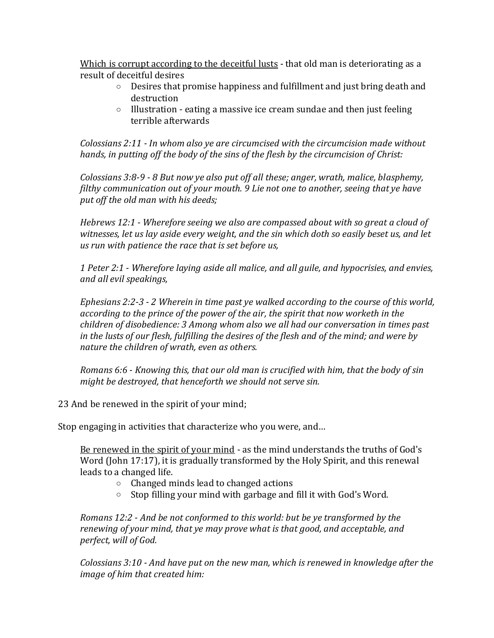Which is corrupt according to the deceitful lusts - that old man is deteriorating as a result of deceitful desires

- $\circ$  Desires that promise happiness and fulfillment and just bring death and destruction
- o Illustration eating a massive ice cream sundae and then just feeling terrible afterwards

*Colossians 2:11 - In whom also ye are circumcised with the circumcision made without hands, in putting off the body of the sins of the flesh by the circumcision of Christ:*

*Colossians 3:8-9 - 8 But now ye also put off all these; anger, wrath, malice, blasphemy, filthy communication out of your mouth. 9 Lie not one to another, seeing that ye have put off the old man with his deeds;*

*Hebrews 12:1 - Wherefore seeing we also are compassed about with so great a cloud of witnesses, let us lay aside every weight, and the sin which doth so easily beset us, and let us run with patience the race that is set before us,*

*1 Peter 2:1 - Wherefore laying aside all malice, and all guile, and hypocrisies, and envies, and all evil speakings,*

*Ephesians 2:2-3 - 2 Wherein in time past ye walked according to the course of this world, according to the prince of the power of the air, the spirit that now worketh in the children of disobedience: 3 Among whom also we all had our conversation in times past in the lusts of our flesh, fulfilling the desires of the flesh and of the mind; and were by nature the children of wrath, even as others.*

*Romans 6:6 - Knowing this, that our old man is crucified with him, that the body of sin might be destroyed, that henceforth we should not serve sin.*

23 And be renewed in the spirit of your mind;

Stop engaging in activities that characterize who you were, and…

Be renewed in the spirit of your mind - as the mind understands the truths of God's Word (John 17:17), it is gradually transformed by the Holy Spirit, and this renewal leads to a changed life.

- o Changed minds lead to changed actions
- o Stop filling your mind with garbage and fill it with God's Word.

*Romans 12:2 - And be not conformed to this world: but be ye transformed by the renewing of your mind, that ye may prove what is that good, and acceptable, and perfect, will of God.*

*Colossians 3:10 - And have put on the new man, which is renewed in knowledge after the image of him that created him:*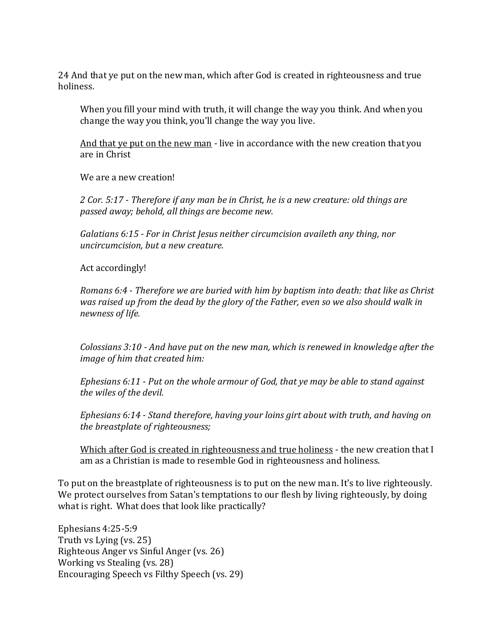24 And that ye put on the new man, which after God is created in righteousness and true holiness.

When you fill your mind with truth, it will change the way you think. And when you change the way you think, you'll change the way you live.

And that ye put on the new man - live in accordance with the new creation that you are in Christ

We are a new creation!

*2 Cor. 5:17 - Therefore if any man be in Christ, he is a new creature: old things are passed away; behold, all things are become new.*

*Galatians 6:15 - For in Christ Jesus neither circumcision availeth any thing, nor uncircumcision, but a new creature.*

Act accordingly!

*Romans 6:4 - Therefore we are buried with him by baptism into death: that like as Christ was raised up from the dead by the glory of the Father, even so we also should walk in newness of life.*

*Colossians 3:10 - And have put on the new man, which is renewed in knowledge after the image of him that created him:*

*Ephesians 6:11 - Put on the whole armour of God, that ye may be able to stand against the wiles of the devil.*

*Ephesians 6:14 - Stand therefore, having your loins girt about with truth, and having on the breastplate of righteousness;*

Which after God is created in righteousness and true holiness - the new creation that I am as a Christian is made to resemble God in righteousness and holiness.

To put on the breastplate of righteousness is to put on the new man. It's to live righteously. We protect ourselves from Satan's temptations to our flesh by living righteously, by doing what is right. What does that look like practically?

Ephesians 4:25-5:9 Truth vs Lying (vs. 25) Righteous Anger vs Sinful Anger (vs. 26) Working vs Stealing (vs. 28) Encouraging Speech vs Filthy Speech (vs. 29)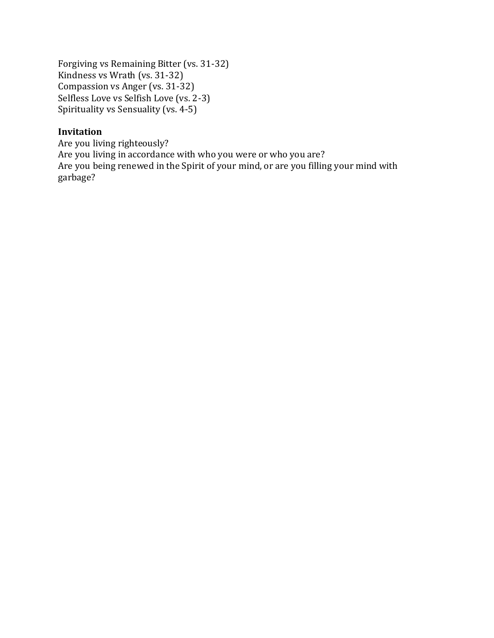Forgiving vs Remaining Bitter (vs. 31-32) Kindness vs Wrath (vs. 31-32) Compassion vs Anger (vs. 31-32) Selfless Love vs Selfish Love (vs. 2-3) Spirituality vs Sensuality (vs. 4-5)

## **Invitation**

Are you living righteously? Are you living in accordance with who you were or who you are? Are you being renewed in the Spirit of your mind, or are you filling your mind with garbage?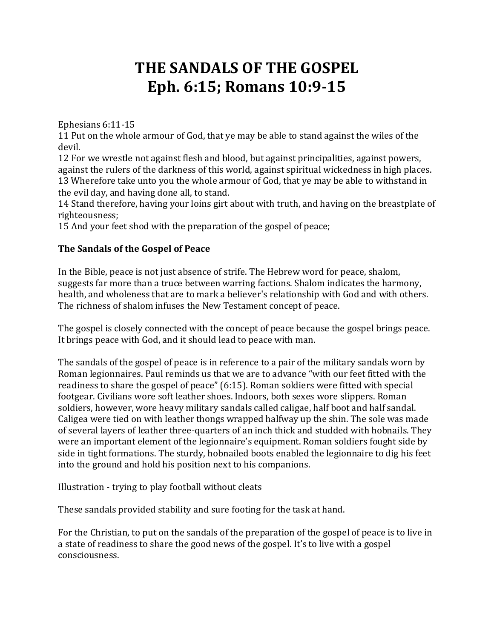# **THE SANDALS OF THE GOSPEL Eph. 6:15; Romans 10:9-15**

Ephesians 6:11-15

11 Put on the whole armour of God, that ye may be able to stand against the wiles of the devil.

12 For we wrestle not against flesh and blood, but against principalities, against powers, against the rulers of the darkness of this world, against spiritual wickedness in high places. 13 Wherefore take unto you the whole armour of God, that ye may be able to withstand in the evil day, and having done all, to stand.

14 Stand therefore, having your loins girt about with truth, and having on the breastplate of righteousness;

15 And your feet shod with the preparation of the gospel of peace;

## **The Sandals of the Gospel of Peace**

In the Bible, peace is not just absence of strife. The Hebrew word for peace, shalom, suggests far more than a truce between warring factions. Shalom indicates the harmony, health, and wholeness that are to mark a believer's relationship with God and with others. The richness of shalom infuses the New Testament concept of peace.

The gospel is closely connected with the concept of peace because the gospel brings peace. It brings peace with God, and it should lead to peace with man.

The sandals of the gospel of peace is in reference to a pair of the military sandals worn by Roman legionnaires. Paul reminds us that we are to advance "with our feet fitted with the readiness to share the gospel of peace" (6:15). Roman soldiers were fitted with special footgear. Civilians wore soft leather shoes. Indoors, both sexes wore slippers. Roman soldiers, however, wore heavy military sandals called caligae, half boot and half sandal. Caligea were tied on with leather thongs wrapped halfway up the shin. The sole was made of several layers of leather three-quarters of an inch thick and studded with hobnails. They were an important element of the legionnaire's equipment. Roman soldiers fought side by side in tight formations. The sturdy, hobnailed boots enabled the legionnaire to dig his feet into the ground and hold his position next to his companions.

Illustration - trying to play football without cleats

These sandals provided stability and sure footing for the task at hand.

For the Christian, to put on the sandals of the preparation of the gospel of peace is to live in a state of readiness to share the good news of the gospel. It's to live with a gospel consciousness.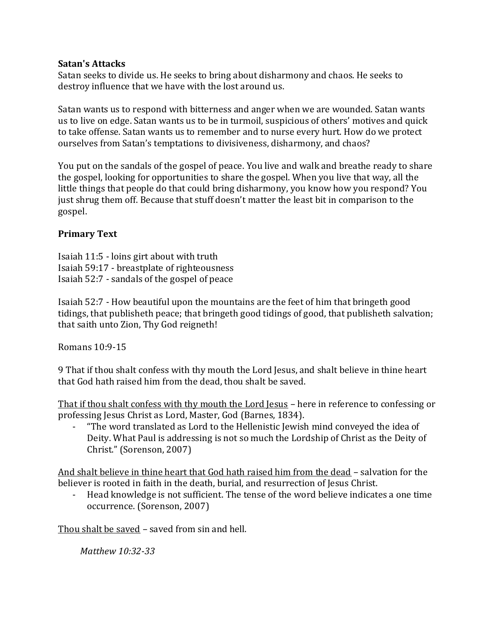#### **Satan's Attacks**

Satan seeks to divide us. He seeks to bring about disharmony and chaos. He seeks to destroy influence that we have with the lost around us.

Satan wants us to respond with bitterness and anger when we are wounded. Satan wants us to live on edge. Satan wants us to be in turmoil, suspicious of others' motives and quick to take offense. Satan wants us to remember and to nurse every hurt. How do we protect ourselves from Satan's temptations to divisiveness, disharmony, and chaos?

You put on the sandals of the gospel of peace. You live and walk and breathe ready to share the gospel, looking for opportunities to share the gospel. When you live that way, all the little things that people do that could bring disharmony, you know how you respond? You just shrug them off. Because that stuff doesn't matter the least bit in comparison to the gospel.

## **Primary Text**

Isaiah 11:5 - loins girt about with truth Isaiah 59:17 - breastplate of righteousness Isaiah 52:7 - sandals of the gospel of peace

Isaiah 52:7 - How beautiful upon the mountains are the feet of him that bringeth good tidings, that publisheth peace; that bringeth good tidings of good, that publisheth salvation; that saith unto Zion, Thy God reigneth!

Romans 10:9-15

9 That if thou shalt confess with thy mouth the Lord Jesus, and shalt believe in thine heart that God hath raised him from the dead, thou shalt be saved.

That if thou shalt confess with thy mouth the Lord Jesus – here in reference to confessing or professing Jesus Christ as Lord, Master, God (Barnes, 1834).

- "The word translated as Lord to the Hellenistic Jewish mind conveyed the idea of Deity. What Paul is addressing is not so much the Lordship of Christ as the Deity of Christ." (Sorenson, 2007)

And shalt believe in thine heart that God hath raised him from the dead – salvation for the believer is rooted in faith in the death, burial, and resurrection of Jesus Christ.

- Head knowledge is not sufficient. The tense of the word believe indicates a one time occurrence. (Sorenson, 2007)

Thou shalt be saved – saved from sin and hell.

*Matthew 10:32-33*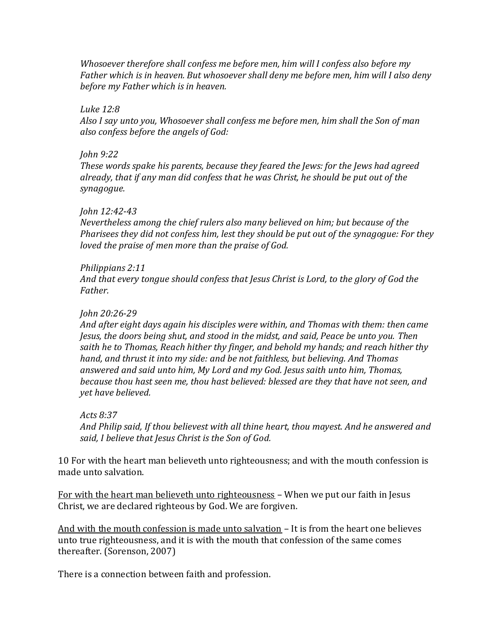*Whosoever therefore shall confess me before men, him will I confess also before my Father which is in heaven. But whosoever shall deny me before men, him will I also deny before my Father which is in heaven.*

*Luke 12:8*

*Also I say unto you, Whosoever shall confess me before men, him shall the Son of man also confess before the angels of God:*

*John 9:22*

*These words spake his parents, because they feared the Jews: for the Jews had agreed already, that if any man did confess that he was Christ, he should be put out of the synagogue.*

#### *John 12:42-43*

*Nevertheless among the chief rulers also many believed on him; but because of the Pharisees they did not confess him, lest they should be put out of the synagogue: For they loved the praise of men more than the praise of God.*

*Philippians 2:11*

*And that every tongue should confess that Jesus Christ is Lord, to the glory of God the Father.*

## *John 20:26-29*

*And after eight days again his disciples were within, and Thomas with them: then came Jesus, the doors being shut, and stood in the midst, and said, Peace be unto you. Then saith he to Thomas, Reach hither thy finger, and behold my hands; and reach hither thy hand, and thrust it into my side: and be not faithless, but believing. And Thomas answered and said unto him, My Lord and my God. Jesus saith unto him, Thomas, because thou hast seen me, thou hast believed: blessed are they that have not seen, and yet have believed.*

*Acts 8:37*

*And Philip said, If thou believest with all thine heart, thou mayest. And he answered and said, I believe that Jesus Christ is the Son of God.*

10 For with the heart man believeth unto righteousness; and with the mouth confession is made unto salvation.

For with the heart man believeth unto righteousness – When we put our faith in Jesus Christ, we are declared righteous by God. We are forgiven.

And with the mouth confession is made unto salvation – It is from the heart one believes unto true righteousness, and it is with the mouth that confession of the same comes thereafter. (Sorenson, 2007)

There is a connection between faith and profession.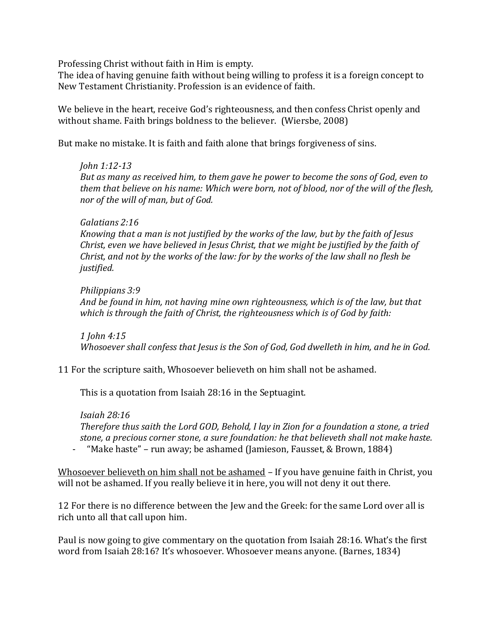Professing Christ without faith in Him is empty.

The idea of having genuine faith without being willing to profess it is a foreign concept to New Testament Christianity. Profession is an evidence of faith.

We believe in the heart, receive God's righteousness, and then confess Christ openly and without shame. Faith brings boldness to the believer. (Wiersbe, 2008)

But make no mistake. It is faith and faith alone that brings forgiveness of sins.

#### *John 1:12-13*

*But as many as received him, to them gave he power to become the sons of God, even to them that believe on his name: Which were born, not of blood, nor of the will of the flesh, nor of the will of man, but of God.*

#### *Galatians 2:16*

*Knowing that a man is not justified by the works of the law, but by the faith of Jesus Christ, even we have believed in Jesus Christ, that we might be justified by the faith of Christ, and not by the works of the law: for by the works of the law shall no flesh be justified.*

#### *Philippians 3:9*

*And be found in him, not having mine own righteousness, which is of the law, but that which is through the faith of Christ, the righteousness which is of God by faith:*

*1 John 4:15 Whosoever shall confess that Jesus is the Son of God, God dwelleth in him, and he in God.*

#### 11 For the scripture saith, Whosoever believeth on him shall not be ashamed.

This is a quotation from Isaiah 28:16 in the Septuagint.

*Isaiah 28:16 Therefore thus saith the Lord GOD, Behold, I lay in Zion for a foundation a stone, a tried stone, a precious corner stone, a sure foundation: he that believeth shall not make haste.*

- "Make haste" – run away; be ashamed (Jamieson, Fausset, & Brown, 1884)

Whosoever believeth on him shall not be ashamed – If you have genuine faith in Christ, you will not be ashamed. If you really believe it in here, you will not deny it out there.

12 For there is no difference between the Jew and the Greek: for the same Lord over all is rich unto all that call upon him.

Paul is now going to give commentary on the quotation from Isaiah 28:16. What's the first word from Isaiah 28:16? It's whosoever. Whosoever means anyone. (Barnes, 1834)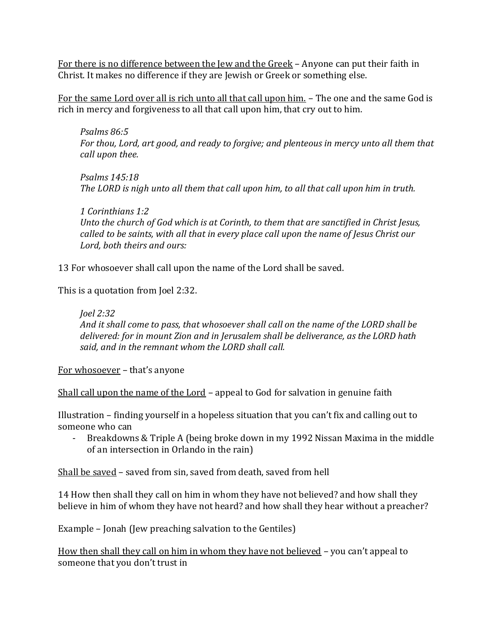For there is no difference between the Jew and the Greek – Anyone can put their faith in Christ. It makes no difference if they are Jewish or Greek or something else.

For the same Lord over all is rich unto all that call upon him. – The one and the same God is rich in mercy and forgiveness to all that call upon him, that cry out to him.

*Psalms 86:5 For thou, Lord, art good, and ready to forgive; and plenteous in mercy unto all them that call upon thee.*

*Psalms 145:18 The LORD is nigh unto all them that call upon him, to all that call upon him in truth.*

*1 Corinthians 1:2 Unto the church of God which is at Corinth, to them that are sanctified in Christ Jesus, called to be saints, with all that in every place call upon the name of Jesus Christ our Lord, both theirs and ours:*

13 For whosoever shall call upon the name of the Lord shall be saved.

This is a quotation from Joel 2:32.

*Joel 2:32 And it shall come to pass, that whosoever shall call on the name of the LORD shall be delivered: for in mount Zion and in Jerusalem shall be deliverance, as the LORD hath said, and in the remnant whom the LORD shall call.*

For whosoever – that's anyone

Shall call upon the name of the Lord – appeal to God for salvation in genuine faith

Illustration – finding yourself in a hopeless situation that you can't fix and calling out to someone who can

- Breakdowns & Triple A (being broke down in my 1992 Nissan Maxima in the middle of an intersection in Orlando in the rain)

Shall be saved – saved from sin, saved from death, saved from hell

14 How then shall they call on him in whom they have not believed? and how shall they believe in him of whom they have not heard? and how shall they hear without a preacher?

Example – Jonah (Jew preaching salvation to the Gentiles)

How then shall they call on him in whom they have not believed – you can't appeal to someone that you don't trust in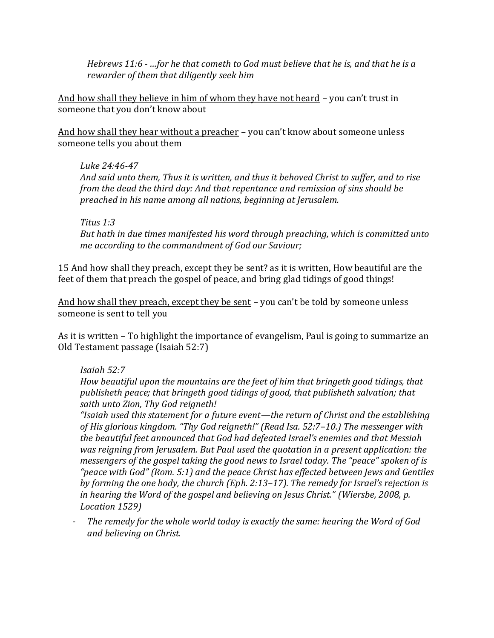*Hebrews 11:6 - …for he that cometh to God must believe that he is, and that he is a rewarder of them that diligently seek him*

And how shall they believe in him of whom they have not heard – you can't trust in someone that you don't know about

And how shall they hear without a preacher - you can't know about someone unless someone tells you about them

#### *Luke 24:46-47*

*And said unto them, Thus it is written, and thus it behoved Christ to suffer, and to rise from the dead the third day: And that repentance and remission of sins should be preached in his name among all nations, beginning at Jerusalem.*

*Titus 1:3*

*But hath in due times manifested his word through preaching, which is committed unto me according to the commandment of God our Saviour;*

15 And how shall they preach, except they be sent? as it is written, How beautiful are the feet of them that preach the gospel of peace, and bring glad tidings of good things!

And how shall they preach, except they be sent – you can't be told by someone unless someone is sent to tell you

As it is written – To highlight the importance of evangelism, Paul is going to summarize an Old Testament passage (Isaiah 52:7)

## *Isaiah 52:7*

*How beautiful upon the mountains are the feet of him that bringeth good tidings, that publisheth peace; that bringeth good tidings of good, that publisheth salvation; that saith unto Zion, Thy God reigneth!*

*"Isaiah used this statement for a future event—the return of Christ and the establishing of His glorious kingdom. "Thy God reigneth!" (Read Isa. 52:7–10.) The messenger with the beautiful feet announced that God had defeated Israel's enemies and that Messiah was reigning from Jerusalem. But Paul used the quotation in a present application: the messengers of the gospel taking the good news to Israel today. The "peace" spoken of is "peace with God" (Rom. 5:1) and the peace Christ has effected between Jews and Gentiles by forming the one body, the church (Eph. 2:13–17). The remedy for Israel's rejection is in hearing the Word of the gospel and believing on Jesus Christ." (Wiersbe, 2008, p. Location 1529)*

- *The remedy for the whole world today is exactly the same: hearing the Word of God and believing on Christ.*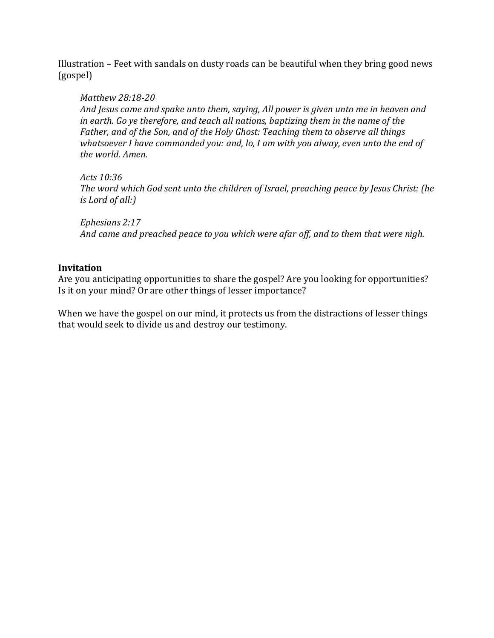Illustration – Feet with sandals on dusty roads can be beautiful when they bring good news (gospel)

#### *Matthew 28:18-20*

*And Jesus came and spake unto them, saying, All power is given unto me in heaven and in earth. Go ye therefore, and teach all nations, baptizing them in the name of the Father, and of the Son, and of the Holy Ghost: Teaching them to observe all things whatsoever I have commanded you: and, lo, I am with you alway, even unto the end of the world. Amen.*

*Acts 10:36*

*The word which God sent unto the children of Israel, preaching peace by Jesus Christ: (he is Lord of all:)*

*Ephesians 2:17 And came and preached peace to you which were afar off, and to them that were nigh.*

## **Invitation**

Are you anticipating opportunities to share the gospel? Are you looking for opportunities? Is it on your mind? Or are other things of lesser importance?

When we have the gospel on our mind, it protects us from the distractions of lesser things that would seek to divide us and destroy our testimony.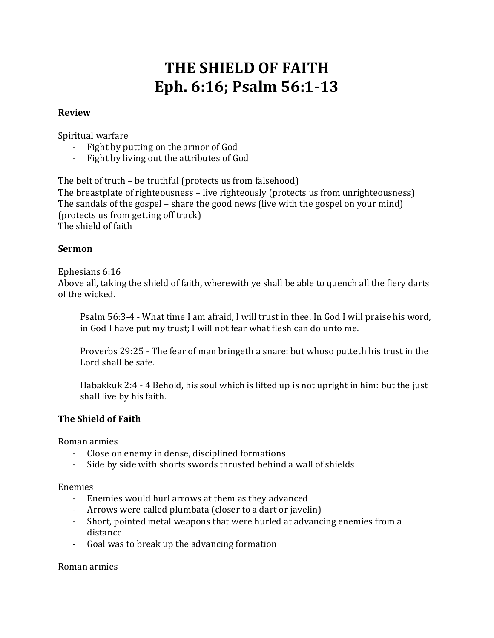# **THE SHIELD OF FAITH Eph. 6:16; Psalm 56:1-13**

#### **Review**

Spiritual warfare

- Fight by putting on the armor of God
- Fight by living out the attributes of God

The belt of truth – be truthful (protects us from falsehood)

The breastplate of righteousness – live righteously (protects us from unrighteousness) The sandals of the gospel – share the good news (live with the gospel on your mind) (protects us from getting off track) The shield of faith

#### **Sermon**

Ephesians 6:16

Above all, taking the shield of faith, wherewith ye shall be able to quench all the fiery darts of the wicked.

Psalm 56:3-4 - What time I am afraid, I will trust in thee. In God I will praise his word, in God I have put my trust; I will not fear what flesh can do unto me.

Proverbs 29:25 - The fear of man bringeth a snare: but whoso putteth his trust in the Lord shall be safe.

Habakkuk 2:4 - 4 Behold, his soul which is lifted up is not upright in him: but the just shall live by his faith.

#### **The Shield of Faith**

Roman armies

- Close on enemy in dense, disciplined formations
- Side by side with shorts swords thrusted behind a wall of shields

Enemies

- Enemies would hurl arrows at them as they advanced
- Arrows were called plumbata (closer to a dart or javelin)
- Short, pointed metal weapons that were hurled at advancing enemies from a distance
- Goal was to break up the advancing formation

Roman armies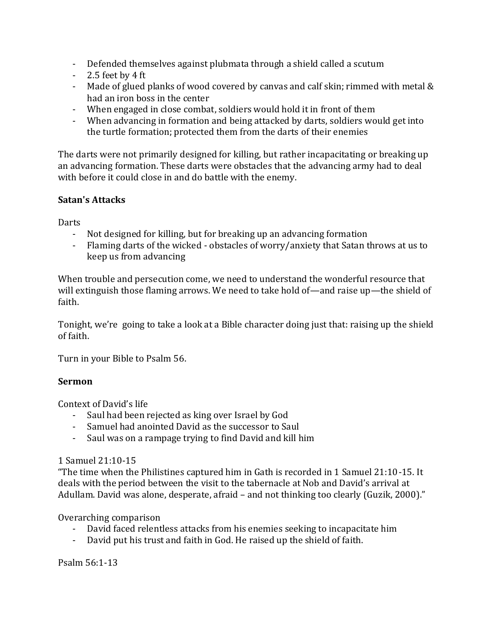- Defended themselves against plubmata through a shield called a scutum
- 2.5 feet by 4 ft
- Made of glued planks of wood covered by canvas and calf skin; rimmed with metal & had an iron boss in the center
- When engaged in close combat, soldiers would hold it in front of them
- When advancing in formation and being attacked by darts, soldiers would get into the turtle formation; protected them from the darts of their enemies

The darts were not primarily designed for killing, but rather incapacitating or breaking up an advancing formation. These darts were obstacles that the advancing army had to deal with before it could close in and do battle with the enemy.

## **Satan's Attacks**

Darts

- Not designed for killing, but for breaking up an advancing formation
- Flaming darts of the wicked obstacles of worry/anxiety that Satan throws at us to keep us from advancing

When trouble and persecution come, we need to understand the wonderful resource that will extinguish those flaming arrows. We need to take hold of—and raise up—the shield of faith.

Tonight, we're going to take a look at a Bible character doing just that: raising up the shield of faith.

Turn in your Bible to Psalm 56.

#### **Sermon**

Context of David's life

- Saul had been rejected as king over Israel by God
- Samuel had anointed David as the successor to Saul
- Saul was on a rampage trying to find David and kill him

#### 1 Samuel 21:10-15

"The time when the Philistines captured him in Gath is recorded in 1 Samuel 21:10-15. It deals with the period between the visit to the tabernacle at Nob and David's arrival at Adullam. David was alone, desperate, afraid – and not thinking too clearly (Guzik, 2000)."

#### Overarching comparison

- David faced relentless attacks from his enemies seeking to incapacitate him
- David put his trust and faith in God. He raised up the shield of faith.

Psalm 56:1-13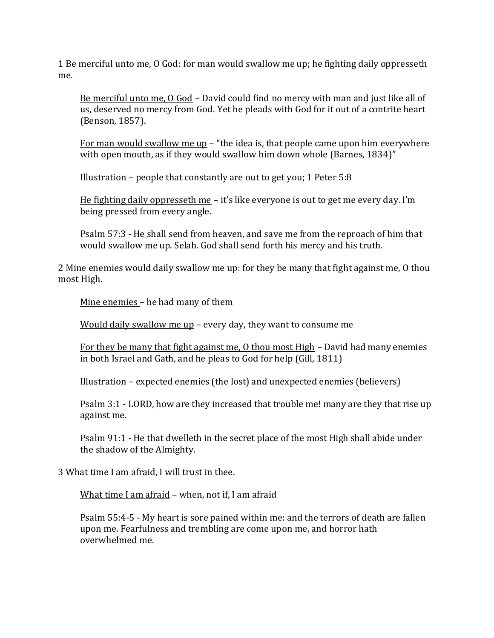1 Be merciful unto me, O God: for man would swallow me up; he fighting daily oppresseth me.

Be merciful unto me, O God – David could find no mercy with man and just like all of us, deserved no mercy from God. Yet he pleads with God for it out of a contrite heart (Benson, 1857).

For man would swallow me up – "the idea is, that people came upon him everywhere with open mouth, as if they would swallow him down whole (Barnes, 1834)"

Illustration – people that constantly are out to get you; 1 Peter 5:8

He fighting daily oppresseth me – it's like everyone is out to get me every day. I'm being pressed from every angle.

Psalm 57:3 - He shall send from heaven, and save me from the reproach of him that would swallow me up. Selah. God shall send forth his mercy and his truth.

2 Mine enemies would daily swallow me up: for they be many that fight against me, O thou most High.

Mine enemies – he had many of them

Would daily swallow me up – every day, they want to consume me

For they be many that fight against me, O thou most High – David had many enemies in both Israel and Gath, and he pleas to God for help (Gill, 1811)

Illustration – expected enemies (the lost) and unexpected enemies (believers)

Psalm 3:1 - LORD, how are they increased that trouble me! many are they that rise up against me.

Psalm 91:1 - He that dwelleth in the secret place of the most High shall abide under the shadow of the Almighty.

3 What time I am afraid, I will trust in thee.

What time I am afraid – when, not if, I am afraid

Psalm 55:4-5 - My heart is sore pained within me: and the terrors of death are fallen upon me. Fearfulness and trembling are come upon me, and horror hath overwhelmed me.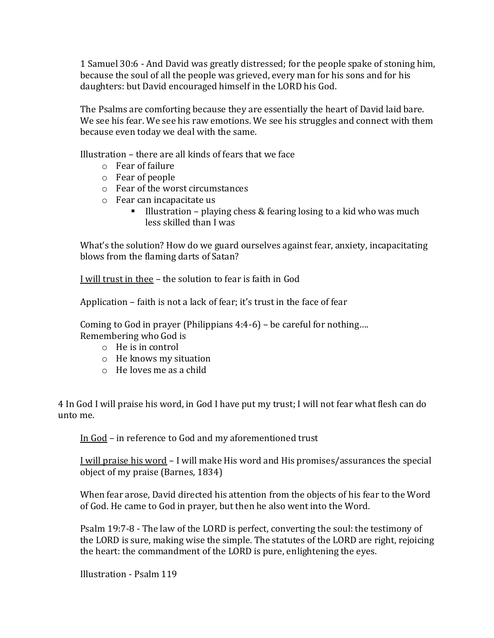1 Samuel 30:6 - And David was greatly distressed; for the people spake of stoning him, because the soul of all the people was grieved, every man for his sons and for his daughters: but David encouraged himself in the LORD his God.

The Psalms are comforting because they are essentially the heart of David laid bare. We see his fear. We see his raw emotions. We see his struggles and connect with them because even today we deal with the same.

Illustration – there are all kinds of fears that we face

- o Fear of failure
- o Fear of people
- o Fear of the worst circumstances
- o Fear can incapacitate us
	- **E** Illustration playing chess  $&$  fearing losing to a kid who was much less skilled than I was

What's the solution? How do we guard ourselves against fear, anxiety, incapacitating blows from the flaming darts of Satan?

I will trust in thee – the solution to fear is faith in God

Application – faith is not a lack of fear; it's trust in the face of fear

Coming to God in prayer (Philippians 4:4-6) – be careful for nothing…. Remembering who God is

- o He is in control
- o He knows my situation
- o He loves me as a child

4 In God I will praise his word, in God I have put my trust; I will not fear what flesh can do unto me.

In God – in reference to God and my aforementioned trust

I will praise his word – I will make His word and His promises/assurances the special object of my praise (Barnes, 1834)

When fear arose, David directed his attention from the objects of his fear to the Word of God. He came to God in prayer, but then he also went into the Word.

Psalm 19:7-8 - The law of the LORD is perfect, converting the soul: the testimony of the LORD is sure, making wise the simple. The statutes of the LORD are right, rejoicing the heart: the commandment of the LORD is pure, enlightening the eyes.

Illustration - Psalm 119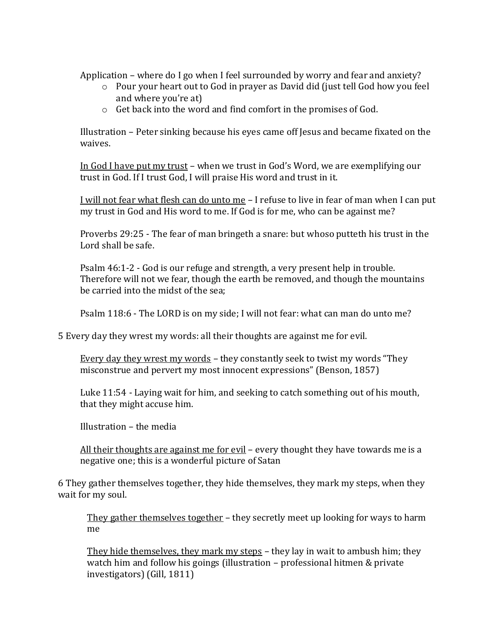Application – where do I go when I feel surrounded by worry and fear and anxiety?

- o Pour your heart out to God in prayer as David did (just tell God how you feel and where you're at)
- o Get back into the word and find comfort in the promises of God.

Illustration – Peter sinking because his eyes came off Jesus and became fixated on the waives.

In God I have put my trust – when we trust in God's Word, we are exemplifying our trust in God. If I trust God, I will praise His word and trust in it.

I will not fear what flesh can do unto me – I refuse to live in fear of man when I can put my trust in God and His word to me. If God is for me, who can be against me?

Proverbs 29:25 - The fear of man bringeth a snare: but whoso putteth his trust in the Lord shall be safe.

Psalm 46:1-2 - God is our refuge and strength, a very present help in trouble. Therefore will not we fear, though the earth be removed, and though the mountains be carried into the midst of the sea;

Psalm 118:6 - The LORD is on my side; I will not fear: what can man do unto me?

5 Every day they wrest my words: all their thoughts are against me for evil.

Every day they wrest my words – they constantly seek to twist my words "They misconstrue and pervert my most innocent expressions" (Benson, 1857)

Luke 11:54 - Laying wait for him, and seeking to catch something out of his mouth, that they might accuse him.

Illustration – the media

All their thoughts are against me for evil – every thought they have towards me is a negative one; this is a wonderful picture of Satan

6 They gather themselves together, they hide themselves, they mark my steps, when they wait for my soul.

They gather themselves together – they secretly meet up looking for ways to harm me

They hide themselves, they mark my steps – they lay in wait to ambush him; they watch him and follow his goings (illustration – professional hitmen & private investigators) (Gill, 1811)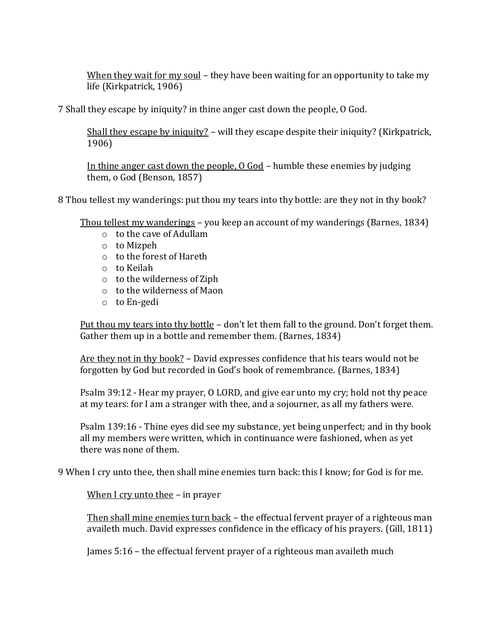When they wait for my soul - they have been waiting for an opportunity to take my life (Kirkpatrick, 1906)

7 Shall they escape by iniquity? in thine anger cast down the people, O God.

Shall they escape by iniquity? – will they escape despite their iniquity? (Kirkpatrick, 1906)

In thine anger cast down the people, O God – humble these enemies by judging them, o God (Benson, 1857)

8 Thou tellest my wanderings: put thou my tears into thy bottle: are they not in thy book?

Thou tellest my wanderings – you keep an account of my wanderings (Barnes, 1834)

- o to the cave of Adullam
- o to Mizpeh
- o to the forest of Hareth
- o to Keilah
- o to the wilderness of Ziph
- o to the wilderness of Maon
- o to En-gedi

Put thou my tears into thy bottle – don't let them fall to the ground. Don't forget them. Gather them up in a bottle and remember them. (Barnes, 1834)

Are they not in thy book? – David expresses confidence that his tears would not be forgotten by God but recorded in God's book of remembrance. (Barnes, 1834)

Psalm 39:12 - Hear my prayer, O LORD, and give ear unto my cry; hold not thy peace at my tears: for I am a stranger with thee, and a sojourner, as all my fathers were.

Psalm 139:16 - Thine eyes did see my substance, yet being unperfect; and in thy book all my members were written, which in continuance were fashioned, when as yet there was none of them.

9 When I cry unto thee, then shall mine enemies turn back: this I know; for God is for me.

When I cry unto thee – in prayer

Then shall mine enemies turn back – the effectual fervent prayer of a righteous man availeth much. David expresses confidence in the efficacy of his prayers. (Gill, 1811)

James 5:16 – the effectual fervent prayer of a righteous man availeth much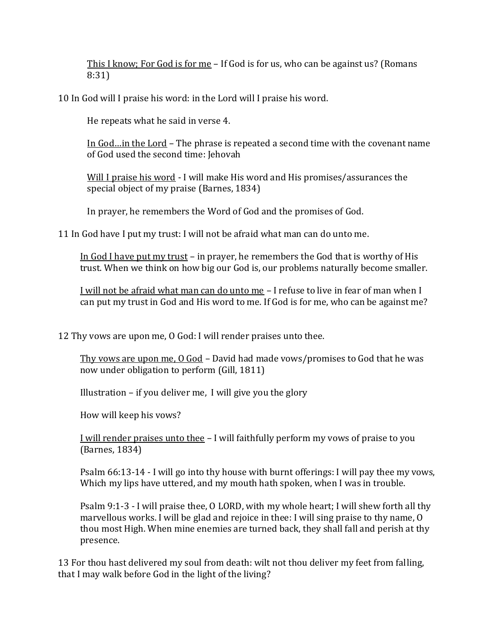This I know; For God is for me – If God is for us, who can be against us? (Romans 8:31)

10 In God will I praise his word: in the Lord will I praise his word.

He repeats what he said in verse 4.

In God…in the Lord – The phrase is repeated a second time with the covenant name of God used the second time: Jehovah

Will I praise his word - I will make His word and His promises/assurances the special object of my praise (Barnes, 1834)

In prayer, he remembers the Word of God and the promises of God.

11 In God have I put my trust: I will not be afraid what man can do unto me.

In God I have put my trust – in prayer, he remembers the God that is worthy of His trust. When we think on how big our God is, our problems naturally become smaller.

I will not be afraid what man can do unto me – I refuse to live in fear of man when I can put my trust in God and His word to me. If God is for me, who can be against me?

12 Thy vows are upon me, O God: I will render praises unto thee.

Thy vows are upon me, O God – David had made vows/promises to God that he was now under obligation to perform (Gill, 1811)

Illustration – if you deliver me, I will give you the glory

How will keep his vows?

I will render praises unto thee – I will faithfully perform my vows of praise to you (Barnes, 1834)

Psalm 66:13-14 - I will go into thy house with burnt offerings: I will pay thee my vows, Which my lips have uttered, and my mouth hath spoken, when I was in trouble.

Psalm 9:1-3 - I will praise thee, O LORD, with my whole heart; I will shew forth all thy marvellous works. I will be glad and rejoice in thee: I will sing praise to thy name, O thou most High. When mine enemies are turned back, they shall fall and perish at thy presence.

13 For thou hast delivered my soul from death: wilt not thou deliver my feet from falling, that I may walk before God in the light of the living?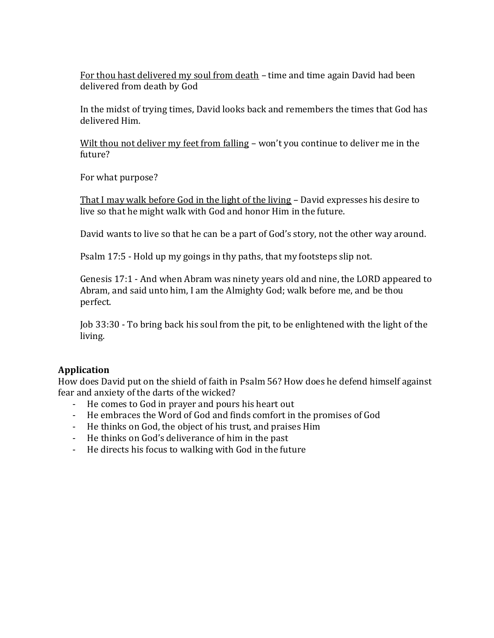For thou hast delivered my soul from death – time and time again David had been delivered from death by God

In the midst of trying times, David looks back and remembers the times that God has delivered Him.

Wilt thou not deliver my feet from falling – won't you continue to deliver me in the future?

For what purpose?

That I may walk before God in the light of the living – David expresses his desire to live so that he might walk with God and honor Him in the future.

David wants to live so that he can be a part of God's story, not the other way around.

Psalm 17:5 - Hold up my goings in thy paths, that my footsteps slip not.

Genesis 17:1 - And when Abram was ninety years old and nine, the LORD appeared to Abram, and said unto him, I am the Almighty God; walk before me, and be thou perfect.

Job 33:30 - To bring back his soul from the pit, to be enlightened with the light of the living.

## **Application**

How does David put on the shield of faith in Psalm 56? How does he defend himself against fear and anxiety of the darts of the wicked?

- He comes to God in prayer and pours his heart out
- He embraces the Word of God and finds comfort in the promises of God
- He thinks on God, the object of his trust, and praises Him
- He thinks on God's deliverance of him in the past
- He directs his focus to walking with God in the future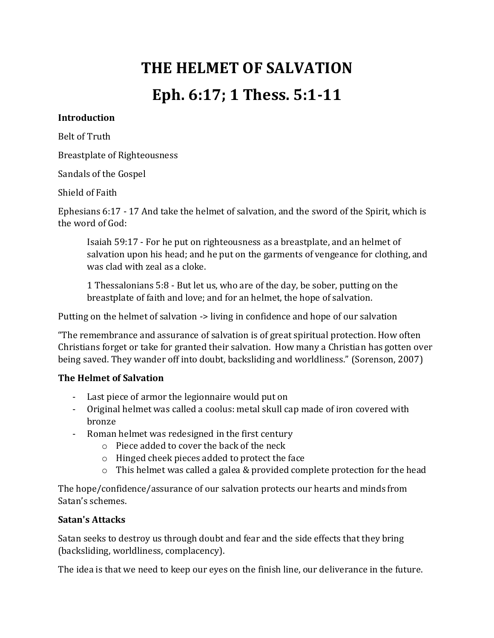# **THE HELMET OF SALVATION Eph. 6:17; 1 Thess. 5:1-11**

#### **Introduction**

Belt of Truth

Breastplate of Righteousness

Sandals of the Gospel

Shield of Faith

Ephesians 6:17 - 17 And take the helmet of salvation, and the sword of the Spirit, which is the word of God:

Isaiah 59:17 - For he put on righteousness as a breastplate, and an helmet of salvation upon his head; and he put on the garments of vengeance for clothing, and was clad with zeal as a cloke.

1 Thessalonians 5:8 - But let us, who are of the day, be sober, putting on the breastplate of faith and love; and for an helmet, the hope of salvation.

Putting on the helmet of salvation -> living in confidence and hope of our salvation

"The remembrance and assurance of salvation is of great spiritual protection. How often Christians forget or take for granted their salvation. How many a Christian has gotten over being saved. They wander off into doubt, backsliding and worldliness." (Sorenson, 2007)

## **The Helmet of Salvation**

- Last piece of armor the legionnaire would put on
- Original helmet was called a coolus: metal skull cap made of iron covered with bronze
- Roman helmet was redesigned in the first century
	- o Piece added to cover the back of the neck
	- o Hinged cheek pieces added to protect the face
	- $\circ$  This helmet was called a galea & provided complete protection for the head

The hope/confidence/assurance of our salvation protects our hearts and minds from Satan's schemes.

#### **Satan's Attacks**

Satan seeks to destroy us through doubt and fear and the side effects that they bring (backsliding, worldliness, complacency).

The idea is that we need to keep our eyes on the finish line, our deliverance in the future.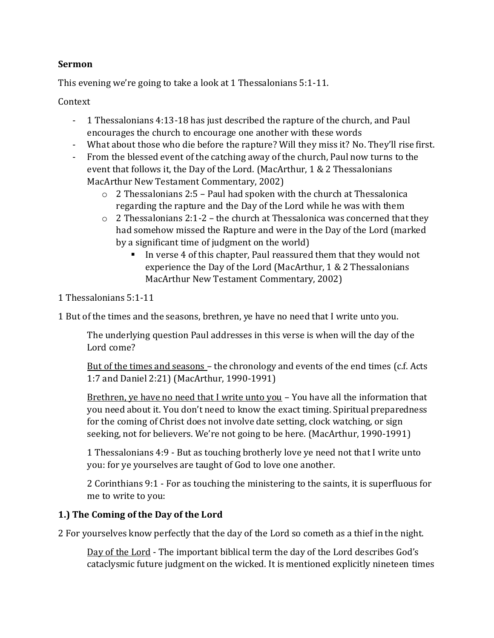### **Sermon**

This evening we're going to take a look at 1 Thessalonians 5:1-11.

### Context

- 1 Thessalonians 4:13-18 has just described the rapture of the church, and Paul encourages the church to encourage one another with these words
- What about those who die before the rapture? Will they miss it? No. They'll rise first.
- From the blessed event of the catching away of the church, Paul now turns to the event that follows it, the Day of the Lord. (MacArthur, 1 & 2 Thessalonians MacArthur New Testament Commentary, 2002)
	- $\circ$  2 Thessalonians 2:5 Paul had spoken with the church at Thessalonica regarding the rapture and the Day of the Lord while he was with them
	- $\circ$  2 Thessalonians 2:1-2 the church at Thessalonica was concerned that they had somehow missed the Rapture and were in the Day of the Lord (marked by a significant time of judgment on the world)
		- In verse 4 of this chapter, Paul reassured them that they would not experience the Day of the Lord (MacArthur, 1 & 2 Thessalonians MacArthur New Testament Commentary, 2002)
- 1 Thessalonians 5:1-11

1 But of the times and the seasons, brethren, ye have no need that I write unto you.

The underlying question Paul addresses in this verse is when will the day of the Lord come?

But of the times and seasons – the chronology and events of the end times (c.f. Acts 1:7 and Daniel 2:21) (MacArthur, 1990-1991)

Brethren, ye have no need that I write unto you - You have all the information that you need about it. You don't need to know the exact timing. Spiritual preparedness for the coming of Christ does not involve date setting, clock watching, or sign seeking, not for believers. We're not going to be here. (MacArthur, 1990-1991)

1 Thessalonians 4:9 - But as touching brotherly love ye need not that I write unto you: for ye yourselves are taught of God to love one another.

2 Corinthians 9:1 - For as touching the ministering to the saints, it is superfluous for me to write to you:

# **1.) The Coming of the Day of the Lord**

2 For yourselves know perfectly that the day of the Lord so cometh as a thief in the night.

Day of the Lord - The important biblical term the day of the Lord describes God's cataclysmic future judgment on the wicked. It is mentioned explicitly nineteen times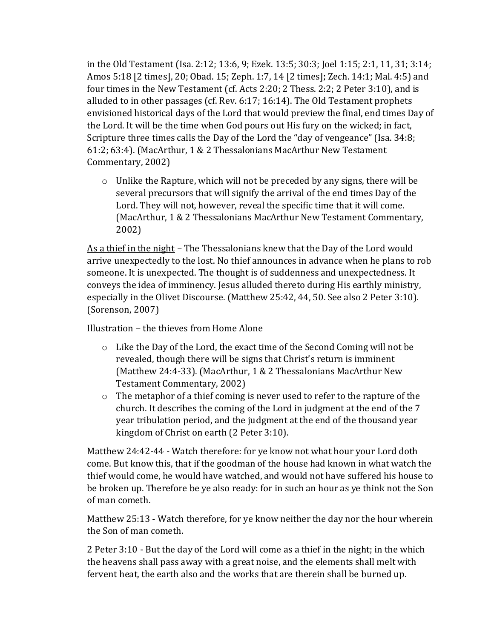in the Old Testament (Isa. 2:12; 13:6, 9; Ezek. 13:5; 30:3; Joel 1:15; 2:1, 11, 31; 3:14; Amos 5:18 [2 times], 20; Obad. 15; Zeph. 1:7, 14 [2 times]; Zech. 14:1; Mal. 4:5) and four times in the New Testament (cf. Acts 2:20; 2 Thess. 2:2; 2 Peter 3:10), and is alluded to in other passages (cf. Rev. 6:17; 16:14). The Old Testament prophets envisioned historical days of the Lord that would preview the final, end times Day of the Lord. It will be the time when God pours out His fury on the wicked; in fact, Scripture three times calls the Day of the Lord the "day of vengeance" (Isa. 34:8; 61:2; 63:4). (MacArthur, 1 & 2 Thessalonians MacArthur New Testament Commentary, 2002)

o Unlike the Rapture, which will not be preceded by any signs, there will be several precursors that will signify the arrival of the end times Day of the Lord. They will not, however, reveal the specific time that it will come. (MacArthur, 1 & 2 Thessalonians MacArthur New Testament Commentary, 2002)

As a thief in the night - The Thessalonians knew that the Day of the Lord would arrive unexpectedly to the lost. No thief announces in advance when he plans to rob someone. It is unexpected. The thought is of suddenness and unexpectedness. It conveys the idea of imminency. Jesus alluded thereto during His earthly ministry, especially in the Olivet Discourse. (Matthew 25:42, 44, 50. See also 2 Peter 3:10). (Sorenson, 2007)

Illustration – the thieves from Home Alone

- $\circ$  Like the Day of the Lord, the exact time of the Second Coming will not be revealed, though there will be signs that Christ's return is imminent (Matthew 24:4-33). (MacArthur, 1 & 2 Thessalonians MacArthur New Testament Commentary, 2002)
- o The metaphor of a thief coming is never used to refer to the rapture of the church. It describes the coming of the Lord in judgment at the end of the 7 year tribulation period, and the judgment at the end of the thousand year kingdom of Christ on earth (2 Peter 3:10).

Matthew 24:42-44 - Watch therefore: for ye know not what hour your Lord doth come. But know this, that if the goodman of the house had known in what watch the thief would come, he would have watched, and would not have suffered his house to be broken up. Therefore be ye also ready: for in such an hour as ye think not the Son of man cometh.

Matthew 25:13 - Watch therefore, for ye know neither the day nor the hour wherein the Son of man cometh.

2 Peter 3:10 - But the day of the Lord will come as a thief in the night; in the which the heavens shall pass away with a great noise, and the elements shall melt with fervent heat, the earth also and the works that are therein shall be burned up.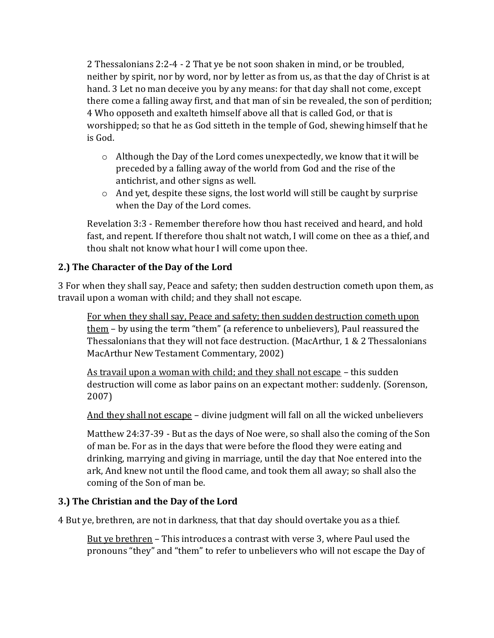2 Thessalonians 2:2-4 - 2 That ye be not soon shaken in mind, or be troubled, neither by spirit, nor by word, nor by letter as from us, as that the day of Christ is at hand. 3 Let no man deceive you by any means: for that day shall not come, except there come a falling away first, and that man of sin be revealed, the son of perdition; 4 Who opposeth and exalteth himself above all that is called God, or that is worshipped; so that he as God sitteth in the temple of God, shewing himself that he is God.

- $\circ$  Although the Day of the Lord comes unexpectedly, we know that it will be preceded by a falling away of the world from God and the rise of the antichrist, and other signs as well.
- $\circ$  And yet, despite these signs, the lost world will still be caught by surprise when the Day of the Lord comes.

Revelation 3:3 - Remember therefore how thou hast received and heard, and hold fast, and repent. If therefore thou shalt not watch, I will come on thee as a thief, and thou shalt not know what hour I will come upon thee.

# **2.) The Character of the Day of the Lord**

3 For when they shall say, Peace and safety; then sudden destruction cometh upon them, as travail upon a woman with child; and they shall not escape.

For when they shall say, Peace and safety; then sudden destruction cometh upon them – by using the term "them" (a reference to unbelievers), Paul reassured the Thessalonians that they will not face destruction. (MacArthur, 1 & 2 Thessalonians MacArthur New Testament Commentary, 2002)

As travail upon a woman with child; and they shall not escape – this sudden destruction will come as labor pains on an expectant mother: suddenly. (Sorenson, 2007)

And they shall not escape - divine judgment will fall on all the wicked unbelievers

Matthew 24:37-39 - But as the days of Noe were, so shall also the coming of the Son of man be. For as in the days that were before the flood they were eating and drinking, marrying and giving in marriage, until the day that Noe entered into the ark, And knew not until the flood came, and took them all away; so shall also the coming of the Son of man be.

## **3.) The Christian and the Day of the Lord**

4 But ye, brethren, are not in darkness, that that day should overtake you as a thief.

But ye brethren – This introduces a contrast with verse 3, where Paul used the pronouns "they" and "them" to refer to unbelievers who will not escape the Day of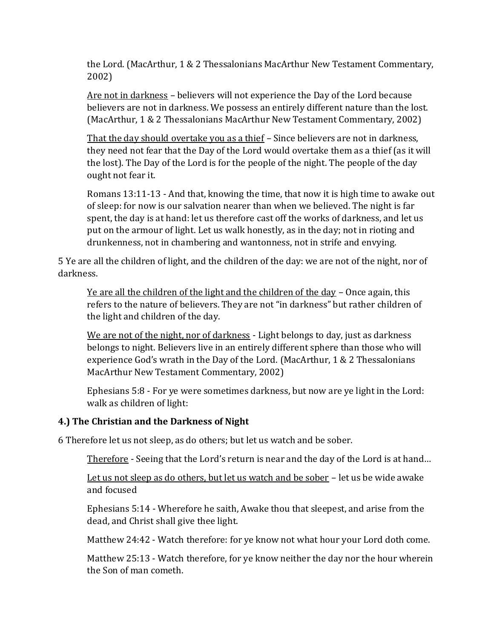the Lord. (MacArthur, 1 & 2 Thessalonians MacArthur New Testament Commentary, 2002)

Are not in darkness – believers will not experience the Day of the Lord because believers are not in darkness. We possess an entirely different nature than the lost. (MacArthur, 1 & 2 Thessalonians MacArthur New Testament Commentary, 2002)

That the day should overtake you as a thief – Since believers are not in darkness, they need not fear that the Day of the Lord would overtake them as a thief (as it will the lost). The Day of the Lord is for the people of the night. The people of the day ought not fear it.

Romans 13:11-13 - And that, knowing the time, that now it is high time to awake out of sleep: for now is our salvation nearer than when we believed. The night is far spent, the day is at hand: let us therefore cast off the works of darkness, and let us put on the armour of light. Let us walk honestly, as in the day; not in rioting and drunkenness, not in chambering and wantonness, not in strife and envying.

5 Ye are all the children of light, and the children of the day: we are not of the night, nor of darkness.

Ye are all the children of the light and the children of the day – Once again, this refers to the nature of believers. They are not "in darkness" but rather children of the light and children of the day.

We are not of the night, nor of darkness - Light belongs to day, just as darkness belongs to night. Believers live in an entirely different sphere than those who will experience God's wrath in the Day of the Lord. (MacArthur, 1 & 2 Thessalonians MacArthur New Testament Commentary, 2002)

Ephesians 5:8 - For ye were sometimes darkness, but now are ye light in the Lord: walk as children of light:

#### **4.) The Christian and the Darkness of Night**

6 Therefore let us not sleep, as do others; but let us watch and be sober.

Therefore - Seeing that the Lord's return is near and the day of the Lord is at hand...

Let us not sleep as do others, but let us watch and be sober - let us be wide awake and focused

Ephesians 5:14 - Wherefore he saith, Awake thou that sleepest, and arise from the dead, and Christ shall give thee light.

Matthew 24:42 - Watch therefore: for ye know not what hour your Lord doth come.

Matthew 25:13 - Watch therefore, for ye know neither the day nor the hour wherein the Son of man cometh.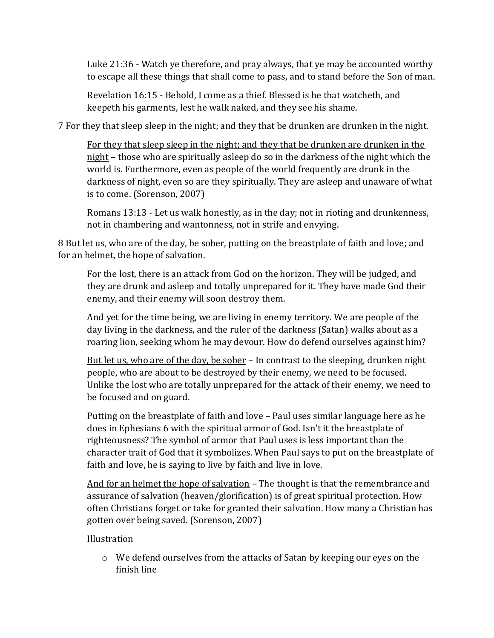Luke 21:36 - Watch ye therefore, and pray always, that ye may be accounted worthy to escape all these things that shall come to pass, and to stand before the Son of man.

Revelation 16:15 - Behold, I come as a thief. Blessed is he that watcheth, and keepeth his garments, lest he walk naked, and they see his shame.

7 For they that sleep sleep in the night; and they that be drunken are drunken in the night.

For they that sleep sleep in the night; and they that be drunken are drunken in the night – those who are spiritually asleep do so in the darkness of the night which the world is. Furthermore, even as people of the world frequently are drunk in the darkness of night, even so are they spiritually. They are asleep and unaware of what is to come. (Sorenson, 2007)

Romans 13:13 - Let us walk honestly, as in the day; not in rioting and drunkenness, not in chambering and wantonness, not in strife and envying.

8 But let us, who are of the day, be sober, putting on the breastplate of faith and love; and for an helmet, the hope of salvation.

For the lost, there is an attack from God on the horizon. They will be judged, and they are drunk and asleep and totally unprepared for it. They have made God their enemy, and their enemy will soon destroy them.

And yet for the time being, we are living in enemy territory. We are people of the day living in the darkness, and the ruler of the darkness (Satan) walks about as a roaring lion, seeking whom he may devour. How do defend ourselves against him?

But let us, who are of the day, be sober – In contrast to the sleeping, drunken night people, who are about to be destroyed by their enemy, we need to be focused. Unlike the lost who are totally unprepared for the attack of their enemy, we need to be focused and on guard.

Putting on the breastplate of faith and love – Paul uses similar language here as he does in Ephesians 6 with the spiritual armor of God. Isn't it the breastplate of righteousness? The symbol of armor that Paul uses is less important than the character trait of God that it symbolizes. When Paul says to put on the breastplate of faith and love, he is saying to live by faith and live in love.

And for an helmet the hope of salvation – The thought is that the remembrance and assurance of salvation (heaven/glorification) is of great spiritual protection. How often Christians forget or take for granted their salvation. How many a Christian has gotten over being saved. (Sorenson, 2007)

Illustration

o We defend ourselves from the attacks of Satan by keeping our eyes on the finish line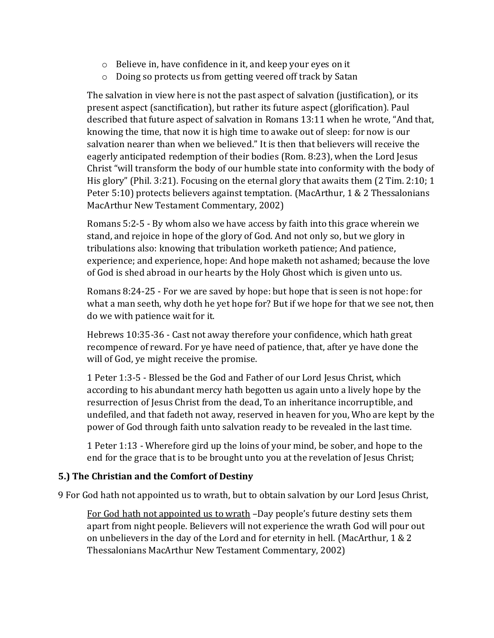- o Believe in, have confidence in it, and keep your eyes on it
- o Doing so protects us from getting veered off track by Satan

The salvation in view here is not the past aspect of salvation (justification), or its present aspect (sanctification), but rather its future aspect (glorification). Paul described that future aspect of salvation in Romans 13:11 when he wrote, "And that, knowing the time, that now it is high time to awake out of sleep: for now is our salvation nearer than when we believed." It is then that believers will receive the eagerly anticipated redemption of their bodies (Rom. 8:23), when the Lord Jesus Christ "will transform the body of our humble state into conformity with the body of His glory" (Phil. 3:21). Focusing on the eternal glory that awaits them (2 Tim. 2:10; 1 Peter 5:10) protects believers against temptation. (MacArthur, 1 & 2 Thessalonians MacArthur New Testament Commentary, 2002)

Romans 5:2-5 - By whom also we have access by faith into this grace wherein we stand, and rejoice in hope of the glory of God. And not only so, but we glory in tribulations also: knowing that tribulation worketh patience; And patience, experience; and experience, hope: And hope maketh not ashamed; because the love of God is shed abroad in our hearts by the Holy Ghost which is given unto us.

Romans 8:24-25 - For we are saved by hope: but hope that is seen is not hope: for what a man seeth, why doth he yet hope for? But if we hope for that we see not, then do we with patience wait for it.

Hebrews 10:35-36 - Cast not away therefore your confidence, which hath great recompence of reward. For ye have need of patience, that, after ye have done the will of God, ye might receive the promise.

1 Peter 1:3-5 - Blessed be the God and Father of our Lord Jesus Christ, which according to his abundant mercy hath begotten us again unto a lively hope by the resurrection of Jesus Christ from the dead, To an inheritance incorruptible, and undefiled, and that fadeth not away, reserved in heaven for you, Who are kept by the power of God through faith unto salvation ready to be revealed in the last time.

1 Peter 1:13 - Wherefore gird up the loins of your mind, be sober, and hope to the end for the grace that is to be brought unto you at the revelation of Jesus Christ;

## **5.) The Christian and the Comfort of Destiny**

9 For God hath not appointed us to wrath, but to obtain salvation by our Lord Jesus Christ,

For God hath not appointed us to wrath –Day people's future destiny sets them apart from night people. Believers will not experience the wrath God will pour out on unbelievers in the day of the Lord and for eternity in hell. (MacArthur, 1 & 2 Thessalonians MacArthur New Testament Commentary, 2002)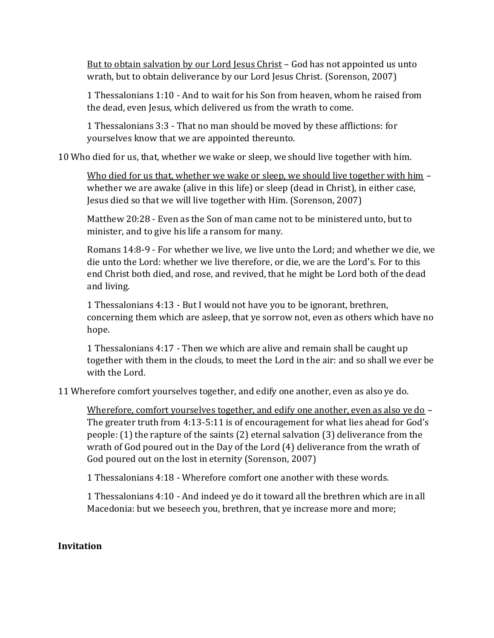But to obtain salvation by our Lord Jesus Christ – God has not appointed us unto wrath, but to obtain deliverance by our Lord Jesus Christ. (Sorenson, 2007)

1 Thessalonians 1:10 - And to wait for his Son from heaven, whom he raised from the dead, even Jesus, which delivered us from the wrath to come.

1 Thessalonians 3:3 - That no man should be moved by these afflictions: for yourselves know that we are appointed thereunto.

10 Who died for us, that, whether we wake or sleep, we should live together with him.

Who died for us that, whether we wake or sleep, we should live together with him – whether we are awake (alive in this life) or sleep (dead in Christ), in either case, Jesus died so that we will live together with Him. (Sorenson, 2007)

Matthew 20:28 - Even as the Son of man came not to be ministered unto, but to minister, and to give his life a ransom for many.

Romans 14:8-9 - For whether we live, we live unto the Lord; and whether we die, we die unto the Lord: whether we live therefore, or die, we are the Lord's. For to this end Christ both died, and rose, and revived, that he might be Lord both of the dead and living.

1 Thessalonians 4:13 - But I would not have you to be ignorant, brethren, concerning them which are asleep, that ye sorrow not, even as others which have no hope.

1 Thessalonians 4:17 - Then we which are alive and remain shall be caught up together with them in the clouds, to meet the Lord in the air: and so shall we ever be with the Lord.

11 Wherefore comfort yourselves together, and edify one another, even as also ye do.

Wherefore, comfort yourselves together, and edify one another, even as also ye do – The greater truth from 4:13-5:11 is of encouragement for what lies ahead for God's people: (1) the rapture of the saints (2) eternal salvation (3) deliverance from the wrath of God poured out in the Day of the Lord (4) deliverance from the wrath of God poured out on the lost in eternity (Sorenson, 2007)

1 Thessalonians 4:18 - Wherefore comfort one another with these words.

1 Thessalonians 4:10 - And indeed ye do it toward all the brethren which are in all Macedonia: but we beseech you, brethren, that ye increase more and more;

#### **Invitation**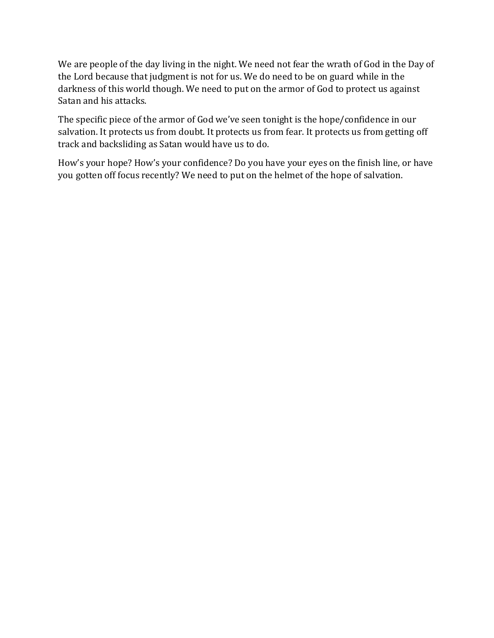We are people of the day living in the night. We need not fear the wrath of God in the Day of the Lord because that judgment is not for us. We do need to be on guard while in the darkness of this world though. We need to put on the armor of God to protect us against Satan and his attacks.

The specific piece of the armor of God we've seen tonight is the hope/confidence in our salvation. It protects us from doubt. It protects us from fear. It protects us from getting off track and backsliding as Satan would have us to do.

How's your hope? How's your confidence? Do you have your eyes on the finish line, or have you gotten off focus recently? We need to put on the helmet of the hope of salvation.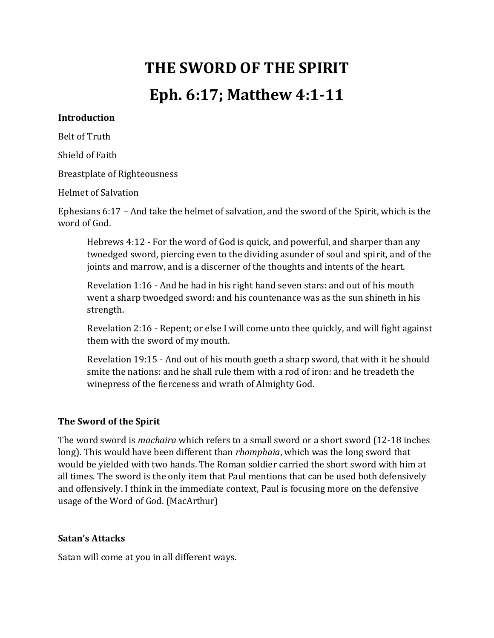# **THE SWORD OF THE SPIRIT Eph. 6:17; Matthew 4:1-11**

#### **Introduction**

Belt of Truth

Shield of Faith

Breastplate of Righteousness

Helmet of Salvation

Ephesians 6:17 – And take the helmet of salvation, and the sword of the Spirit, which is the word of God.

Hebrews 4:12 - For the word of God is quick, and powerful, and sharper than any twoedged sword, piercing even to the dividing asunder of soul and spirit, and of the joints and marrow, and is a discerner of the thoughts and intents of the heart.

Revelation 1:16 - And he had in his right hand seven stars: and out of his mouth went a sharp twoedged sword: and his countenance was as the sun shineth in his strength.

Revelation 2:16 - Repent; or else I will come unto thee quickly, and will fight against them with the sword of my mouth.

Revelation 19:15 - And out of his mouth goeth a sharp sword, that with it he should smite the nations: and he shall rule them with a rod of iron: and he treadeth the winepress of the fierceness and wrath of Almighty God.

#### **The Sword of the Spirit**

The word sword is *machaira* which refers to a small sword or a short sword (12-18 inches long). This would have been different than *rhomphaia*, which was the long sword that would be yielded with two hands. The Roman soldier carried the short sword with him at all times. The sword is the only item that Paul mentions that can be used both defensively and offensively. I think in the immediate context, Paul is focusing more on the defensive usage of the Word of God. (MacArthur)

#### **Satan's Attacks**

Satan will come at you in all different ways.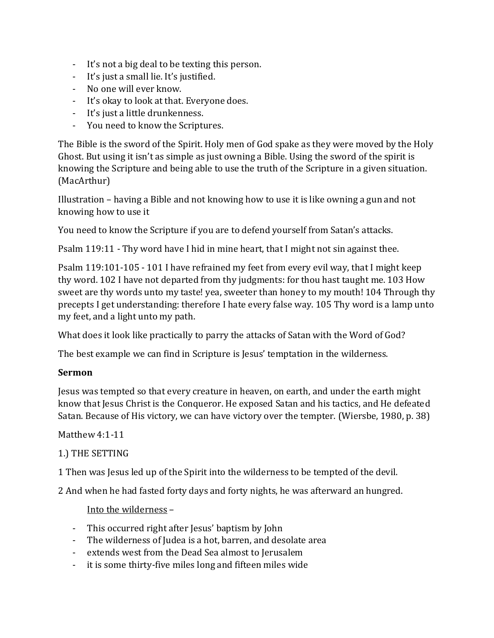- It's not a big deal to be texting this person.
- It's just a small lie. It's justified.
- No one will ever know.
- It's okay to look at that. Everyone does.
- It's just a little drunkenness.
- You need to know the Scriptures.

The Bible is the sword of the Spirit. Holy men of God spake as they were moved by the Holy Ghost. But using it isn't as simple as just owning a Bible. Using the sword of the spirit is knowing the Scripture and being able to use the truth of the Scripture in a given situation. (MacArthur)

Illustration – having a Bible and not knowing how to use it is like owning a gun and not knowing how to use it

You need to know the Scripture if you are to defend yourself from Satan's attacks.

Psalm 119:11 - Thy word have I hid in mine heart, that I might not sin against thee.

Psalm 119:101-105 - 101 I have refrained my feet from every evil way, that I might keep thy word. 102 I have not departed from thy judgments: for thou hast taught me. 103 How sweet are thy words unto my taste! yea, sweeter than honey to my mouth! 104 Through thy precepts I get understanding: therefore I hate every false way. 105 Thy word is a lamp unto my feet, and a light unto my path.

What does it look like practically to parry the attacks of Satan with the Word of God?

The best example we can find in Scripture is Jesus' temptation in the wilderness.

#### **Sermon**

Jesus was tempted so that every creature in heaven, on earth, and under the earth might know that Jesus Christ is the Conqueror. He exposed Satan and his tactics, and He defeated Satan. Because of His victory, we can have victory over the tempter. (Wiersbe, 1980, p. 38)

#### Matthew 4:1-11

#### 1.) THE SETTING

1 Then was Jesus led up of the Spirit into the wilderness to be tempted of the devil.

2 And when he had fasted forty days and forty nights, he was afterward an hungred.

#### Into the wilderness –

- This occurred right after Jesus' baptism by John
- The wilderness of Judea is a hot, barren, and desolate area
- extends west from the Dead Sea almost to Jerusalem
- it is some thirty-five miles long and fifteen miles wide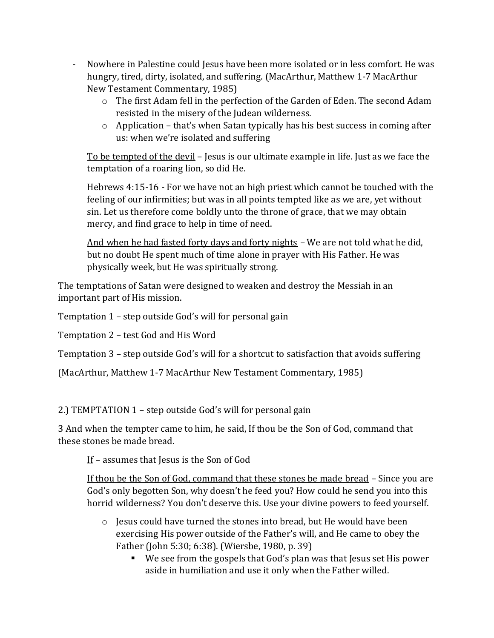- Nowhere in Palestine could Jesus have been more isolated or in less comfort. He was hungry, tired, dirty, isolated, and suffering. (MacArthur, Matthew 1-7 MacArthur New Testament Commentary, 1985)
	- o The first Adam fell in the perfection of the Garden of Eden. The second Adam resisted in the misery of the Judean wilderness.
	- $\circ$  Application that's when Satan typically has his best success in coming after us: when we're isolated and suffering

To be tempted of the devil – Jesus is our ultimate example in life. Just as we face the temptation of a roaring lion, so did He.

Hebrews 4:15-16 - For we have not an high priest which cannot be touched with the feeling of our infirmities; but was in all points tempted like as we are, yet without sin. Let us therefore come boldly unto the throne of grace, that we may obtain mercy, and find grace to help in time of need.

And when he had fasted forty days and forty nights - We are not told what he did, but no doubt He spent much of time alone in prayer with His Father. He was physically week, but He was spiritually strong.

The temptations of Satan were designed to weaken and destroy the Messiah in an important part of His mission.

Temptation 1 – step outside God's will for personal gain

Temptation 2 – test God and His Word

Temptation 3 – step outside God's will for a shortcut to satisfaction that avoids suffering

(MacArthur, Matthew 1-7 MacArthur New Testament Commentary, 1985)

2.) TEMPTATION 1 – step outside God's will for personal gain

3 And when the tempter came to him, he said, If thou be the Son of God, command that these stones be made bread.

If – assumes that Jesus is the Son of God

If thou be the Son of God, command that these stones be made bread - Since you are God's only begotten Son, why doesn't he feed you? How could he send you into this horrid wilderness? You don't deserve this. Use your divine powers to feed yourself.

- $\circ$  Jesus could have turned the stones into bread, but He would have been exercising His power outside of the Father's will, and He came to obey the Father (John 5:30; 6:38). (Wiersbe, 1980, p. 39)
	- We see from the gospels that God's plan was that Jesus set His power aside in humiliation and use it only when the Father willed.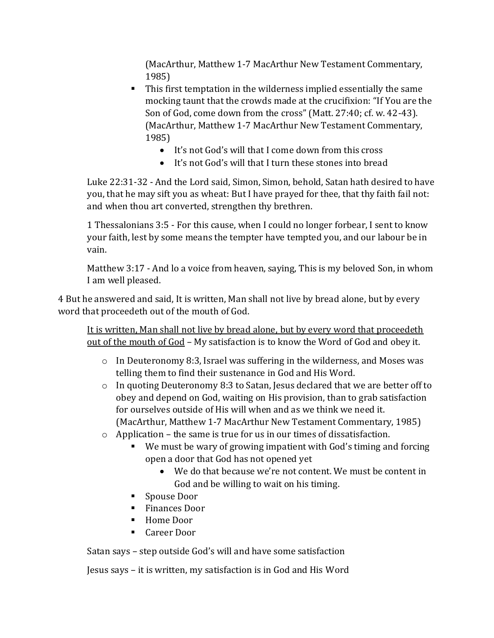(MacArthur, Matthew 1-7 MacArthur New Testament Commentary, 1985)

- This first temptation in the wilderness implied essentially the same mocking taunt that the crowds made at the crucifixion: "If You are the Son of God, come down from the cross" (Matt. 27:40; cf. w. 42-43). (MacArthur, Matthew 1-7 MacArthur New Testament Commentary, 1985)
	- It's not God's will that I come down from this cross
	- It's not God's will that I turn these stones into bread

Luke 22:31-32 - And the Lord said, Simon, Simon, behold, Satan hath desired to have you, that he may sift you as wheat: But I have prayed for thee, that thy faith fail not: and when thou art converted, strengthen thy brethren.

1 Thessalonians 3:5 - For this cause, when I could no longer forbear, I sent to know your faith, lest by some means the tempter have tempted you, and our labour be in vain.

Matthew 3:17 - And lo a voice from heaven, saying, This is my beloved Son, in whom I am well pleased.

4 But he answered and said, It is written, Man shall not live by bread alone, but by every word that proceedeth out of the mouth of God.

It is written, Man shall not live by bread alone, but by every word that proceedeth out of the mouth of God – My satisfaction is to know the Word of God and obey it.

- $\circ$  In Deuteronomy 8:3, Israel was suffering in the wilderness, and Moses was telling them to find their sustenance in God and His Word.
- o In quoting Deuteronomy 8:3 to Satan, Jesus declared that we are better off to obey and depend on God, waiting on His provision, than to grab satisfaction for ourselves outside of His will when and as we think we need it. (MacArthur, Matthew 1-7 MacArthur New Testament Commentary, 1985)
- o Application the same is true for us in our times of dissatisfaction.
	- We must be wary of growing impatient with God's timing and forcing open a door that God has not opened yet
		- We do that because we're not content. We must be content in God and be willing to wait on his timing.
	- Spouse Door
	- Finances Door
	- Home Door
	- Career Door

Satan says – step outside God's will and have some satisfaction

Jesus says – it is written, my satisfaction is in God and His Word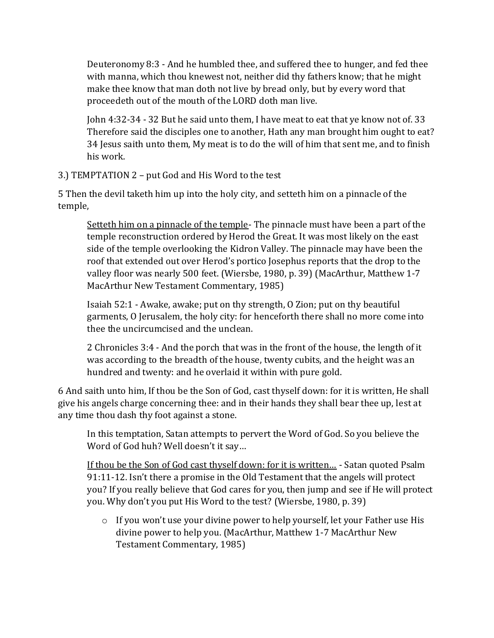Deuteronomy 8:3 - And he humbled thee, and suffered thee to hunger, and fed thee with manna, which thou knewest not, neither did thy fathers know; that he might make thee know that man doth not live by bread only, but by every word that proceedeth out of the mouth of the LORD doth man live.

John 4:32-34 - 32 But he said unto them, I have meat to eat that ye know not of. 33 Therefore said the disciples one to another, Hath any man brought him ought to eat? 34 Jesus saith unto them, My meat is to do the will of him that sent me, and to finish his work.

3.) TEMPTATION 2 – put God and His Word to the test

5 Then the devil taketh him up into the holy city, and setteth him on a pinnacle of the temple,

Setteth him on a pinnacle of the temple- The pinnacle must have been a part of the temple reconstruction ordered by Herod the Great. It was most likely on the east side of the temple overlooking the Kidron Valley. The pinnacle may have been the roof that extended out over Herod's portico Josephus reports that the drop to the valley floor was nearly 500 feet. (Wiersbe, 1980, p. 39) (MacArthur, Matthew 1-7 MacArthur New Testament Commentary, 1985)

Isaiah 52:1 - Awake, awake; put on thy strength, O Zion; put on thy beautiful garments, O Jerusalem, the holy city: for henceforth there shall no more come into thee the uncircumcised and the unclean.

2 Chronicles 3:4 - And the porch that was in the front of the house, the length of it was according to the breadth of the house, twenty cubits, and the height was an hundred and twenty: and he overlaid it within with pure gold.

6 And saith unto him, If thou be the Son of God, cast thyself down: for it is written, He shall give his angels charge concerning thee: and in their hands they shall bear thee up, lest at any time thou dash thy foot against a stone.

In this temptation, Satan attempts to pervert the Word of God. So you believe the Word of God huh? Well doesn't it say…

If thou be the Son of God cast thyself down: for it is written… - Satan quoted Psalm 91:11-12. Isn't there a promise in the Old Testament that the angels will protect you? If you really believe that God cares for you, then jump and see if He will protect you. Why don't you put His Word to the test? (Wiersbe, 1980, p. 39)

 $\circ$  If you won't use your divine power to help yourself, let your Father use His divine power to help you. (MacArthur, Matthew 1-7 MacArthur New Testament Commentary, 1985)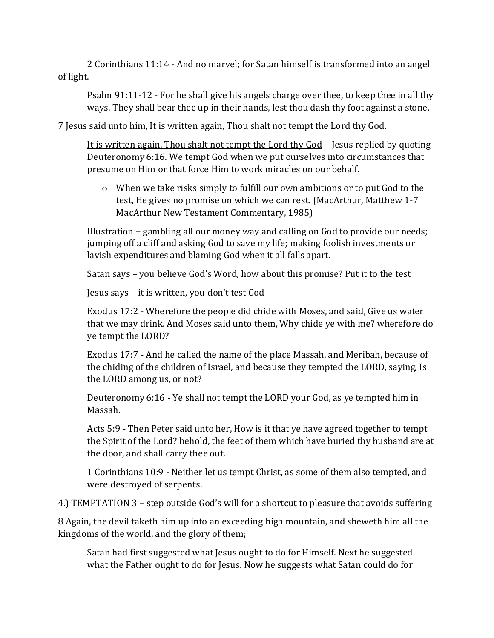2 Corinthians 11:14 - And no marvel; for Satan himself is transformed into an angel of light.

Psalm 91:11-12 - For he shall give his angels charge over thee, to keep thee in all thy ways. They shall bear thee up in their hands, lest thou dash thy foot against a stone.

7 Jesus said unto him, It is written again, Thou shalt not tempt the Lord thy God.

It is written again, Thou shalt not tempt the Lord thy God – Jesus replied by quoting Deuteronomy 6:16. We tempt God when we put ourselves into circumstances that presume on Him or that force Him to work miracles on our behalf.

o When we take risks simply to fulfill our own ambitions or to put God to the test, He gives no promise on which we can rest. (MacArthur, Matthew 1-7 MacArthur New Testament Commentary, 1985)

Illustration – gambling all our money way and calling on God to provide our needs; jumping off a cliff and asking God to save my life; making foolish investments or lavish expenditures and blaming God when it all falls apart.

Satan says – you believe God's Word, how about this promise? Put it to the test

Jesus says – it is written, you don't test God

Exodus 17:2 - Wherefore the people did chide with Moses, and said, Give us water that we may drink. And Moses said unto them, Why chide ye with me? wherefore do ye tempt the LORD?

Exodus 17:7 - And he called the name of the place Massah, and Meribah, because of the chiding of the children of Israel, and because they tempted the LORD, saying, Is the LORD among us, or not?

Deuteronomy 6:16 - Ye shall not tempt the LORD your God, as ye tempted him in Massah.

Acts 5:9 - Then Peter said unto her, How is it that ye have agreed together to tempt the Spirit of the Lord? behold, the feet of them which have buried thy husband are at the door, and shall carry thee out.

1 Corinthians 10:9 - Neither let us tempt Christ, as some of them also tempted, and were destroyed of serpents.

4.) TEMPTATION 3 – step outside God's will for a shortcut to pleasure that avoids suffering

8 Again, the devil taketh him up into an exceeding high mountain, and sheweth him all the kingdoms of the world, and the glory of them;

Satan had first suggested what Jesus ought to do for Himself. Next he suggested what the Father ought to do for Jesus. Now he suggests what Satan could do for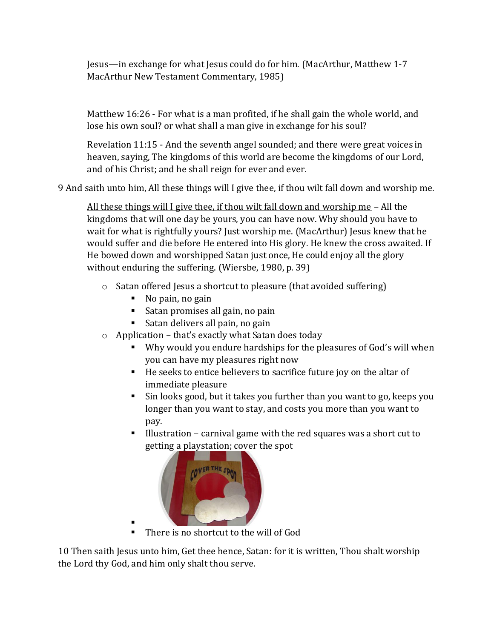Jesus—in exchange for what Jesus could do for him. (MacArthur, Matthew 1-7 MacArthur New Testament Commentary, 1985)

Matthew 16:26 - For what is a man profited, if he shall gain the whole world, and lose his own soul? or what shall a man give in exchange for his soul?

Revelation 11:15 - And the seventh angel sounded; and there were great voices in heaven, saying, The kingdoms of this world are become the kingdoms of our Lord, and of his Christ; and he shall reign for ever and ever.

9 And saith unto him, All these things will I give thee, if thou wilt fall down and worship me.

All these things will I give thee, if thou wilt fall down and worship me – All the kingdoms that will one day be yours, you can have now. Why should you have to wait for what is rightfully yours? Just worship me. (MacArthur) Jesus knew that he would suffer and die before He entered into His glory. He knew the cross awaited. If He bowed down and worshipped Satan just once, He could enjoy all the glory without enduring the suffering. (Wiersbe, 1980, p. 39)

- o Satan offered Jesus a shortcut to pleasure (that avoided suffering)
	- No pain, no gain
	- Satan promises all gain, no pain
	- $\blacksquare$  Satan delivers all pain, no gain
- o Application that's exactly what Satan does today
	- Why would you endure hardships for the pleasures of God's will when you can have my pleasures right now
	- He seeks to entice believers to sacrifice future joy on the altar of immediate pleasure
	- Sin looks good, but it takes you further than you want to go, keeps you longer than you want to stay, and costs you more than you want to pay.
	- Illustration carnival game with the red squares was a short cut to getting a playstation; cover the spot



▪ There is no shortcut to the will of God

10 Then saith Jesus unto him, Get thee hence, Satan: for it is written, Thou shalt worship the Lord thy God, and him only shalt thou serve.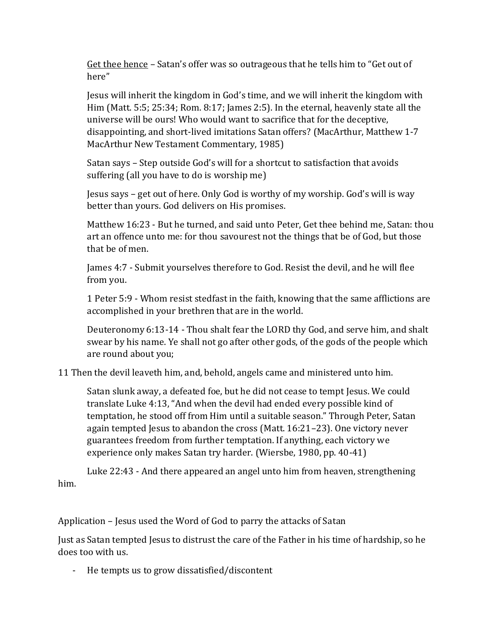Get thee hence – Satan's offer was so outrageous that he tells him to "Get out of here"

Jesus will inherit the kingdom in God's time, and we will inherit the kingdom with Him (Matt. 5:5; 25:34; Rom. 8:17; James 2:5). In the eternal, heavenly state all the universe will be ours! Who would want to sacrifice that for the deceptive, disappointing, and short-lived imitations Satan offers? (MacArthur, Matthew 1-7 MacArthur New Testament Commentary, 1985)

Satan says – Step outside God's will for a shortcut to satisfaction that avoids suffering (all you have to do is worship me)

Jesus says – get out of here. Only God is worthy of my worship. God's will is way better than yours. God delivers on His promises.

Matthew 16:23 - But he turned, and said unto Peter, Get thee behind me, Satan: thou art an offence unto me: for thou savourest not the things that be of God, but those that be of men.

James 4:7 - Submit yourselves therefore to God. Resist the devil, and he will flee from you.

1 Peter 5:9 - Whom resist stedfast in the faith, knowing that the same afflictions are accomplished in your brethren that are in the world.

Deuteronomy 6:13-14 - Thou shalt fear the LORD thy God, and serve him, and shalt swear by his name. Ye shall not go after other gods, of the gods of the people which are round about you;

11 Then the devil leaveth him, and, behold, angels came and ministered unto him.

Satan slunk away, a defeated foe, but he did not cease to tempt Jesus. We could translate Luke 4:13, "And when the devil had ended every possible kind of temptation, he stood off from Him until a suitable season." Through Peter, Satan again tempted Jesus to abandon the cross (Matt. 16:21–23). One victory never guarantees freedom from further temptation. If anything, each victory we experience only makes Satan try harder. (Wiersbe, 1980, pp. 40-41)

Luke 22:43 - And there appeared an angel unto him from heaven, strengthening him.

Application – Jesus used the Word of God to parry the attacks of Satan

Just as Satan tempted Jesus to distrust the care of the Father in his time of hardship, so he does too with us.

- He tempts us to grow dissatisfied/discontent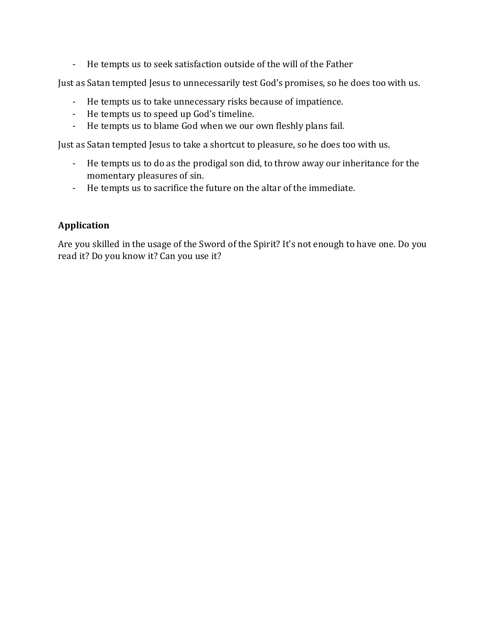- He tempts us to seek satisfaction outside of the will of the Father

Just as Satan tempted Jesus to unnecessarily test God's promises, so he does too with us.

- He tempts us to take unnecessary risks because of impatience.
- He tempts us to speed up God's timeline.
- He tempts us to blame God when we our own fleshly plans fail.

Just as Satan tempted Jesus to take a shortcut to pleasure, so he does too with us.

- He tempts us to do as the prodigal son did, to throw away our inheritance for the momentary pleasures of sin.
- He tempts us to sacrifice the future on the altar of the immediate.

# **Application**

Are you skilled in the usage of the Sword of the Spirit? It's not enough to have one. Do you read it? Do you know it? Can you use it?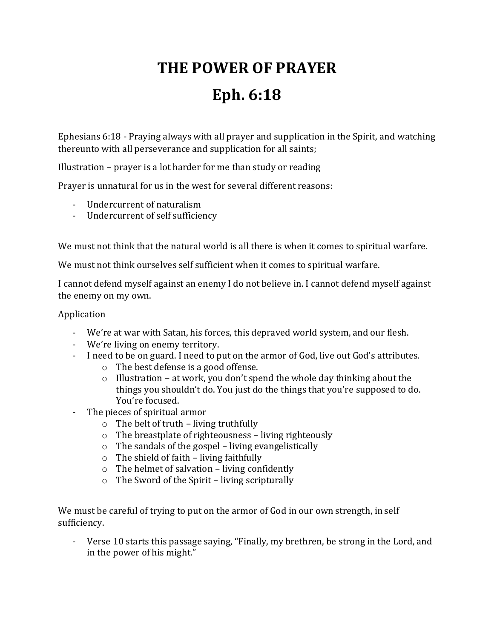# **THE POWER OF PRAYER Eph. 6:18**

Ephesians 6:18 - Praying always with all prayer and supplication in the Spirit, and watching thereunto with all perseverance and supplication for all saints;

Illustration – prayer is a lot harder for me than study or reading

Prayer is unnatural for us in the west for several different reasons:

- Undercurrent of naturalism
- Undercurrent of self sufficiency

We must not think that the natural world is all there is when it comes to spiritual warfare.

We must not think ourselves self sufficient when it comes to spiritual warfare.

I cannot defend myself against an enemy I do not believe in. I cannot defend myself against the enemy on my own.

### Application

- We're at war with Satan, his forces, this depraved world system, and our flesh.
- We're living on enemy territory.
- I need to be on guard. I need to put on the armor of God, live out God's attributes.
	- o The best defense is a good offense.
		- $\circ$  Illustration at work, you don't spend the whole day thinking about the things you shouldn't do. You just do the things that you're supposed to do. You're focused.
- The pieces of spiritual armor
	- $\circ$  The belt of truth living truthfully
	- o The breastplate of righteousness living righteously
	- $\circ$  The sandals of the gospel living evangelistically
	- $\circ$  The shield of faith living faithfully
	- o The helmet of salvation living confidently
	- $\circ$  The Sword of the Spirit living scripturally

We must be careful of trying to put on the armor of God in our own strength, in self sufficiency.

- Verse 10 starts this passage saying, "Finally, my brethren, be strong in the Lord, and in the power of his might."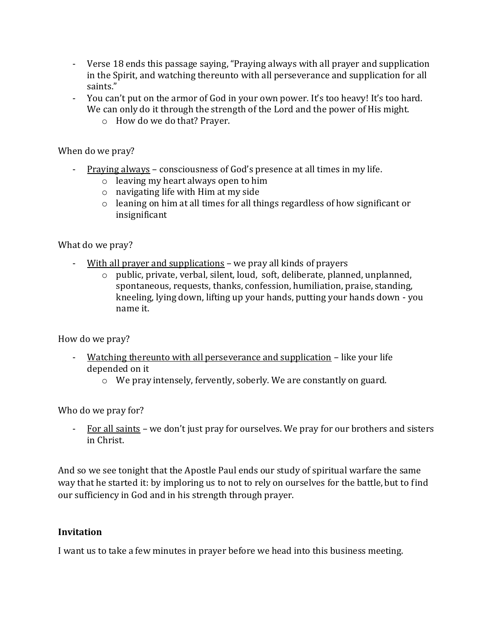- Verse 18 ends this passage saying, "Praying always with all prayer and supplication in the Spirit, and watching thereunto with all perseverance and supplication for all saints."
- You can't put on the armor of God in your own power. It's too heavy! It's too hard. We can only do it through the strength of the Lord and the power of His might.
	- o How do we do that? Prayer.

When do we pray?

- Praying always consciousness of God's presence at all times in my life.
	- o leaving my heart always open to him
	- o navigating life with Him at my side
	- o leaning on him at all times for all things regardless of how significant or insignificant

What do we pray?

- With all prayer and supplications we pray all kinds of prayers
	- o public, private, verbal, silent, loud, soft, deliberate, planned, unplanned, spontaneous, requests, thanks, confession, humiliation, praise, standing, kneeling, lying down, lifting up your hands, putting your hands down - you name it.

How do we pray?

- Watching thereunto with all perseverance and supplication like your life depended on it
	- o We pray intensely, fervently, soberly. We are constantly on guard.

Who do we pray for?

- For all saints – we don't just pray for ourselves. We pray for our brothers and sisters in Christ.

And so we see tonight that the Apostle Paul ends our study of spiritual warfare the same way that he started it: by imploring us to not to rely on ourselves for the battle, but to find our sufficiency in God and in his strength through prayer.

#### **Invitation**

I want us to take a few minutes in prayer before we head into this business meeting.